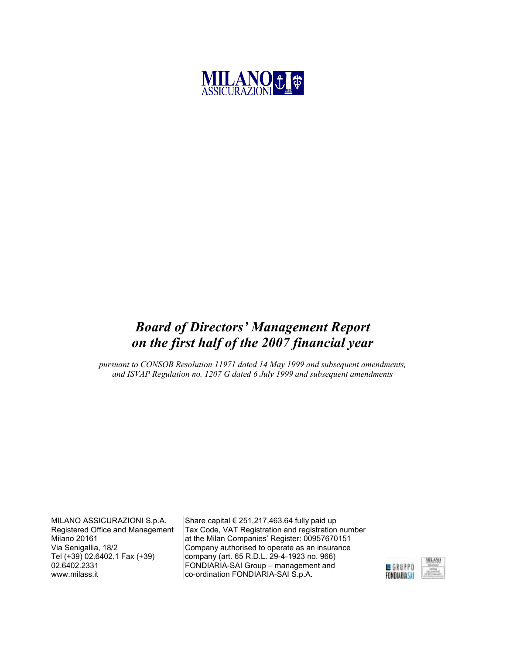

### Board of Directors' Management Report on the first half of the 2007 financial year

pursuant to CONSOB Resolution 11971 dated 14 May 1999 and subsequent amendments, and ISVAP Regulation no. 1207 G dated 6 July 1999 and subsequent amendments

MILANO ASSICURAZIONI S.p.A. Registered Office and Management Milano 20161 Via Senigallia, 18/2 Tel (+39) 02.6402.1 Fax (+39) 02.6402.2331 www.milass.it

Share capital  $\epsilon$  251,217,463.64 fully paid up Tax Code, VAT Registration and registration number at the Milan Companies' Register: 00957670151 Company authorised to operate as an insurance company (art. 65 R.D.L. 29-4-1923 no. 966) FONDIARIA-SAI Group – management and co-ordination FONDIARIA-SAI S.p.A.

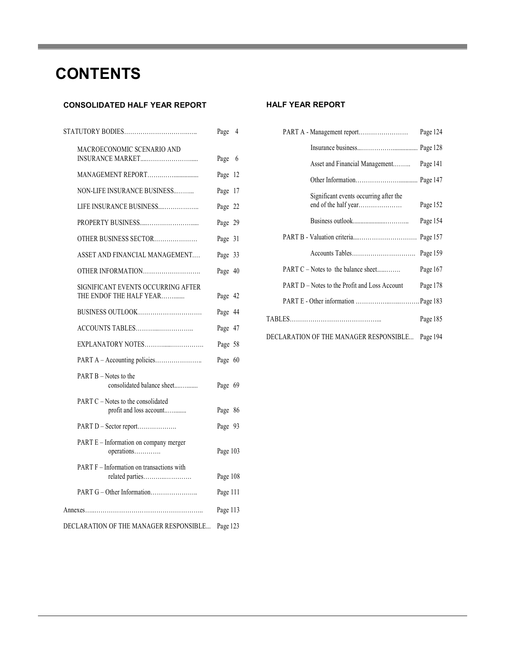## **CONTENTS**

#### CONSOLIDATED HALF YEAR REPORT

|                                                               | Page     | 4 |  |
|---------------------------------------------------------------|----------|---|--|
| MACROECONOMIC SCENARIO AND                                    | Page 6   |   |  |
| MANAGEMENT REPORT                                             | Page 12  |   |  |
| NON-LIFE INSURANCE BUSINESS                                   | Page 17  |   |  |
| LIFE INSURANCE BUSINESS                                       | Page 22  |   |  |
|                                                               | Page 29  |   |  |
| OTHER BUSINESS SECTOR                                         | Page 31  |   |  |
| ASSET AND FINANCIAL MANAGEMENT                                | Page 33  |   |  |
| OTHER INFORMATION                                             | Page 40  |   |  |
| SIGNIFICANT EVENTS OCCURRING AFTER<br>THE ENDOF THE HALF YEAR | Page 42  |   |  |
| BUSINESS OUTLOOK                                              | Page 44  |   |  |
| ACCOUNTS TABLES                                               | Page 47  |   |  |
| EXPLANATORY NOTES                                             | Page 58  |   |  |
|                                                               | Page 60  |   |  |
| PART B – Notes to the<br>consolidated balance sheet           | Page 69  |   |  |
| PART C – Notes to the consolidated<br>profit and loss account | Page 86  |   |  |
| PART D - Sector report                                        | Page 93  |   |  |
| PART E - Information on company merger<br>operations          | Page 103 |   |  |
| PART F – Information on transactions with                     | Page 108 |   |  |
|                                                               | Page 111 |   |  |
|                                                               | Page 113 |   |  |
| DECLARATION OF THE MANAGER RESPONSIBLE                        | Page 123 |   |  |

#### **HALF YEAR REPORT**

|                                               | Page 124 |
|-----------------------------------------------|----------|
|                                               |          |
| Asset and Financial Management                | Page 141 |
|                                               |          |
| Significant events occurring after the        | Page 152 |
|                                               | Page 154 |
|                                               |          |
|                                               | Page 159 |
| PART C – Notes to the balance sheet           | Page 167 |
| PART D - Notes to the Profit and Loss Account | Page 178 |
|                                               |          |
|                                               | Page 185 |
| DECLARATION OF THE MANAGER RESPONSIBLE        | Page 194 |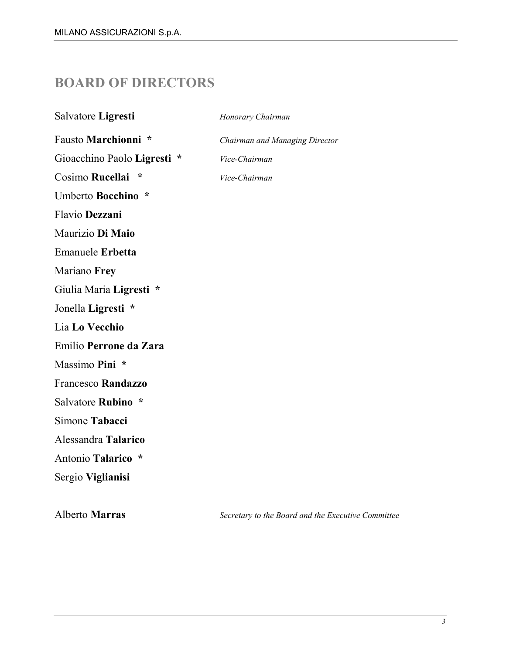### BOARD OF DIRECTORS

| Salvatore Ligresti          | Honorary Chairman              |
|-----------------------------|--------------------------------|
| Fausto Marchionni *         | Chairman and Managing Director |
| Gioacchino Paolo Ligresti * | Vice-Chairman                  |
| Cosimo Rucellai *           | Vice-Chairman                  |
| Umberto Bocchino *          |                                |
| Flavio Dezzani              |                                |
| Maurizio Di Maio            |                                |
| <b>Emanuele Erbetta</b>     |                                |
| Mariano Frey                |                                |
| Giulia Maria Ligresti *     |                                |
| Jonella Ligresti *          |                                |
| Lia Lo Vecchio              |                                |
| Emilio Perrone da Zara      |                                |
| Massimo Pini *              |                                |
| Francesco Randazzo          |                                |
| Salvatore Rubino *          |                                |
| Simone Tabacci              |                                |
| Alessandra Talarico         |                                |
| Antonio Talarico *          |                                |
| Sergio Viglianisi           |                                |
|                             |                                |

Alberto Marras Secretary to the Board and the Executive Committee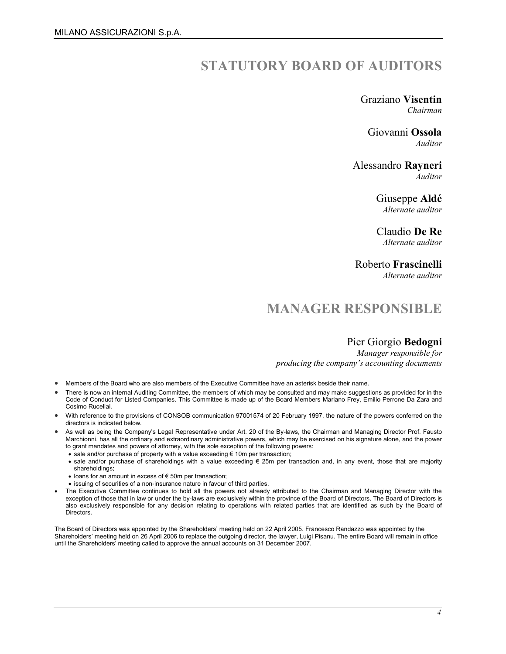### STATUTORY BOARD OF AUDITORS

Graziano Visentin Chairman

Giovanni Ossola Auditor

Alessandro Rayneri Auditor

> Giuseppe Aldé Alternate auditor

> Claudio De Re Alternate auditor

Roberto Frascinelli

Alternate auditor

### MANAGER RESPONSIBLE

#### Pier Giorgio Bedogni

Manager responsible for producing the company's accounting documents

- Members of the Board who are also members of the Executive Committee have an asterisk beside their name.
- There is now an internal Auditing Committee, the members of which may be consulted and may make suggestions as provided for in the Code of Conduct for Listed Companies. This Committee is made up of the Board Members Mariano Frey, Emilio Perrone Da Zara and Cosimo Rucellai.
- With reference to the provisions of CONSOB communication 97001574 of 20 February 1997, the nature of the powers conferred on the directors is indicated below.
- As well as being the Company's Legal Representative under Art. 20 of the By-laws, the Chairman and Managing Director Prof. Fausto Marchionni, has all the ordinary and extraordinary administrative powers, which may be exercised on his signature alone, and the power to grant mandates and powers of attorney, with the sole exception of the following powers:
	- sale and/or purchase of property with a value exceeding € 10m per transaction;
	- sale and/or purchase of shareholdings with a value exceeding € 25m per transaction and, in any event, those that are majority shareholdings;
	- loans for an amount in excess of € 50m per transaction;
	- issuing of securities of a non-insurance nature in favour of third parties.
- The Executive Committee continues to hold all the powers not already attributed to the Chairman and Managing Director with the exception of those that in law or under the by-laws are exclusively within the province of the Board of Directors. The Board of Directors is also exclusively responsible for any decision relating to operations with related parties that are identified as such by the Board of **Directors**

The Board of Directors was appointed by the Shareholders' meeting held on 22 April 2005. Francesco Randazzo was appointed by the Shareholders' meeting held on 26 April 2006 to replace the outgoing director, the lawyer, Luigi Pisanu. The entire Board will remain in office until the Shareholders' meeting called to approve the annual accounts on 31 December 2007.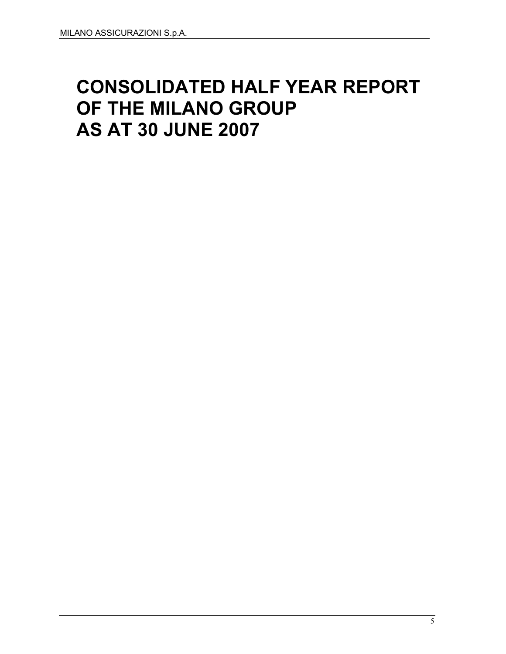# CONSOLIDATED HALF YEAR REPORT OF THE MILANO GROUP AS AT 30 JUNE 2007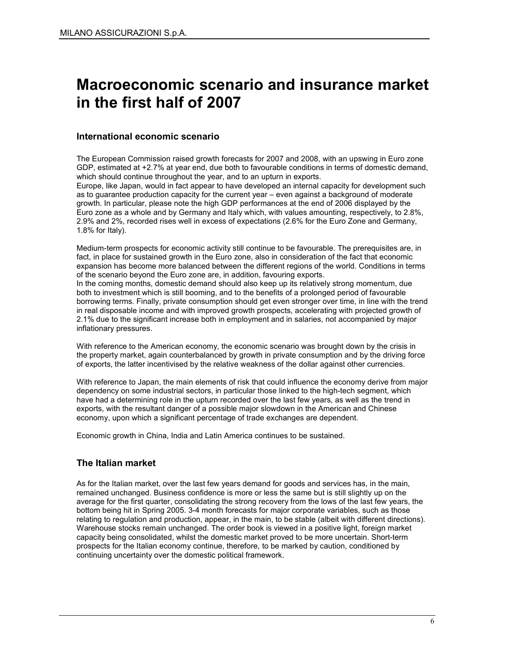## Macroeconomic scenario and insurance market in the first half of 2007

#### International economic scenario

The European Commission raised growth forecasts for 2007 and 2008, with an upswing in Euro zone GDP, estimated at +2.7% at year end, due both to favourable conditions in terms of domestic demand, which should continue throughout the year, and to an upturn in exports.

Europe, like Japan, would in fact appear to have developed an internal capacity for development such as to guarantee production capacity for the current year – even against a background of moderate growth. In particular, please note the high GDP performances at the end of 2006 displayed by the Euro zone as a whole and by Germany and Italy which, with values amounting, respectively, to 2.8%, 2.9% and 2%, recorded rises well in excess of expectations (2.6% for the Euro Zone and Germany, 1.8% for Italy).

Medium-term prospects for economic activity still continue to be favourable. The prerequisites are, in fact, in place for sustained growth in the Euro zone, also in consideration of the fact that economic expansion has become more balanced between the different regions of the world. Conditions in terms of the scenario beyond the Euro zone are, in addition, favouring exports. In the coming months, domestic demand should also keep up its relatively strong momentum, due both to investment which is still booming, and to the benefits of a prolonged period of favourable borrowing terms. Finally, private consumption should get even stronger over time, in line with the trend in real disposable income and with improved growth prospects, accelerating with projected growth of 2.1% due to the significant increase both in employment and in salaries, not accompanied by major inflationary pressures.

With reference to the American economy, the economic scenario was brought down by the crisis in the property market, again counterbalanced by growth in private consumption and by the driving force of exports, the latter incentivised by the relative weakness of the dollar against other currencies.

With reference to Japan, the main elements of risk that could influence the economy derive from major dependency on some industrial sectors, in particular those linked to the high-tech segment, which have had a determining role in the upturn recorded over the last few years, as well as the trend in exports, with the resultant danger of a possible major slowdown in the American and Chinese economy, upon which a significant percentage of trade exchanges are dependent.

Economic growth in China, India and Latin America continues to be sustained.

#### The Italian market

As for the Italian market, over the last few years demand for goods and services has, in the main, remained unchanged. Business confidence is more or less the same but is still slightly up on the average for the first quarter, consolidating the strong recovery from the lows of the last few years, the bottom being hit in Spring 2005. 3-4 month forecasts for major corporate variables, such as those relating to regulation and production, appear, in the main, to be stable (albeit with different directions). Warehouse stocks remain unchanged. The order book is viewed in a positive light, foreign market capacity being consolidated, whilst the domestic market proved to be more uncertain. Short-term prospects for the Italian economy continue, therefore, to be marked by caution, conditioned by continuing uncertainty over the domestic political framework.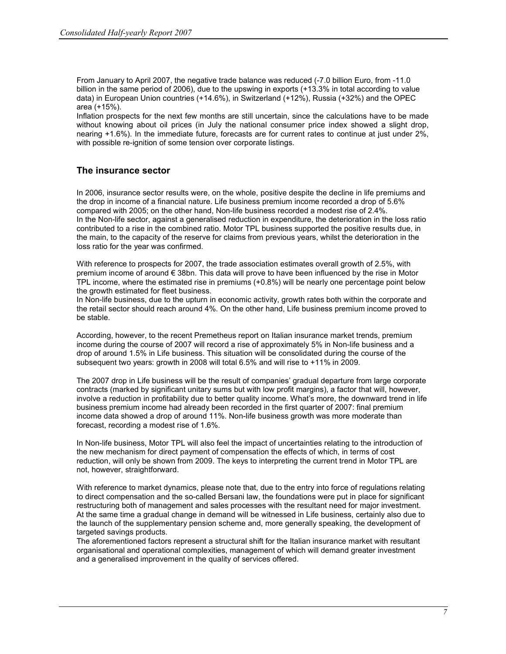From January to April 2007, the negative trade balance was reduced (-7.0 billion Euro, from -11.0 billion in the same period of 2006), due to the upswing in exports (+13.3% in total according to value data) in European Union countries (+14.6%), in Switzerland (+12%), Russia (+32%) and the OPEC area (+15%).

Inflation prospects for the next few months are still uncertain, since the calculations have to be made without knowing about oil prices (in July the national consumer price index showed a slight drop, nearing +1.6%). In the immediate future, forecasts are for current rates to continue at just under 2%, with possible re-ignition of some tension over corporate listings.

#### The insurance sector

In 2006, insurance sector results were, on the whole, positive despite the decline in life premiums and the drop in income of a financial nature. Life business premium income recorded a drop of 5.6% compared with 2005; on the other hand, Non-life business recorded a modest rise of 2.4%. In the Non-life sector, against a generalised reduction in expenditure, the deterioration in the loss ratio contributed to a rise in the combined ratio. Motor TPL business supported the positive results due, in the main, to the capacity of the reserve for claims from previous years, whilst the deterioration in the loss ratio for the year was confirmed.

With reference to prospects for 2007, the trade association estimates overall growth of 2.5%, with premium income of around € 38bn. This data will prove to have been influenced by the rise in Motor TPL income, where the estimated rise in premiums (+0.8%) will be nearly one percentage point below the growth estimated for fleet business.

In Non-life business, due to the upturn in economic activity, growth rates both within the corporate and the retail sector should reach around 4%. On the other hand, Life business premium income proved to be stable.

According, however, to the recent Premetheus report on Italian insurance market trends, premium income during the course of 2007 will record a rise of approximately 5% in Non-life business and a drop of around 1.5% in Life business. This situation will be consolidated during the course of the subsequent two years: growth in 2008 will total 6.5% and will rise to +11% in 2009.

The 2007 drop in Life business will be the result of companies' gradual departure from large corporate contracts (marked by significant unitary sums but with low profit margins), a factor that will, however, involve a reduction in profitability due to better quality income. What's more, the downward trend in life business premium income had already been recorded in the first quarter of 2007: final premium income data showed a drop of around 11%. Non-life business growth was more moderate than forecast, recording a modest rise of 1.6%.

In Non-life business, Motor TPL will also feel the impact of uncertainties relating to the introduction of the new mechanism for direct payment of compensation the effects of which, in terms of cost reduction, will only be shown from 2009. The keys to interpreting the current trend in Motor TPL are not, however, straightforward.

With reference to market dynamics, please note that, due to the entry into force of regulations relating to direct compensation and the so-called Bersani law, the foundations were put in place for significant restructuring both of management and sales processes with the resultant need for major investment. At the same time a gradual change in demand will be witnessed in Life business, certainly also due to the launch of the supplementary pension scheme and, more generally speaking, the development of targeted savings products.

The aforementioned factors represent a structural shift for the Italian insurance market with resultant organisational and operational complexities, management of which will demand greater investment and a generalised improvement in the quality of services offered.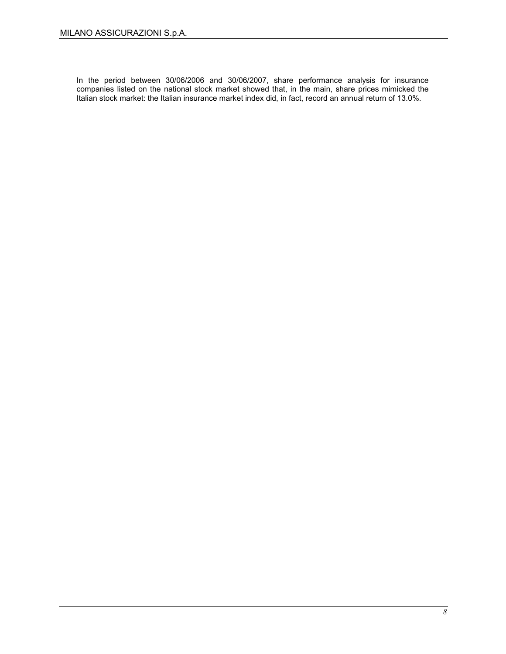In the period between 30/06/2006 and 30/06/2007, share performance analysis for insurance companies listed on the national stock market showed that, in the main, share prices mimicked the Italian stock market: the Italian insurance market index did, in fact, record an annual return of 13.0%.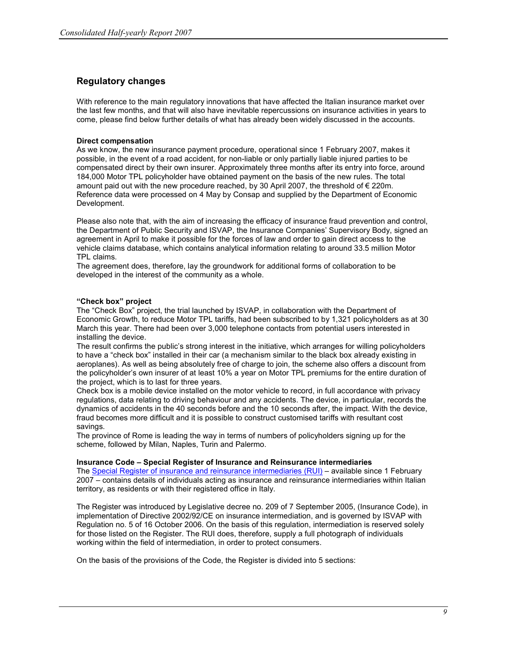#### Regulatory changes

With reference to the main regulatory innovations that have affected the Italian insurance market over the last few months, and that will also have inevitable repercussions on insurance activities in years to come, please find below further details of what has already been widely discussed in the accounts.

#### Direct compensation

As we know, the new insurance payment procedure, operational since 1 February 2007, makes it possible, in the event of a road accident, for non-liable or only partially liable injured parties to be compensated direct by their own insurer. Approximately three months after its entry into force, around 184,000 Motor TPL policyholder have obtained payment on the basis of the new rules. The total amount paid out with the new procedure reached, by 30 April 2007, the threshold of  $\epsilon$  220m. Reference data were processed on 4 May by Consap and supplied by the Department of Economic Development.

Please also note that, with the aim of increasing the efficacy of insurance fraud prevention and control, the Department of Public Security and ISVAP, the Insurance Companies' Supervisory Body, signed an agreement in April to make it possible for the forces of law and order to gain direct access to the vehicle claims database, which contains analytical information relating to around 33.5 million Motor TPL claims.

The agreement does, therefore, lay the groundwork for additional forms of collaboration to be developed in the interest of the community as a whole.

#### "Check box" project

The "Check Box" project, the trial launched by ISVAP, in collaboration with the Department of Economic Growth, to reduce Motor TPL tariffs, had been subscribed to by 1,321 policyholders as at 30 March this year. There had been over 3,000 telephone contacts from potential users interested in installing the device.

The result confirms the public's strong interest in the initiative, which arranges for willing policyholders to have a "check box" installed in their car (a mechanism similar to the black box already existing in aeroplanes). As well as being absolutely free of charge to join, the scheme also offers a discount from the policyholder's own insurer of at least 10% a year on Motor TPL premiums for the entire duration of the project, which is to last for three years.

Check box is a mobile device installed on the motor vehicle to record, in full accordance with privacy regulations, data relating to driving behaviour and any accidents. The device, in particular, records the dynamics of accidents in the 40 seconds before and the 10 seconds after, the impact. With the device, fraud becomes more difficult and it is possible to construct customised tariffs with resultant cost savings.

The province of Rome is leading the way in terms of numbers of policyholders signing up for the scheme, followed by Milan, Naples, Turin and Palermo.

#### Insurance Code – Special Register of Insurance and Reinsurance intermediaries

The Special Register of insurance and reinsurance intermediaries (RUI) – available since 1 February 2007 – contains details of individuals acting as insurance and reinsurance intermediaries within Italian territory, as residents or with their registered office in Italy.

The Register was introduced by Legislative decree no. 209 of 7 September 2005, (Insurance Code), in implementation of Directive 2002/92/CE on insurance intermediation, and is governed by ISVAP with Regulation no. 5 of 16 October 2006. On the basis of this regulation, intermediation is reserved solely for those listed on the Register. The RUI does, therefore, supply a full photograph of individuals working within the field of intermediation, in order to protect consumers.

On the basis of the provisions of the Code, the Register is divided into 5 sections: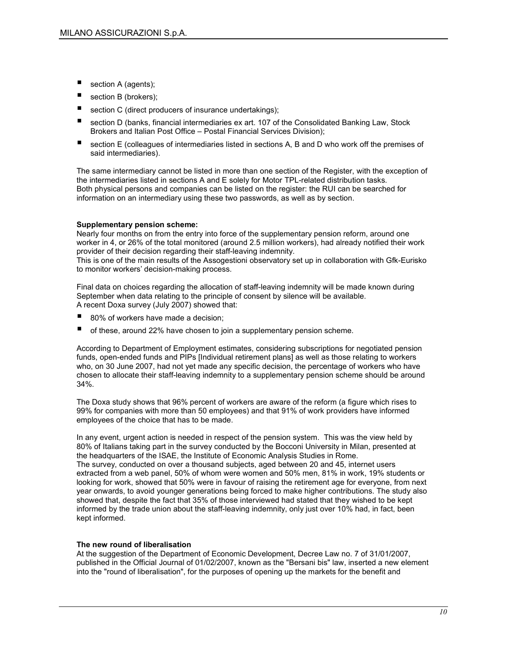- section A (agents);
- section B (brokers);
- section C (direct producers of insurance undertakings);
- section D (banks, financial intermediaries ex art. 107 of the Consolidated Banking Law, Stock Brokers and Italian Post Office – Postal Financial Services Division);
- section E (colleagues of intermediaries listed in sections A, B and D who work off the premises of said intermediaries).

The same intermediary cannot be listed in more than one section of the Register, with the exception of the intermediaries listed in sections A and E solely for Motor TPL-related distribution tasks. Both physical persons and companies can be listed on the register: the RUI can be searched for information on an intermediary using these two passwords, as well as by section.

#### Supplementary pension scheme:

Nearly four months on from the entry into force of the supplementary pension reform, around one worker in 4, or 26% of the total monitored (around 2.5 million workers), had already notified their work provider of their decision regarding their staff-leaving indemnity.

This is one of the main results of the Assogestioni observatory set up in collaboration with Gfk-Eurisko to monitor workers' decision-making process.

Final data on choices regarding the allocation of staff-leaving indemnity will be made known during September when data relating to the principle of consent by silence will be available. A recent Doxa survey (July 2007) showed that:

- 80% of workers have made a decision;
- of these, around 22% have chosen to join a supplementary pension scheme.

According to Department of Employment estimates, considering subscriptions for negotiated pension funds, open-ended funds and PIPs [Individual retirement plans] as well as those relating to workers who, on 30 June 2007, had not yet made any specific decision, the percentage of workers who have chosen to allocate their staff-leaving indemnity to a supplementary pension scheme should be around 34%.

The Doxa study shows that 96% percent of workers are aware of the reform (a figure which rises to 99% for companies with more than 50 employees) and that 91% of work providers have informed employees of the choice that has to be made.

In any event, urgent action is needed in respect of the pension system. This was the view held by 80% of Italians taking part in the survey conducted by the Bocconi University in Milan, presented at the headquarters of the ISAE, the Institute of Economic Analysis Studies in Rome. The survey, conducted on over a thousand subjects, aged between 20 and 45, internet users extracted from a web panel, 50% of whom were women and 50% men, 81% in work, 19% students or looking for work, showed that 50% were in favour of raising the retirement age for everyone, from next year onwards, to avoid younger generations being forced to make higher contributions. The study also showed that, despite the fact that 35% of those interviewed had stated that they wished to be kept informed by the trade union about the staff-leaving indemnity, only just over 10% had, in fact, been kept informed.

#### The new round of liberalisation

At the suggestion of the Department of Economic Development, Decree Law no. 7 of 31/01/2007, published in the Official Journal of 01/02/2007, known as the "Bersani bis" law, inserted a new element into the "round of liberalisation", for the purposes of opening up the markets for the benefit and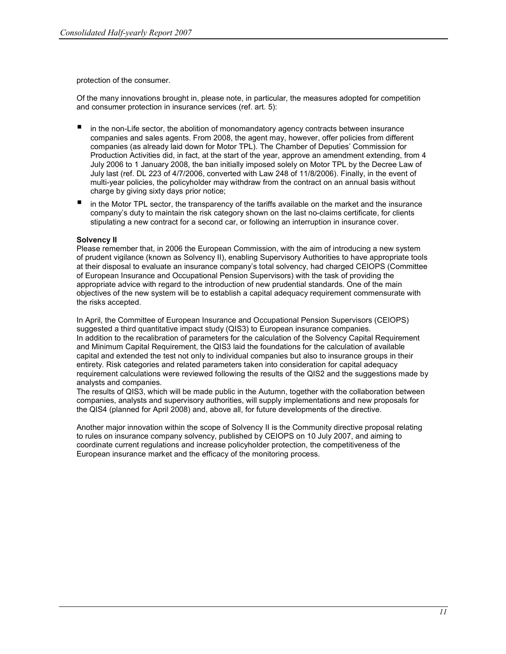protection of the consumer.

Of the many innovations brought in, please note, in particular, the measures adopted for competition and consumer protection in insurance services (ref. art. 5):

- in the non-Life sector, the abolition of monomandatory agency contracts between insurance companies and sales agents. From 2008, the agent may, however, offer policies from different companies (as already laid down for Motor TPL). The Chamber of Deputies' Commission for Production Activities did, in fact, at the start of the year, approve an amendment extending, from 4 July 2006 to 1 January 2008, the ban initially imposed solely on Motor TPL by the Decree Law of July last (ref. DL 223 of 4/7/2006, converted with Law 248 of 11/8/2006). Finally, in the event of multi-year policies, the policyholder may withdraw from the contract on an annual basis without charge by giving sixty days prior notice;
- $\blacksquare$  in the Motor TPL sector, the transparency of the tariffs available on the market and the insurance company's duty to maintain the risk category shown on the last no-claims certificate, for clients stipulating a new contract for a second car, or following an interruption in insurance cover.

#### Solvency II

Please remember that, in 2006 the European Commission, with the aim of introducing a new system of prudent vigilance (known as Solvency II), enabling Supervisory Authorities to have appropriate tools at their disposal to evaluate an insurance company's total solvency, had charged CEIOPS (Committee of European Insurance and Occupational Pension Supervisors) with the task of providing the appropriate advice with regard to the introduction of new prudential standards. One of the main objectives of the new system will be to establish a capital adequacy requirement commensurate with the risks accepted.

In April, the Committee of European Insurance and Occupational Pension Supervisors (CEIOPS) suggested a third quantitative impact study (QIS3) to European insurance companies. In addition to the recalibration of parameters for the calculation of the Solvency Capital Requirement and Minimum Capital Requirement, the QIS3 laid the foundations for the calculation of available capital and extended the test not only to individual companies but also to insurance groups in their entirety. Risk categories and related parameters taken into consideration for capital adequacy requirement calculations were reviewed following the results of the QIS2 and the suggestions made by analysts and companies.

The results of QIS3, which will be made public in the Autumn, together with the collaboration between companies, analysts and supervisory authorities, will supply implementations and new proposals for the QIS4 (planned for April 2008) and, above all, for future developments of the directive.

Another major innovation within the scope of Solvency II is the Community directive proposal relating to rules on insurance company solvency, published by CEIOPS on 10 July 2007, and aiming to coordinate current regulations and increase policyholder protection, the competitiveness of the European insurance market and the efficacy of the monitoring process.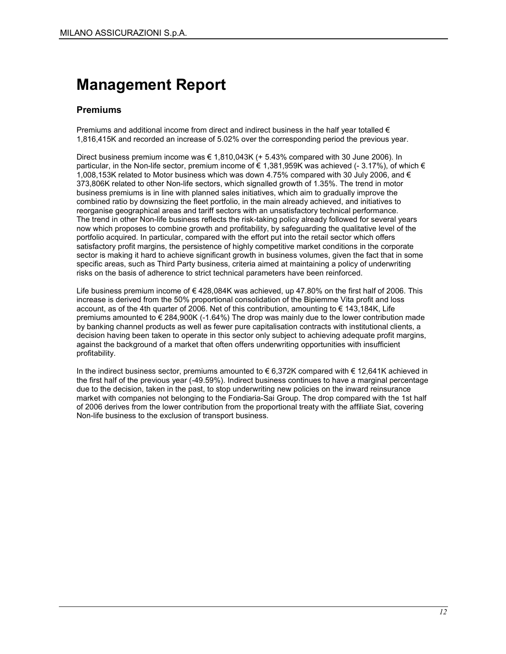## Management Report

#### Premiums

Premiums and additional income from direct and indirect business in the half year totalled  $\epsilon$ 1,816,415K and recorded an increase of 5.02% over the corresponding period the previous year.

Direct business premium income was  $\in 1.810.043K$  (+ 5.43% compared with 30 June 2006). In particular, in the Non-life sector, premium income of € 1,381,959K was achieved (- 3.17%), of which € 1,008,153K related to Motor business which was down 4,75% compared with 30 July 2006, and  $\epsilon$ 373,806K related to other Non-life sectors, which signalled growth of 1.35%. The trend in motor business premiums is in line with planned sales initiatives, which aim to gradually improve the combined ratio by downsizing the fleet portfolio, in the main already achieved, and initiatives to reorganise geographical areas and tariff sectors with an unsatisfactory technical performance. The trend in other Non-life business reflects the risk-taking policy already followed for several years now which proposes to combine growth and profitability, by safeguarding the qualitative level of the portfolio acquired. In particular, compared with the effort put into the retail sector which offers satisfactory profit margins, the persistence of highly competitive market conditions in the corporate sector is making it hard to achieve significant growth in business volumes, given the fact that in some specific areas, such as Third Party business, criteria aimed at maintaining a policy of underwriting risks on the basis of adherence to strict technical parameters have been reinforced.

Life business premium income of € 428,084K was achieved, up 47.80% on the first half of 2006. This increase is derived from the 50% proportional consolidation of the Bipiemme Vita profit and loss account, as of the 4th quarter of 2006. Net of this contribution, amounting to € 143,184K, Life premiums amounted to  $\epsilon$  284,900K (-1.64%) The drop was mainly due to the lower contribution made by banking channel products as well as fewer pure capitalisation contracts with institutional clients, a decision having been taken to operate in this sector only subject to achieving adequate profit margins, against the background of a market that often offers underwriting opportunities with insufficient profitability.

In the indirect business sector, premiums amounted to €6,372K compared with €12,641K achieved in the first half of the previous year (-49.59%). Indirect business continues to have a marginal percentage due to the decision, taken in the past, to stop underwriting new policies on the inward reinsurance market with companies not belonging to the Fondiaria-Sai Group. The drop compared with the 1st half of 2006 derives from the lower contribution from the proportional treaty with the affiliate Siat, covering Non-life business to the exclusion of transport business.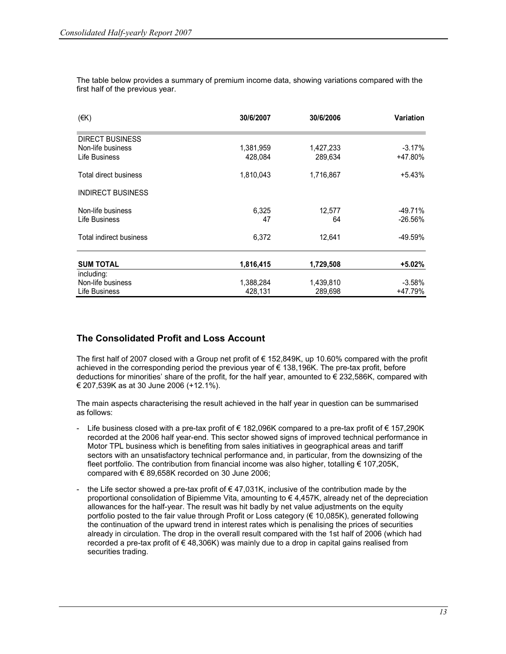| $(\in K)$                          | 30/6/2007            | 30/6/2006            | <b>Variation</b>      |
|------------------------------------|----------------------|----------------------|-----------------------|
| <b>DIRECT BUSINESS</b>             |                      |                      |                       |
| Non-life business<br>Life Business | 1,381,959<br>428,084 | 1,427,233<br>289,634 | $-3.17\%$<br>+47.80%  |
| Total direct business              | 1,810,043            | 1,716,867            | $+5.43%$              |
| <b>INDIRECT BUSINESS</b>           |                      |                      |                       |
| Non-life business<br>Life Business | 6,325<br>47          | 12,577<br>64         | -49.71%<br>$-26.56\%$ |
| Total indirect business            | 6,372                | 12,641               | -49.59%               |
| <b>SUM TOTAL</b>                   | 1,816,415            | 1,729,508            | +5.02%                |
| including:                         |                      |                      |                       |
| Non-life business                  | 1,388,284            | 1,439,810            | $-3.58\%$             |
| Life Business                      | 428,131              | 289,698              | +47.79%               |

The table below provides a summary of premium income data, showing variations compared with the first half of the previous year.

#### The Consolidated Profit and Loss Account

The first half of 2007 closed with a Group net profit of € 152,849K, up 10.60% compared with the profit achieved in the corresponding period the previous year of € 138,196K. The pre-tax profit, before deductions for minorities' share of the profit, for the half year, amounted to  $\epsilon$  232,586K, compared with € 207,539K as at 30 June 2006 (+12.1%).

The main aspects characterising the result achieved in the half year in question can be summarised as follows:

- Life business closed with a pre-tax profit of € 182,096K compared to a pre-tax profit of € 157,290K recorded at the 2006 half year-end. This sector showed signs of improved technical performance in Motor TPL business which is benefiting from sales initiatives in geographical areas and tariff sectors with an unsatisfactory technical performance and, in particular, from the downsizing of the fleet portfolio. The contribution from financial income was also higher, totalling  $\epsilon$  107,205K, compared with  $\epsilon$  89,658K recorded on 30 June 2006;
- the Life sector showed a pre-tax profit of  $\epsilon$  47,031K, inclusive of the contribution made by the proportional consolidation of Bipiemme Vita, amounting to  $\epsilon$  4,457K, already net of the depreciation allowances for the half-year. The result was hit badly by net value adjustments on the equity portfolio posted to the fair value through Profit or Loss category (€ 10,085K), generated following the continuation of the upward trend in interest rates which is penalising the prices of securities already in circulation. The drop in the overall result compared with the 1st half of 2006 (which had recorded a pre-tax profit of  $\in$  48,306K) was mainly due to a drop in capital gains realised from securities trading.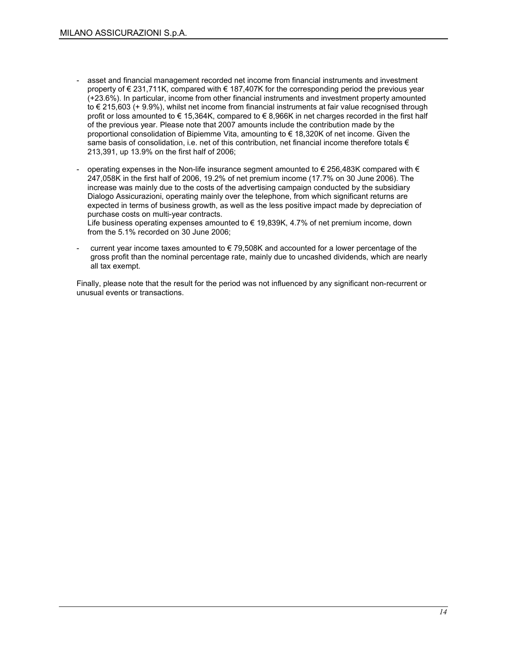- asset and financial management recorded net income from financial instruments and investment property of € 231,711K, compared with € 187,407K for the corresponding period the previous year (+23.6%). In particular, income from other financial instruments and investment property amounted to € 215,603 (+ 9.9%), whilst net income from financial instruments at fair value recognised through profit or loss amounted to  $\epsilon$  15,364K, compared to  $\epsilon$  8,966K in net charges recorded in the first half of the previous year. Please note that 2007 amounts include the contribution made by the proportional consolidation of Bipiemme Vita, amounting to € 18,320K of net income. Given the same basis of consolidation, i.e. net of this contribution, net financial income therefore totals  $\epsilon$ 213,391, up 13.9% on the first half of 2006;
- operating expenses in the Non-life insurance segment amounted to  $\epsilon$  256,483K compared with  $\epsilon$ 247,058K in the first half of 2006, 19.2% of net premium income (17.7% on 30 June 2006). The increase was mainly due to the costs of the advertising campaign conducted by the subsidiary Dialogo Assicurazioni, operating mainly over the telephone, from which significant returns are expected in terms of business growth, as well as the less positive impact made by depreciation of purchase costs on multi-year contracts.

Life business operating expenses amounted to  $\epsilon$  19,839K, 4.7% of net premium income, down from the 5.1% recorded on 30 June 2006;

current year income taxes amounted to  $\epsilon$  79,508K and accounted for a lower percentage of the gross profit than the nominal percentage rate, mainly due to uncashed dividends, which are nearly all tax exempt.

Finally, please note that the result for the period was not influenced by any significant non-recurrent or unusual events or transactions.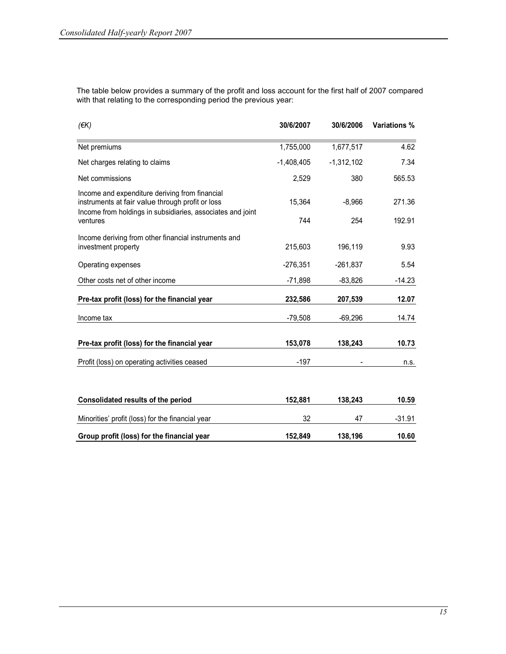The table below provides a summary of the profit and loss account for the first half of 2007 compared with that relating to the corresponding period the previous year:

| (EK)                                                                                                                                                             | 30/6/2007    | 30/6/2006    | <b>Variations %</b> |
|------------------------------------------------------------------------------------------------------------------------------------------------------------------|--------------|--------------|---------------------|
| Net premiums                                                                                                                                                     | 1,755,000    | 1,677,517    | 4.62                |
| Net charges relating to claims                                                                                                                                   | $-1,408,405$ | $-1,312,102$ | 7.34                |
| Net commissions                                                                                                                                                  | 2,529        | 380          | 565.53              |
| Income and expenditure deriving from financial<br>instruments at fair value through profit or loss<br>Income from holdings in subsidiaries, associates and joint | 15,364       | $-8,966$     | 271.36              |
| ventures                                                                                                                                                         | 744          | 254          | 192.91              |
| Income deriving from other financial instruments and<br>investment property                                                                                      | 215,603      | 196,119      | 9.93                |
| Operating expenses                                                                                                                                               | $-276,351$   | $-261,837$   | 5.54                |
| Other costs net of other income                                                                                                                                  | $-71,898$    | $-83,826$    | $-14.23$            |
| Pre-tax profit (loss) for the financial year                                                                                                                     | 232,586      | 207,539      | 12.07               |
| Income tax                                                                                                                                                       | $-79,508$    | $-69,296$    | 14.74               |
| Pre-tax profit (loss) for the financial year                                                                                                                     | 153,078      | 138,243      | 10.73               |
| Profit (loss) on operating activities ceased                                                                                                                     | $-197$       |              | n.s.                |
|                                                                                                                                                                  |              |              |                     |
| Consolidated results of the period                                                                                                                               | 152,881      | 138,243      | 10.59               |
| Minorities' profit (loss) for the financial year                                                                                                                 | 32           | 47           | $-31.91$            |
| Group profit (loss) for the financial year                                                                                                                       | 152,849      | 138,196      | 10.60               |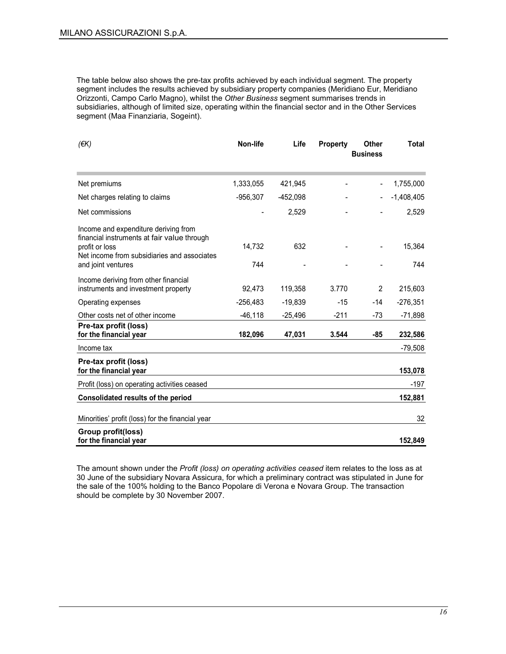The table below also shows the pre-tax profits achieved by each individual segment. The property segment includes the results achieved by subsidiary property companies (Meridiano Eur, Meridiano Orizzonti, Campo Carlo Magno), whilst the Other Business segment summarises trends in subsidiaries, although of limited size, operating within the financial sector and in the Other Services segment (Maa Finanziaria, Sogeint).

| $($ <del>€</del> K)                                                                                                                                                        | Non-life      | Life      | <b>Property</b> | <b>Other</b><br><b>Business</b> | <b>Total</b>  |
|----------------------------------------------------------------------------------------------------------------------------------------------------------------------------|---------------|-----------|-----------------|---------------------------------|---------------|
| Net premiums                                                                                                                                                               | 1,333,055     | 421,945   |                 |                                 | 1,755,000     |
| Net charges relating to claims                                                                                                                                             | $-956,307$    | -452,098  |                 |                                 | $-1,408,405$  |
| Net commissions                                                                                                                                                            |               | 2,529     |                 |                                 | 2,529         |
| Income and expenditure deriving from<br>financial instruments at fair value through<br>profit or loss<br>Net income from subsidiaries and associates<br>and joint ventures | 14,732<br>744 | 632       |                 | $\overline{\phantom{0}}$        | 15,364<br>744 |
| Income deriving from other financial<br>instruments and investment property                                                                                                | 92,473        | 119,358   | 3.770           | $\overline{2}$                  | 215,603       |
| Operating expenses                                                                                                                                                         | $-256,483$    | $-19,839$ | -15             | $-14$                           | $-276,351$    |
| Other costs net of other income                                                                                                                                            | $-46, 118$    | $-25,496$ | $-211$          | $-73$                           | $-71,898$     |
| Pre-tax profit (loss)<br>for the financial year                                                                                                                            | 182,096       | 47,031    | 3.544           | -85                             | 232,586       |
| Income tax                                                                                                                                                                 |               |           |                 |                                 | $-79,508$     |
| Pre-tax profit (loss)<br>for the financial year                                                                                                                            |               |           |                 |                                 | 153,078       |
| Profit (loss) on operating activities ceased                                                                                                                               |               |           |                 |                                 | $-197$        |
| Consolidated results of the period                                                                                                                                         |               |           |                 |                                 | 152,881       |
| Minorities' profit (loss) for the financial year                                                                                                                           |               |           |                 |                                 | 32            |
| Group profit(loss)<br>for the financial year                                                                                                                               |               |           |                 |                                 | 152,849       |

The amount shown under the Profit (loss) on operating activities ceased item relates to the loss as at 30 June of the subsidiary Novara Assicura, for which a preliminary contract was stipulated in June for the sale of the 100% holding to the Banco Popolare di Verona e Novara Group. The transaction should be complete by 30 November 2007.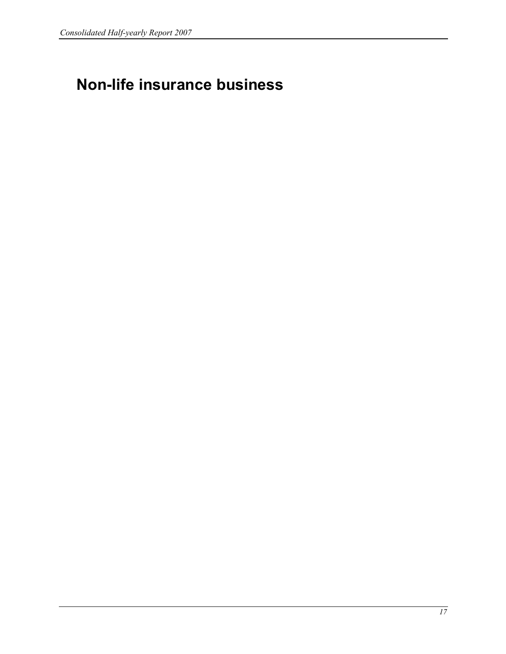## Non-life insurance business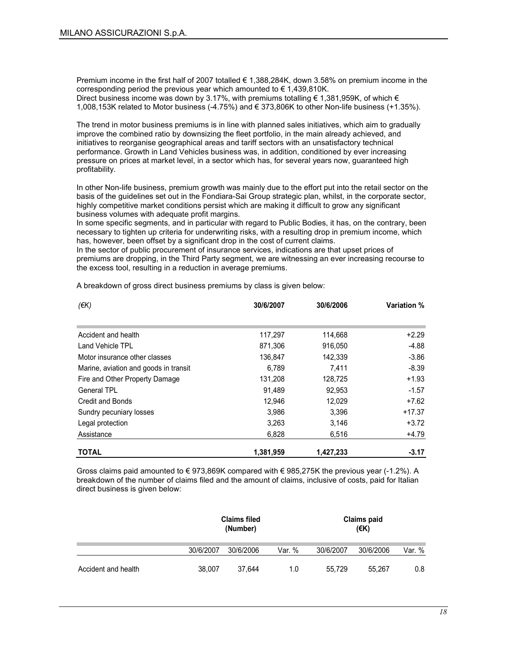Premium income in the first half of 2007 totalled € 1,388,284K, down 3.58% on premium income in the corresponding period the previous year which amounted to  $\epsilon$  1,439,810K. Direct business income was down by 3.17%, with premiums totalling  $\epsilon$  1.381,959K, of which  $\epsilon$ 1,008,153K related to Motor business (-4.75%) and € 373,806K to other Non-life business (+1.35%).

The trend in motor business premiums is in line with planned sales initiatives, which aim to gradually improve the combined ratio by downsizing the fleet portfolio, in the main already achieved, and initiatives to reorganise geographical areas and tariff sectors with an unsatisfactory technical performance. Growth in Land Vehicles business was, in addition, conditioned by ever increasing pressure on prices at market level, in a sector which has, for several years now, guaranteed high profitability.

In other Non-life business, premium growth was mainly due to the effort put into the retail sector on the basis of the guidelines set out in the Fondiara-Sai Group strategic plan, whilst, in the corporate sector, highly competitive market conditions persist which are making it difficult to grow any significant business volumes with adequate profit margins.

In some specific segments, and in particular with regard to Public Bodies, it has, on the contrary, been necessary to tighten up criteria for underwriting risks, with a resulting drop in premium income, which has, however, been offset by a significant drop in the cost of current claims.

In the sector of public procurement of insurance services, indications are that upset prices of premiums are dropping, in the Third Party segment, we are witnessing an ever increasing recourse to the excess tool, resulting in a reduction in average premiums.

| (EK)                                  | 30/6/2007 | 30/6/2006 | Variation % |
|---------------------------------------|-----------|-----------|-------------|
|                                       |           |           |             |
| Accident and health                   | 117,297   | 114,668   | $+2.29$     |
| Land Vehicle TPL                      | 871,306   | 916,050   | -4.88       |
| Motor insurance other classes         | 136,847   | 142,339   | $-3.86$     |
| Marine, aviation and goods in transit | 6,789     | 7,411     | $-8.39$     |
| Fire and Other Property Damage        | 131,208   | 128,725   | $+1.93$     |
| General TPL                           | 91,489    | 92,953    | $-1.57$     |
| Credit and Bonds                      | 12,946    | 12,029    | $+7.62$     |
| Sundry pecuniary losses               | 3,986     | 3,396     | $+17.37$    |
| Legal protection                      | 3.263     | 3,146     | $+3.72$     |
| Assistance                            | 6,828     | 6,516     | +4.79       |
| <b>TOTAL</b>                          | 1,381,959 | 1,427,233 | $-3.17$     |

A breakdown of gross direct business premiums by class is given below:

Gross claims paid amounted to  $\in$  973,869K compared with  $\in$  985,275K the previous year (-1.2%). A breakdown of the number of claims filed and the amount of claims, inclusive of costs, paid for Italian direct business is given below:

|                     | <b>Claims filed</b><br>(Number) |           |        |           | <b>Claims paid</b><br>$($ €K) |        |
|---------------------|---------------------------------|-----------|--------|-----------|-------------------------------|--------|
|                     | 30/6/2007                       | 30/6/2006 | Var. % | 30/6/2007 | 30/6/2006                     | Var. % |
| Accident and health | 38,007                          | 37.644    | 1.0    | 55,729    | 55.267                        | 0.8    |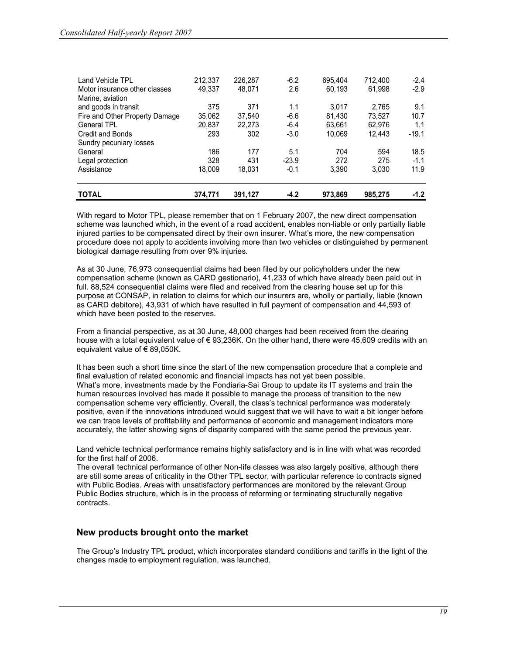| <b>TOTAL</b>                   | 374,771 | 391,127 | $-4.2$  | 973,869 | 985,275 | $-1.2$  |
|--------------------------------|---------|---------|---------|---------|---------|---------|
| Assistance                     | 18.009  | 18.031  | $-0.1$  | 3.390   | 3.030   | 11.9    |
| Legal protection               | 328     | 431     | $-23.9$ | 272     | 275     | $-1.1$  |
| General                        | 186     | 177     | 5.1     | 704     | 594     | 18.5    |
| Sundry pecuniary losses        |         |         |         |         |         |         |
| <b>Credit and Bonds</b>        | 293     | 302     | $-3.0$  | 10.069  | 12.443  | $-19.1$ |
| <b>General TPL</b>             | 20,837  | 22.273  | $-6.4$  | 63.661  | 62,976  | 1.1     |
| Fire and Other Property Damage | 35,062  | 37.540  | $-6.6$  | 81.430  | 73.527  | 10.7    |
| and goods in transit           | 375     | 371     | 1.1     | 3.017   | 2.765   | 9.1     |
| Marine, aviation               | 49.337  | 48.071  | 2.6     | 60,193  | 61.998  |         |
| Motor insurance other classes  | 212,337 | 226,287 |         | 695.404 | 712.400 | $-2.9$  |
| Land Vehicle TPL               |         |         | $-6.2$  |         |         | $-2.4$  |

With regard to Motor TPL, please remember that on 1 February 2007, the new direct compensation scheme was launched which, in the event of a road accident, enables non-liable or only partially liable injured parties to be compensated direct by their own insurer. What's more, the new compensation procedure does not apply to accidents involving more than two vehicles or distinguished by permanent biological damage resulting from over 9% injuries.

As at 30 June, 76,973 consequential claims had been filed by our policyholders under the new compensation scheme (known as CARD gestionario), 41,233 of which have already been paid out in full. 88,524 consequential claims were filed and received from the clearing house set up for this purpose at CONSAP, in relation to claims for which our insurers are, wholly or partially, liable (known as CARD debitore), 43,931 of which have resulted in full payment of compensation and 44,593 of which have been posted to the reserves.

From a financial perspective, as at 30 June, 48,000 charges had been received from the clearing house with a total equivalent value of € 93,236K. On the other hand, there were 45,609 credits with an equivalent value of  $\epsilon$  89,050K.

It has been such a short time since the start of the new compensation procedure that a complete and final evaluation of related economic and financial impacts has not yet been possible. What's more, investments made by the Fondiaria-Sai Group to update its IT systems and train the human resources involved has made it possible to manage the process of transition to the new compensation scheme very efficiently. Overall, the class's technical performance was moderately positive, even if the innovations introduced would suggest that we will have to wait a bit longer before we can trace levels of profitability and performance of economic and management indicators more accurately, the latter showing signs of disparity compared with the same period the previous year.

Land vehicle technical performance remains highly satisfactory and is in line with what was recorded for the first half of 2006.

The overall technical performance of other Non-life classes was also largely positive, although there are still some areas of criticality in the Other TPL sector, with particular reference to contracts signed with Public Bodies. Areas with unsatisfactory performances are monitored by the relevant Group Public Bodies structure, which is in the process of reforming or terminating structurally negative contracts.

#### New products brought onto the market

The Group's Industry TPL product, which incorporates standard conditions and tariffs in the light of the changes made to employment regulation, was launched.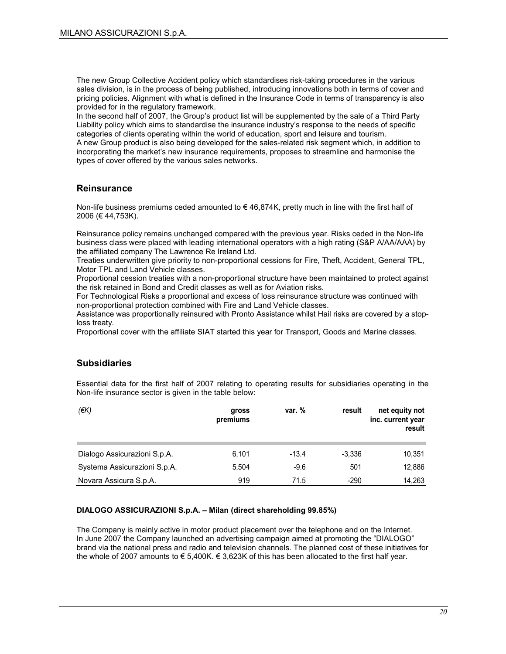The new Group Collective Accident policy which standardises risk-taking procedures in the various sales division, is in the process of being published, introducing innovations both in terms of cover and pricing policies. Alignment with what is defined in the Insurance Code in terms of transparency is also provided for in the regulatory framework.

In the second half of 2007, the Group's product list will be supplemented by the sale of a Third Party Liability policy which aims to standardise the insurance industry's response to the needs of specific categories of clients operating within the world of education, sport and leisure and tourism. A new Group product is also being developed for the sales-related risk segment which, in addition to

incorporating the market's new insurance requirements, proposes to streamline and harmonise the types of cover offered by the various sales networks.

#### **Reinsurance**

Non-life business premiums ceded amounted to  $\epsilon$  46,874K, pretty much in line with the first half of 2006 (€ 44,753K).

Reinsurance policy remains unchanged compared with the previous year. Risks ceded in the Non-life business class were placed with leading international operators with a high rating (S&P A/AA/AAA) by the affiliated company The Lawrence Re Ireland Ltd.

Treaties underwritten give priority to non-proportional cessions for Fire, Theft, Accident, General TPL, Motor TPL and Land Vehicle classes.

Proportional cession treaties with a non-proportional structure have been maintained to protect against the risk retained in Bond and Credit classes as well as for Aviation risks.

For Technological Risks a proportional and excess of loss reinsurance structure was continued with non-proportional protection combined with Fire and Land Vehicle classes.

Assistance was proportionally reinsured with Pronto Assistance whilst Hail risks are covered by a stoploss treaty.

Proportional cover with the affiliate SIAT started this year for Transport, Goods and Marine classes.

#### **Subsidiaries**

Essential data for the first half of 2007 relating to operating results for subsidiaries operating in the Non-life insurance sector is given in the table below:

| (€K)                         | gross<br>premiums | var. $%$ | result   | net equity not<br>inc. current year<br>result |
|------------------------------|-------------------|----------|----------|-----------------------------------------------|
| Dialogo Assicurazioni S.p.A. | 6,101             | $-13.4$  | $-3.336$ | 10,351                                        |
| Systema Assicurazioni S.p.A. | 5.504             | $-9.6$   | 501      | 12,886                                        |
| Novara Assicura S.p.A.       | 919               | 71.5     | $-290$   | 14,263                                        |

#### DIALOGO ASSICURAZIONI S.p.A. – Milan (direct shareholding 99.85%)

The Company is mainly active in motor product placement over the telephone and on the Internet. In June 2007 the Company launched an advertising campaign aimed at promoting the "DIALOGO" brand via the national press and radio and television channels. The planned cost of these initiatives for the whole of 2007 amounts to  $\epsilon$  5,400K.  $\epsilon$  3,623K of this has been allocated to the first half year.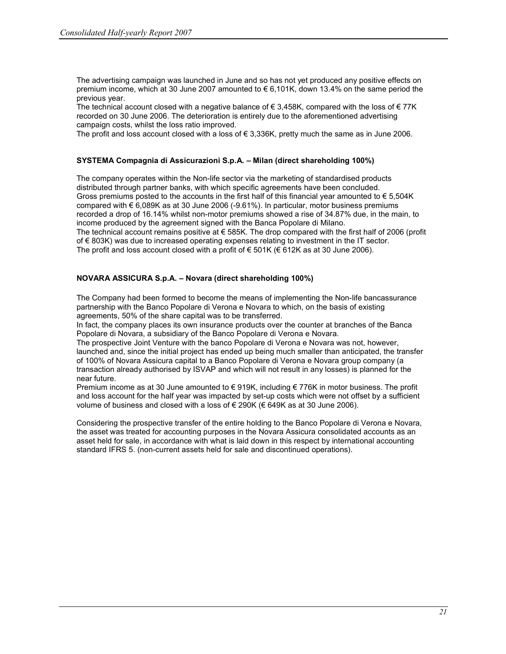The advertising campaign was launched in June and so has not yet produced any positive effects on premium income, which at 30 June 2007 amounted to € 6,101K, down 13.4% on the same period the previous year.

The technical account closed with a negative balance of  $\epsilon$  3,458K, compared with the loss of  $\epsilon$  77K recorded on 30 June 2006. The deterioration is entirely due to the aforementioned advertising campaign costs, whilst the loss ratio improved.

The profit and loss account closed with a loss of  $\epsilon$  3,336K, pretty much the same as in June 2006.

#### SYSTEMA Compagnia di Assicurazioni S.p.A. – Milan (direct shareholding 100%)

The company operates within the Non-life sector via the marketing of standardised products distributed through partner banks, with which specific agreements have been concluded. Gross premiums posted to the accounts in the first half of this financial year amounted to  $\epsilon$  5.504K compared with € 6,089K as at 30 June 2006 (-9.61%). In particular, motor business premiums recorded a drop of 16.14% whilst non-motor premiums showed a rise of 34.87% due, in the main, to income produced by the agreement signed with the Banca Popolare di Milano. The technical account remains positive at € 585K. The drop compared with the first half of 2006 (profit of € 803K) was due to increased operating expenses relating to investment in the IT sector. The profit and loss account closed with a profit of  $\in$  501K ( $\in$  612K as at 30 June 2006).

#### NOVARA ASSICURA S.p.A. – Novara (direct shareholding 100%)

The Company had been formed to become the means of implementing the Non-life bancassurance partnership with the Banco Popolare di Verona e Novara to which, on the basis of existing agreements, 50% of the share capital was to be transferred.

In fact, the company places its own insurance products over the counter at branches of the Banca Popolare di Novara, a subsidiary of the Banco Popolare di Verona e Novara.

The prospective Joint Venture with the banco Popolare di Verona e Novara was not, however, launched and, since the initial project has ended up being much smaller than anticipated, the transfer of 100% of Novara Assicura capital to a Banco Popolare di Verona e Novara group company (a transaction already authorised by ISVAP and which will not result in any losses) is planned for the near future.

Premium income as at 30 June amounted to € 919K, including € 776K in motor business. The profit and loss account for the half year was impacted by set-up costs which were not offset by a sufficient volume of business and closed with a loss of € 290K (€ 649K as at 30 June 2006).

Considering the prospective transfer of the entire holding to the Banco Popolare di Verona e Novara, the asset was treated for accounting purposes in the Novara Assicura consolidated accounts as an asset held for sale, in accordance with what is laid down in this respect by international accounting standard IFRS 5. (non-current assets held for sale and discontinued operations).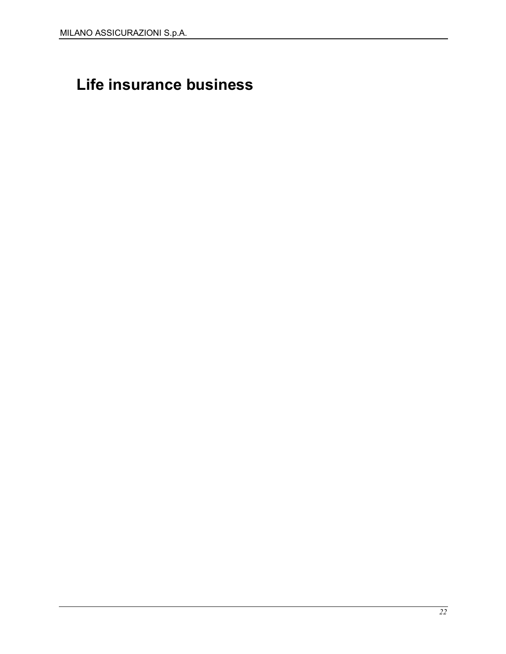## Life insurance business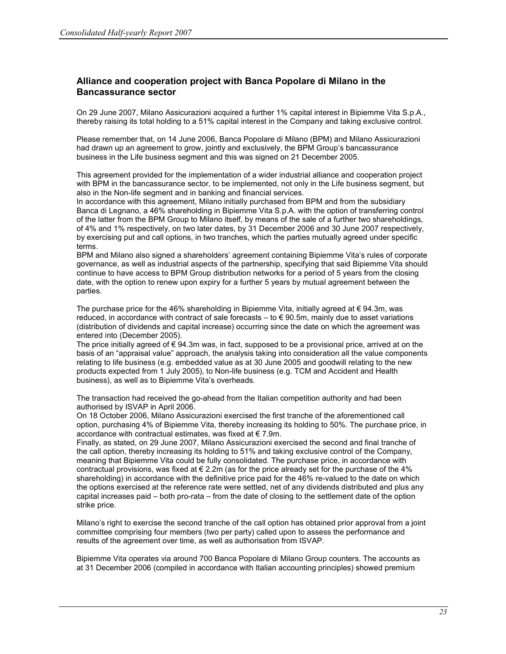#### Alliance and cooperation project with Banca Popolare di Milano in the Bancassurance sector

On 29 June 2007, Milano Assicurazioni acquired a further 1% capital interest in Bipiemme Vita S.p.A., thereby raising its total holding to a 51% capital interest in the Company and taking exclusive control.

Please remember that, on 14 June 2006, Banca Popolare di Milano (BPM) and Milano Assicurazioni had drawn up an agreement to grow, jointly and exclusively, the BPM Group's bancassurance business in the Life business segment and this was signed on 21 December 2005.

This agreement provided for the implementation of a wider industrial alliance and cooperation project with BPM in the bancassurance sector, to be implemented, not only in the Life business segment, but also in the Non-life segment and in banking and financial services.

In accordance with this agreement, Milano initially purchased from BPM and from the subsidiary Banca di Legnano, a 46% shareholding in Bipiemme Vita S.p.A. with the option of transferring control of the latter from the BPM Group to Milano itself, by means of the sale of a further two shareholdings, of 4% and 1% respectively, on two later dates, by 31 December 2006 and 30 June 2007 respectively, by exercising put and call options, in two tranches, which the parties mutually agreed under specific terms.

BPM and Milano also signed a shareholders' agreement containing Bipiemme Vita's rules of corporate governance, as well as industrial aspects of the partnership, specifying that said Bipiemme Vita should continue to have access to BPM Group distribution networks for a period of 5 years from the closing date, with the option to renew upon expiry for a further 5 years by mutual agreement between the parties.

The purchase price for the 46% shareholding in Bipiemme Vita, initially agreed at  $\epsilon$  94.3m, was reduced, in accordance with contract of sale forecasts – to  $\epsilon$  90.5m, mainly due to asset variations (distribution of dividends and capital increase) occurring since the date on which the agreement was entered into (December 2005).

The price initially agreed of  $\epsilon$  94.3m was, in fact, supposed to be a provisional price, arrived at on the basis of an "appraisal value" approach, the analysis taking into consideration all the value components relating to life business (e.g. embedded value as at 30 June 2005 and goodwill relating to the new products expected from 1 July 2005), to Non-life business (e.g. TCM and Accident and Health business), as well as to Bipiemme Vita's overheads.

The transaction had received the go-ahead from the Italian competition authority and had been authorised by ISVAP in April 2006.

On 18 October 2006, Milano Assicurazioni exercised the first tranche of the aforementioned call option, purchasing 4% of Bipiemme Vita, thereby increasing its holding to 50%. The purchase price, in accordance with contractual estimates, was fixed at  $\epsilon$  7.9m.

Finally, as stated, on 29 June 2007, Milano Assicurazioni exercised the second and final tranche of the call option, thereby increasing its holding to 51% and taking exclusive control of the Company, meaning that Bipiemme Vita could be fully consolidated. The purchase price, in accordance with contractual provisions, was fixed at  $\epsilon$  2.2m (as for the price already set for the purchase of the 4% shareholding) in accordance with the definitive price paid for the 46% re-valued to the date on which the options exercised at the reference rate were settled, net of any dividends distributed and plus any capital increases paid – both pro-rata – from the date of closing to the settlement date of the option strike price.

Milano's right to exercise the second tranche of the call option has obtained prior approval from a joint committee comprising four members (two per party) called upon to assess the performance and results of the agreement over time, as well as authorisation from ISVAP.

Bipiemme Vita operates via around 700 Banca Popolare di Milano Group counters. The accounts as at 31 December 2006 (compiled in accordance with Italian accounting principles) showed premium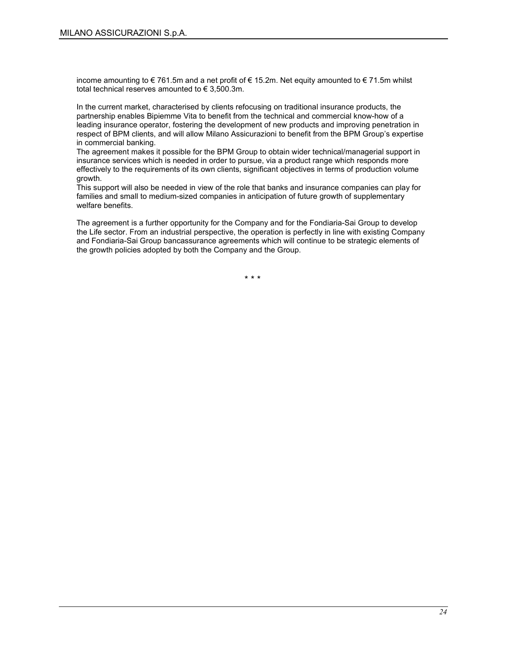income amounting to €761.5m and a net profit of €15.2m. Net equity amounted to €71.5m whilst total technical reserves amounted to  $\epsilon$  3,500.3m.

In the current market, characterised by clients refocusing on traditional insurance products, the partnership enables Bipiemme Vita to benefit from the technical and commercial know-how of a leading insurance operator, fostering the development of new products and improving penetration in respect of BPM clients, and will allow Milano Assicurazioni to benefit from the BPM Group's expertise in commercial banking.

The agreement makes it possible for the BPM Group to obtain wider technical/managerial support in insurance services which is needed in order to pursue, via a product range which responds more effectively to the requirements of its own clients, significant objectives in terms of production volume growth.

This support will also be needed in view of the role that banks and insurance companies can play for families and small to medium-sized companies in anticipation of future growth of supplementary welfare benefits.

The agreement is a further opportunity for the Company and for the Fondiaria-Sai Group to develop the Life sector. From an industrial perspective, the operation is perfectly in line with existing Company and Fondiaria-Sai Group bancassurance agreements which will continue to be strategic elements of the growth policies adopted by both the Company and the Group.

\* \* \*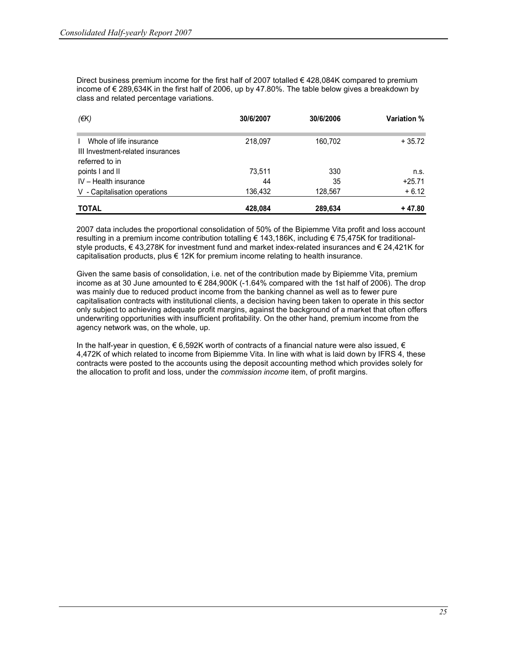Direct business premium income for the first half of 2007 totalled  $\epsilon$  428,084K compared to premium income of € 289,634K in the first half of 2006, up by 47.80%. The table below gives a breakdown by class and related percentage variations.

| $(\epsilon K)$                                               | 30/6/2007 | 30/6/2006 | <b>Variation</b> % |
|--------------------------------------------------------------|-----------|-----------|--------------------|
| Whole of life insurance<br>III Investment-related insurances | 218,097   | 160.702   | $+35.72$           |
| referred to in                                               |           |           |                    |
| points I and II                                              | 73,511    | 330       | n.s.               |
| IV - Health insurance                                        | 44        | 35        | $+25.71$           |
| V - Capitalisation operations                                | 136,432   | 128,567   | $+6.12$            |
| <b>TOTAL</b>                                                 | 428,084   | 289,634   | + 47.80            |

2007 data includes the proportional consolidation of 50% of the Bipiemme Vita profit and loss account resulting in a premium income contribution totalling € 143,186K, including € 75,475K for traditionalstyle products, € 43,278K for investment fund and market index-related insurances and € 24,421K for capitalisation products, plus  $\epsilon$  12K for premium income relating to health insurance.

Given the same basis of consolidation, i.e. net of the contribution made by Bipiemme Vita, premium income as at 30 June amounted to € 284,900K (-1.64% compared with the 1st half of 2006). The drop was mainly due to reduced product income from the banking channel as well as to fewer pure capitalisation contracts with institutional clients, a decision having been taken to operate in this sector only subject to achieving adequate profit margins, against the background of a market that often offers underwriting opportunities with insufficient profitability. On the other hand, premium income from the agency network was, on the whole, up.

In the half-year in question, € 6,592K worth of contracts of a financial nature were also issued, € 4,472K of which related to income from Bipiemme Vita. In line with what is laid down by IFRS 4, these contracts were posted to the accounts using the deposit accounting method which provides solely for the allocation to profit and loss, under the commission income item, of profit margins.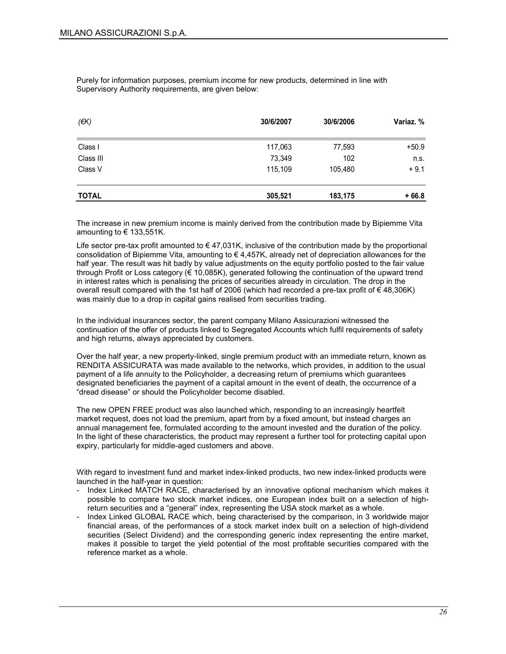Purely for information purposes, premium income for new products, determined in line with Supervisory Authority requirements, are given below:

| $($ $\notin$ K $)$ | 30/6/2007 | 30/6/2006 | Variaz. % |
|--------------------|-----------|-----------|-----------|
| Class I            | 117,063   | 77,593    | $+50.9$   |
| Class III          | 73,349    | 102       | n.s.      |
| Class V            | 115,109   | 105,480   | $+9.1$    |
| <b>TOTAL</b>       | 305,521   | 183,175   | $+66.8$   |

The increase in new premium income is mainly derived from the contribution made by Bipiemme Vita amounting to  $\in$  133,551K.

Life sector pre-tax profit amounted to  $\in$  47,031K, inclusive of the contribution made by the proportional consolidation of Bipiemme Vita, amounting to  $\epsilon$  4,457K, already net of depreciation allowances for the half year. The result was hit badly by value adjustments on the equity portfolio posted to the fair value through Profit or Loss category (€ 10,085K), generated following the continuation of the upward trend in interest rates which is penalising the prices of securities already in circulation. The drop in the overall result compared with the 1st half of 2006 (which had recorded a pre-tax profit of € 48,306K) was mainly due to a drop in capital gains realised from securities trading.

In the individual insurances sector, the parent company Milano Assicurazioni witnessed the continuation of the offer of products linked to Segregated Accounts which fulfil requirements of safety and high returns, always appreciated by customers.

Over the half year, a new property-linked, single premium product with an immediate return, known as RENDITA ASSICURATA was made available to the networks, which provides, in addition to the usual payment of a life annuity to the Policyholder, a decreasing return of premiums which guarantees designated beneficiaries the payment of a capital amount in the event of death, the occurrence of a "dread disease" or should the Policyholder become disabled.

The new OPEN FREE product was also launched which, responding to an increasingly heartfelt market request, does not load the premium, apart from by a fixed amount, but instead charges an annual management fee, formulated according to the amount invested and the duration of the policy. In the light of these characteristics, the product may represent a further tool for protecting capital upon expiry, particularly for middle-aged customers and above.

With regard to investment fund and market index-linked products, two new index-linked products were launched in the half-year in question:

- Index Linked MATCH RACE, characterised by an innovative optional mechanism which makes it possible to compare two stock market indices, one European index built on a selection of highreturn securities and a "general" index, representing the USA stock market as a whole.
- Index Linked GLOBAL RACE which, being characterised by the comparison, in 3 worldwide major financial areas, of the performances of a stock market index built on a selection of high-dividend securities (Select Dividend) and the corresponding generic index representing the entire market, makes it possible to target the yield potential of the most profitable securities compared with the reference market as a whole.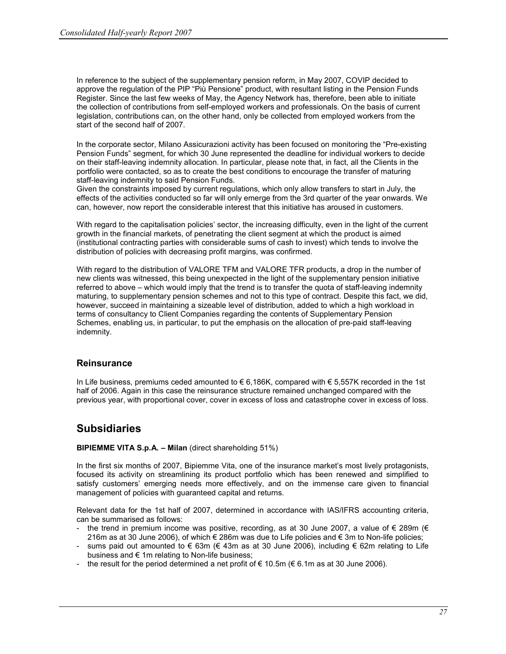In reference to the subject of the supplementary pension reform, in May 2007, COVIP decided to approve the regulation of the PIP "Più Pensione" product, with resultant listing in the Pension Funds Register. Since the last few weeks of May, the Agency Network has, therefore, been able to initiate the collection of contributions from self-employed workers and professionals. On the basis of current legislation, contributions can, on the other hand, only be collected from employed workers from the start of the second half of 2007.

In the corporate sector, Milano Assicurazioni activity has been focused on monitoring the "Pre-existing Pension Funds" segment, for which 30 June represented the deadline for individual workers to decide on their staff-leaving indemnity allocation. In particular, please note that, in fact, all the Clients in the portfolio were contacted, so as to create the best conditions to encourage the transfer of maturing staff-leaving indemnity to said Pension Funds.

Given the constraints imposed by current regulations, which only allow transfers to start in July, the effects of the activities conducted so far will only emerge from the 3rd quarter of the year onwards. We can, however, now report the considerable interest that this initiative has aroused in customers.

With regard to the capitalisation policies' sector, the increasing difficulty, even in the light of the current growth in the financial markets, of penetrating the client segment at which the product is aimed (institutional contracting parties with considerable sums of cash to invest) which tends to involve the distribution of policies with decreasing profit margins, was confirmed.

With regard to the distribution of VALORE TFM and VALORE TFR products, a drop in the number of new clients was witnessed, this being unexpected in the light of the supplementary pension initiative referred to above – which would imply that the trend is to transfer the quota of staff-leaving indemnity maturing, to supplementary pension schemes and not to this type of contract. Despite this fact, we did, however, succeed in maintaining a sizeable level of distribution, added to which a high workload in terms of consultancy to Client Companies regarding the contents of Supplementary Pension Schemes, enabling us, in particular, to put the emphasis on the allocation of pre-paid staff-leaving indemnity.

#### **Reinsurance**

In Life business, premiums ceded amounted to € 6,186K, compared with  $∈$  5,557K recorded in the 1st half of 2006. Again in this case the reinsurance structure remained unchanged compared with the previous year, with proportional cover, cover in excess of loss and catastrophe cover in excess of loss.

### **Subsidiaries**

#### BIPIEMME VITA S.p.A. – Milan (direct shareholding 51%)

In the first six months of 2007, Bipiemme Vita, one of the insurance market's most lively protagonists, focused its activity on streamlining its product portfolio which has been renewed and simplified to satisfy customers' emerging needs more effectively, and on the immense care given to financial management of policies with guaranteed capital and returns.

Relevant data for the 1st half of 2007, determined in accordance with IAS/IFRS accounting criteria, can be summarised as follows:

- the trend in premium income was positive, recording, as at 30 June 2007, a value of  $\epsilon$  289m ( $\epsilon$ 216m as at 30 June 2006), of which € 286m was due to Life policies and € 3m to Non-life policies;
- sums paid out amounted to  $\epsilon$  63m ( $\epsilon$  43m as at 30 June 2006), including  $\epsilon$  62m relating to Life business and  $\epsilon$  1m relating to Non-life business;
- the result for the period determined a net profit of  $\in$  10.5m ( $\in$  6.1m as at 30 June 2006).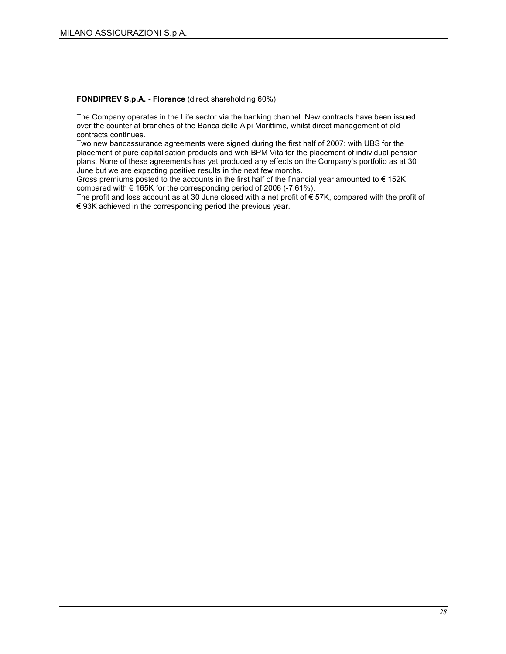#### FONDIPREV S.p.A. - Florence (direct shareholding 60%)

The Company operates in the Life sector via the banking channel. New contracts have been issued over the counter at branches of the Banca delle Alpi Marittime, whilst direct management of old contracts continues.

Two new bancassurance agreements were signed during the first half of 2007: with UBS for the placement of pure capitalisation products and with BPM Vita for the placement of individual pension plans. None of these agreements has yet produced any effects on the Company's portfolio as at 30 June but we are expecting positive results in the next few months.

Gross premiums posted to the accounts in the first half of the financial year amounted to  $\epsilon$  152K compared with € 165K for the corresponding period of 2006 (-7.61%).

The profit and loss account as at 30 June closed with a net profit of € 57K, compared with the profit of  $\epsilon$  93K achieved in the corresponding period the previous year.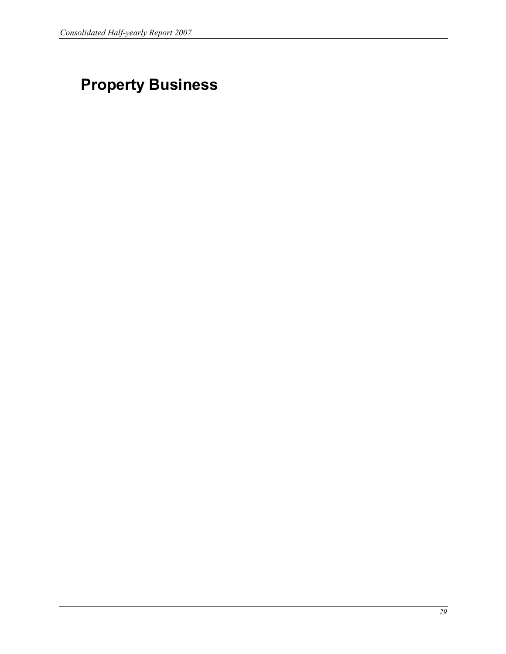# Property Business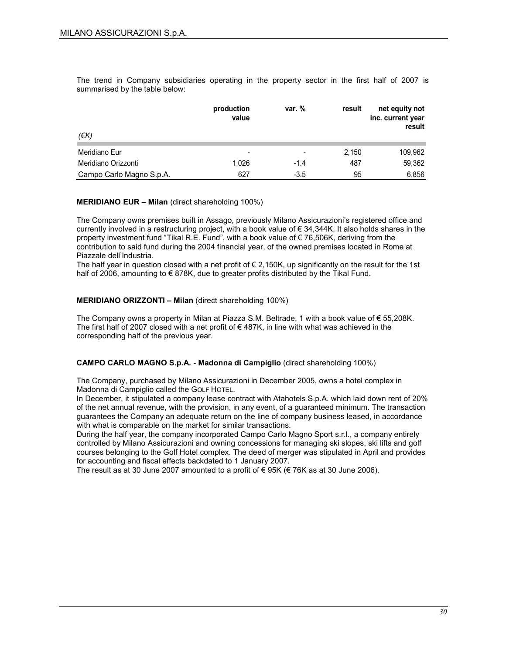The trend in Company subsidiaries operating in the property sector in the first half of 2007 is summarised by the table below:

|                          | production<br>value | var. $%$                 | result | net equity not<br>inc. current year<br>result |
|--------------------------|---------------------|--------------------------|--------|-----------------------------------------------|
| (EK)                     |                     |                          |        |                                               |
| Meridiano Eur            | -                   | $\overline{\phantom{0}}$ | 2.150  | 109,962                                       |
| Meridiano Orizzonti      | 1.026               | $-1.4$                   | 487    | 59,362                                        |
| Campo Carlo Magno S.p.A. | 627                 | $-3.5$                   | 95     | 6,856                                         |

#### MERIDIANO EUR – Milan (direct shareholding 100%)

The Company owns premises built in Assago, previously Milano Assicurazioni's registered office and currently involved in a restructuring project, with a book value of € 34,344K. It also holds shares in the property investment fund "Tikal R.E. Fund", with a book value of € 76,506K, deriving from the contribution to said fund during the 2004 financial year, of the owned premises located in Rome at Piazzale dell'Industria.

The half year in question closed with a net profit of  $\epsilon$  2,150K, up significantly on the result for the 1st half of 2006, amounting to  $\epsilon$  878K, due to greater profits distributed by the Tikal Fund.

#### MERIDIANO ORIZZONTI – Milan (direct shareholding 100%)

The Company owns a property in Milan at Piazza S.M. Beltrade, 1 with a book value of € 55,208K. The first half of 2007 closed with a net profit of  $\epsilon$  487K, in line with what was achieved in the corresponding half of the previous year.

#### CAMPO CARLO MAGNO S.p.A. - Madonna di Campiglio (direct shareholding 100%)

The Company, purchased by Milano Assicurazioni in December 2005, owns a hotel complex in Madonna di Campiglio called the GOLF HOTEL.

In December, it stipulated a company lease contract with Atahotels S.p.A. which laid down rent of 20% of the net annual revenue, with the provision, in any event, of a guaranteed minimum. The transaction guarantees the Company an adequate return on the line of company business leased, in accordance with what is comparable on the market for similar transactions.

During the half year, the company incorporated Campo Carlo Magno Sport s.r.l., a company entirely controlled by Milano Assicurazioni and owning concessions for managing ski slopes, ski lifts and golf courses belonging to the Golf Hotel complex. The deed of merger was stipulated in April and provides for accounting and fiscal effects backdated to 1 January 2007.

The result as at 30 June 2007 amounted to a profit of  $\epsilon$  95K ( $\epsilon$  76K as at 30 June 2006).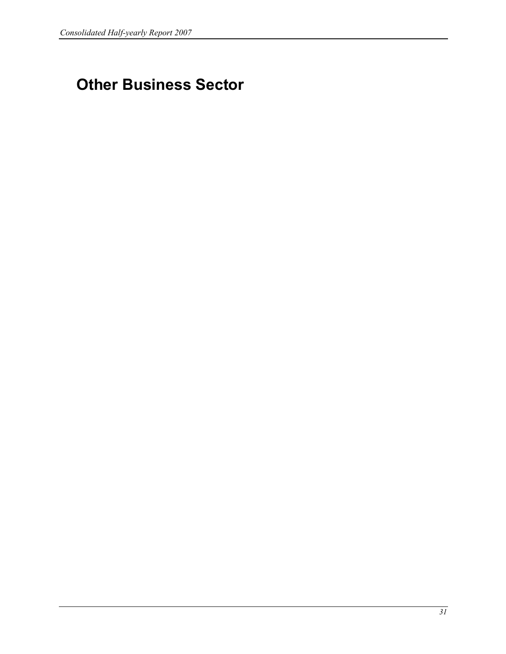## Other Business Sector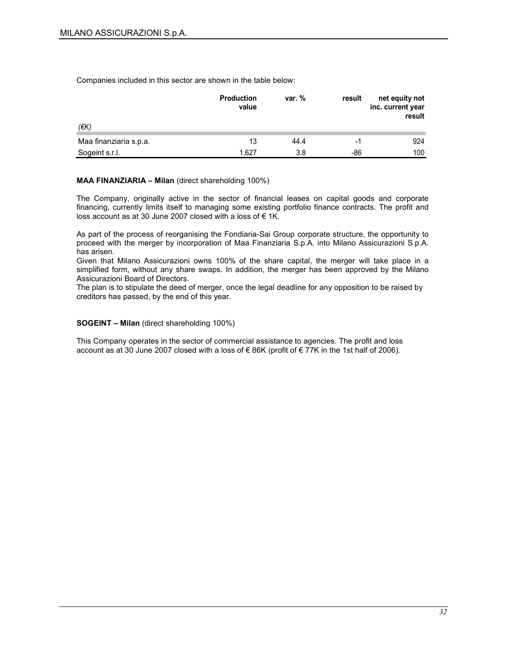Companies included in this sector are shown in the table below:

|                        | <b>Production</b><br>value | var. % | result | net equity not<br>inc. current year<br>result |
|------------------------|----------------------------|--------|--------|-----------------------------------------------|
| (€K)                   |                            |        |        |                                               |
| Maa finanziaria s.p.a. | 13                         | 44.4   | -1     | 924                                           |
| Sogeint s.r.l.         | 1.627                      | 3.8    | -86    | 100                                           |

#### MAA FINANZIARIA – Milan (direct shareholding 100%)

The Company, originally active in the sector of financial leases on capital goods and corporate financing, currently limits itself to managing some existing portfolio finance contracts. The profit and loss account as at 30 June 2007 closed with a loss of € 1K.

As part of the process of reorganising the Fondiaria-Sai Group corporate structure, the opportunity to proceed with the merger by incorporation of Maa Finanziaria S.p.A. into Milano Assicurazioni S.p.A. has arisen.

Given that Milano Assicurazioni owns 100% of the share capital, the merger will take place in a simplified form, without any share swaps. In addition, the merger has been approved by the Milano Assicurazioni Board of Directors.

The plan is to stipulate the deed of merger, once the legal deadline for any opposition to be raised by creditors has passed, by the end of this year.

#### SOGEINT – Milan (direct shareholding 100%)

This Company operates in the sector of commercial assistance to agencies. The profit and loss account as at 30 June 2007 closed with a loss of € 86K (profit of € 77K in the 1st half of 2006).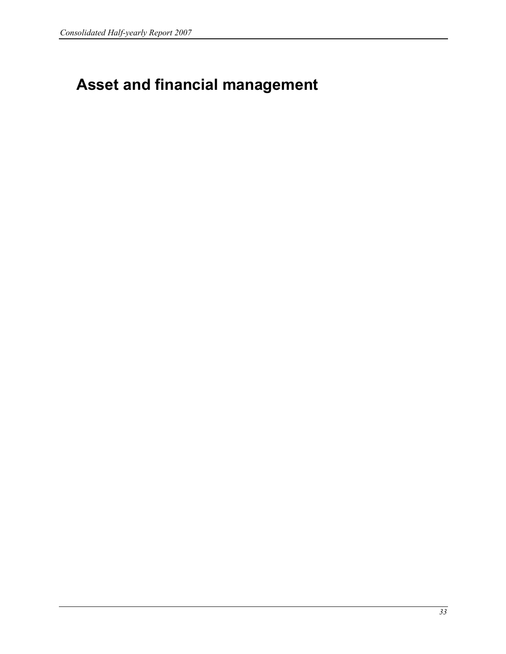# Asset and financial management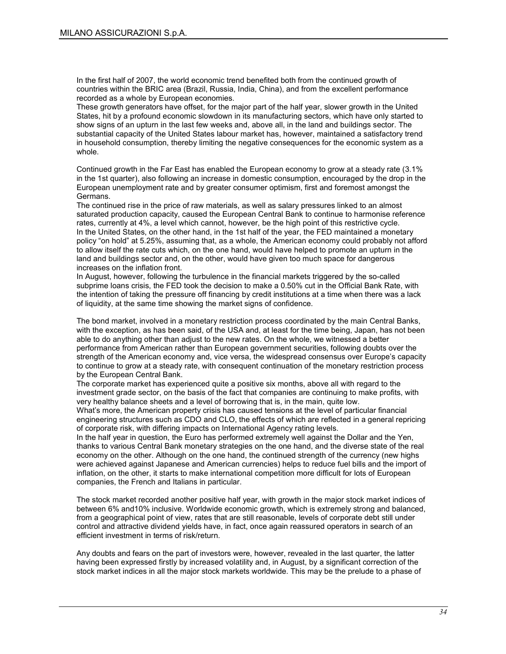In the first half of 2007, the world economic trend benefited both from the continued growth of countries within the BRIC area (Brazil, Russia, India, China), and from the excellent performance recorded as a whole by European economies.

These growth generators have offset, for the major part of the half year, slower growth in the United States, hit by a profound economic slowdown in its manufacturing sectors, which have only started to show signs of an upturn in the last few weeks and, above all, in the land and buildings sector. The substantial capacity of the United States labour market has, however, maintained a satisfactory trend in household consumption, thereby limiting the negative consequences for the economic system as a whole.

Continued growth in the Far East has enabled the European economy to grow at a steady rate (3.1% in the 1st quarter), also following an increase in domestic consumption, encouraged by the drop in the European unemployment rate and by greater consumer optimism, first and foremost amongst the Germans.

The continued rise in the price of raw materials, as well as salary pressures linked to an almost saturated production capacity, caused the European Central Bank to continue to harmonise reference rates, currently at 4%, a level which cannot, however, be the high point of this restrictive cycle. In the United States, on the other hand, in the 1st half of the year, the FED maintained a monetary policy "on hold" at 5.25%, assuming that, as a whole, the American economy could probably not afford to allow itself the rate cuts which, on the one hand, would have helped to promote an upturn in the land and buildings sector and, on the other, would have given too much space for dangerous increases on the inflation front.

In August, however, following the turbulence in the financial markets triggered by the so-called subprime loans crisis, the FED took the decision to make a 0.50% cut in the Official Bank Rate, with the intention of taking the pressure off financing by credit institutions at a time when there was a lack of liquidity, at the same time showing the market signs of confidence.

The bond market, involved in a monetary restriction process coordinated by the main Central Banks, with the exception, as has been said, of the USA and, at least for the time being, Japan, has not been able to do anything other than adjust to the new rates. On the whole, we witnessed a better performance from American rather than European government securities, following doubts over the strength of the American economy and, vice versa, the widespread consensus over Europe's capacity to continue to grow at a steady rate, with consequent continuation of the monetary restriction process by the European Central Bank.

The corporate market has experienced quite a positive six months, above all with regard to the investment grade sector, on the basis of the fact that companies are continuing to make profits, with very healthy balance sheets and a level of borrowing that is, in the main, quite low.

What's more, the American property crisis has caused tensions at the level of particular financial engineering structures such as CDO and CLO, the effects of which are reflected in a general repricing of corporate risk, with differing impacts on International Agency rating levels.

In the half year in question, the Euro has performed extremely well against the Dollar and the Yen, thanks to various Central Bank monetary strategies on the one hand, and the diverse state of the real economy on the other. Although on the one hand, the continued strength of the currency (new highs were achieved against Japanese and American currencies) helps to reduce fuel bills and the import of inflation, on the other, it starts to make international competition more difficult for lots of European companies, the French and Italians in particular.

The stock market recorded another positive half year, with growth in the major stock market indices of between 6% and10% inclusive. Worldwide economic growth, which is extremely strong and balanced, from a geographical point of view, rates that are still reasonable, levels of corporate debt still under control and attractive dividend yields have, in fact, once again reassured operators in search of an efficient investment in terms of risk/return.

Any doubts and fears on the part of investors were, however, revealed in the last quarter, the latter having been expressed firstly by increased volatility and, in August, by a significant correction of the stock market indices in all the major stock markets worldwide. This may be the prelude to a phase of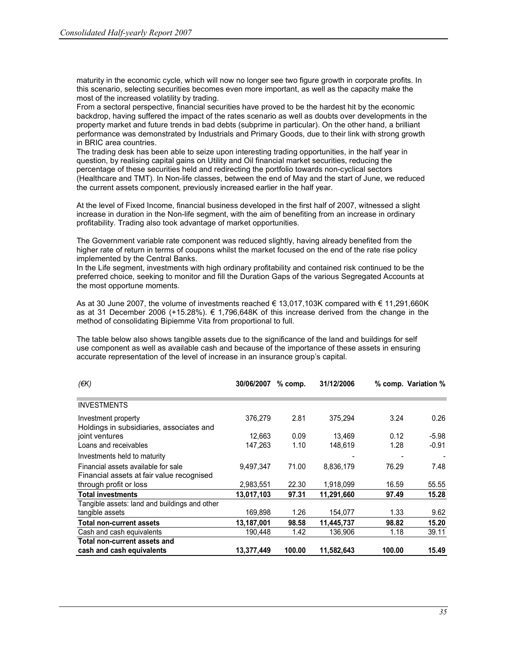maturity in the economic cycle, which will now no longer see two figure growth in corporate profits. In this scenario, selecting securities becomes even more important, as well as the capacity make the most of the increased volatility by trading.

From a sectoral perspective, financial securities have proved to be the hardest hit by the economic backdrop, having suffered the impact of the rates scenario as well as doubts over developments in the property market and future trends in bad debts (subprime in particular). On the other hand, a brilliant performance was demonstrated by Industrials and Primary Goods, due to their link with strong growth in BRIC area countries.

The trading desk has been able to seize upon interesting trading opportunities, in the half year in question, by realising capital gains on Utility and Oil financial market securities, reducing the percentage of these securities held and redirecting the portfolio towards non-cyclical sectors (Healthcare and TMT). In Non-life classes, between the end of May and the start of June, we reduced the current assets component, previously increased earlier in the half year.

At the level of Fixed Income, financial business developed in the first half of 2007, witnessed a slight increase in duration in the Non-life segment, with the aim of benefiting from an increase in ordinary profitability. Trading also took advantage of market opportunities.

The Government variable rate component was reduced slightly, having already benefited from the higher rate of return in terms of coupons whilst the market focused on the end of the rate rise policy implemented by the Central Banks.

In the Life segment, investments with high ordinary profitability and contained risk continued to be the preferred choice, seeking to monitor and fill the Duration Gaps of the various Segregated Accounts at the most opportune moments.

As at 30 June 2007, the volume of investments reached € 13,017,103K compared with € 11,291,660K as at 31 December 2006 (+15.28%). € 1,796,648K of this increase derived from the change in the method of consolidating Bipiemme Vita from proportional to full.

The table below also shows tangible assets due to the significance of the land and buildings for self use component as well as available cash and because of the importance of these assets in ensuring accurate representation of the level of increase in an insurance group's capital.

| $(\epsilon K)$                                                                   | 30/06/2007 | $%$ comp. | 31/12/2006 |        | % comp. Variation % |
|----------------------------------------------------------------------------------|------------|-----------|------------|--------|---------------------|
|                                                                                  |            |           |            |        |                     |
| <b>INVESTMENTS</b>                                                               |            |           |            |        |                     |
| Investment property<br>Holdings in subsidiaries, associates and                  | 376,279    | 2.81      | 375.294    | 3.24   | 0.26                |
| joint ventures                                                                   | 12.663     | 0.09      | 13.469     | 0.12   | $-5.98$             |
| Loans and receivables                                                            | 147.263    | 1.10      | 148.619    | 1.28   | $-0.91$             |
| Investments held to maturity                                                     |            |           |            |        |                     |
| Financial assets available for sale<br>Financial assets at fair value recognised | 9,497,347  | 71.00     | 8,836,179  | 76.29  | 7.48                |
| through profit or loss                                                           | 2,983,551  | 22.30     | 1,918,099  | 16.59  | 55.55               |
| <b>Total investments</b>                                                         | 13,017,103 | 97.31     | 11,291,660 | 97.49  | 15.28               |
| Tangible assets: land and buildings and other                                    |            |           |            |        |                     |
| tangible assets                                                                  | 169.898    | 1.26      | 154,077    | 1.33   | 9.62                |
| Total non-current assets                                                         | 13,187,001 | 98.58     | 11.445.737 | 98.82  | 15.20               |
| Cash and cash equivalents                                                        | 190,448    | 1.42      | 136,906    | 1.18   | 39.11               |
| Total non-current assets and                                                     |            |           |            |        |                     |
| cash and cash equivalents                                                        | 13,377,449 | 100.00    | 11.582.643 | 100.00 | 15.49               |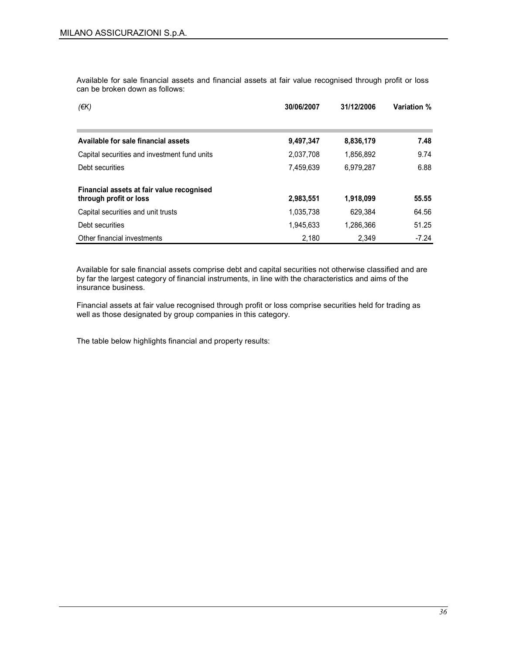Available for sale financial assets and financial assets at fair value recognised through profit or loss can be broken down as follows:

| (EK)                                         | 30/06/2007 | 31/12/2006 | <b>Variation %</b> |
|----------------------------------------------|------------|------------|--------------------|
|                                              |            |            |                    |
| Available for sale financial assets          | 9,497,347  | 8,836,179  | 7.48               |
| Capital securities and investment fund units | 2,037,708  | 1,856,892  | 9.74               |
| Debt securities                              | 7,459,639  | 6,979,287  | 6.88               |
| Financial assets at fair value recognised    |            |            | 55.55              |
| through profit or loss                       | 2,983,551  | 1,918,099  |                    |
| Capital securities and unit trusts           | 1,035,738  | 629.384    | 64.56              |
| Debt securities                              | 1.945.633  | 1.286.366  | 51.25              |
| Other financial investments                  | 2.180      | 2.349      | $-7.24$            |

Available for sale financial assets comprise debt and capital securities not otherwise classified and are by far the largest category of financial instruments, in line with the characteristics and aims of the insurance business.

Financial assets at fair value recognised through profit or loss comprise securities held for trading as well as those designated by group companies in this category.

The table below highlights financial and property results: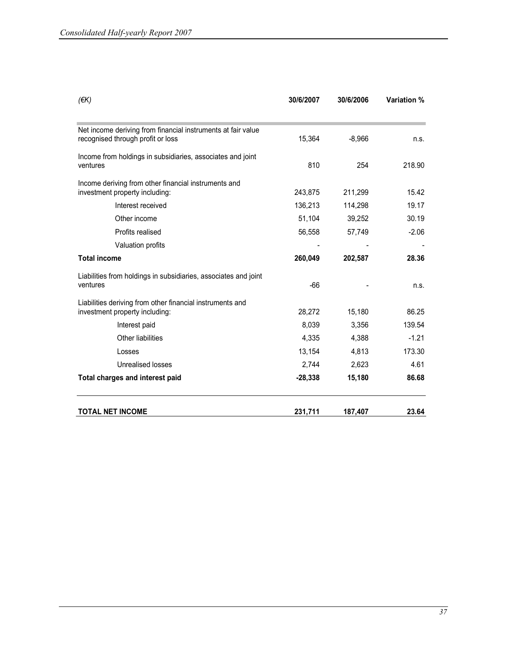| $(\epsilon K)$                                                                                    | 30/6/2007 | 30/6/2006 | Variation % |
|---------------------------------------------------------------------------------------------------|-----------|-----------|-------------|
| Net income deriving from financial instruments at fair value<br>recognised through profit or loss | 15,364    | $-8,966$  | n.s.        |
|                                                                                                   |           |           |             |
| Income from holdings in subsidiaries, associates and joint<br>ventures                            | 810       | 254       | 218.90      |
| Income deriving from other financial instruments and<br>investment property including:            | 243,875   | 211,299   | 15.42       |
| Interest received                                                                                 | 136,213   | 114,298   | 19.17       |
| Other income                                                                                      | 51,104    | 39,252    | 30.19       |
| Profits realised                                                                                  | 56,558    | 57,749    | $-2.06$     |
| Valuation profits                                                                                 |           |           |             |
| <b>Total income</b>                                                                               | 260,049   | 202,587   | 28.36       |
| Liabilities from holdings in subsidiaries, associates and joint<br>ventures                       | $-66$     |           | n.s.        |
| Liabilities deriving from other financial instruments and                                         |           |           |             |
| investment property including:                                                                    | 28,272    | 15,180    | 86.25       |
| Interest paid                                                                                     | 8,039     | 3,356     | 139.54      |
| Other liabilities                                                                                 | 4,335     | 4,388     | $-1.21$     |
| Losses                                                                                            | 13,154    | 4,813     | 173.30      |
| Unrealised losses                                                                                 | 2,744     | 2,623     | 4.61        |
| Total charges and interest paid                                                                   | $-28,338$ | 15,180    | 86.68       |
| <b>TOTAL NET INCOME</b>                                                                           | 231,711   | 187,407   | 23.64       |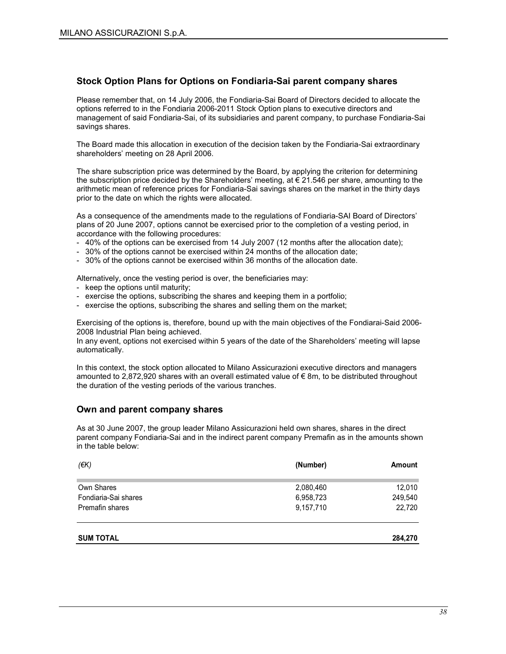#### Stock Option Plans for Options on Fondiaria-Sai parent company shares

Please remember that, on 14 July 2006, the Fondiaria-Sai Board of Directors decided to allocate the options referred to in the Fondiaria 2006-2011 Stock Option plans to executive directors and management of said Fondiaria-Sai, of its subsidiaries and parent company, to purchase Fondiaria-Sai savings shares.

The Board made this allocation in execution of the decision taken by the Fondiaria-Sai extraordinary shareholders' meeting on 28 April 2006.

The share subscription price was determined by the Board, by applying the criterion for determining the subscription price decided by the Shareholders' meeting, at  $\epsilon$  21.546 per share, amounting to the arithmetic mean of reference prices for Fondiaria-Sai savings shares on the market in the thirty days prior to the date on which the rights were allocated.

As a consequence of the amendments made to the regulations of Fondiaria-SAI Board of Directors' plans of 20 June 2007, options cannot be exercised prior to the completion of a vesting period, in accordance with the following procedures:

- 40% of the options can be exercised from 14 July 2007 (12 months after the allocation date);
- 30% of the options cannot be exercised within 24 months of the allocation date;
- 30% of the options cannot be exercised within 36 months of the allocation date.

Alternatively, once the vesting period is over, the beneficiaries may:

- keep the options until maturity;
- exercise the options, subscribing the shares and keeping them in a portfolio;
- exercise the options, subscribing the shares and selling them on the market;

Exercising of the options is, therefore, bound up with the main objectives of the Fondiarai-Said 2006- 2008 Industrial Plan being achieved.

In any event, options not exercised within 5 years of the date of the Shareholders' meeting will lapse automatically.

In this context, the stock option allocated to Milano Assicurazioni executive directors and managers amounted to 2,872,920 shares with an overall estimated value of € 8m, to be distributed throughout the duration of the vesting periods of the various tranches.

#### Own and parent company shares

As at 30 June 2007, the group leader Milano Assicurazioni held own shares, shares in the direct parent company Fondiaria-Sai and in the indirect parent company Premafin as in the amounts shown in the table below:

| (EK)                 | (Number)  | Amount  |
|----------------------|-----------|---------|
| Own Shares           | 2,080,460 | 12,010  |
| Fondiaria-Sai shares | 6,958,723 | 249,540 |
| Premafin shares      | 9,157,710 | 22,720  |
|                      |           |         |

| .270<br>284.270 |
|-----------------|
|                 |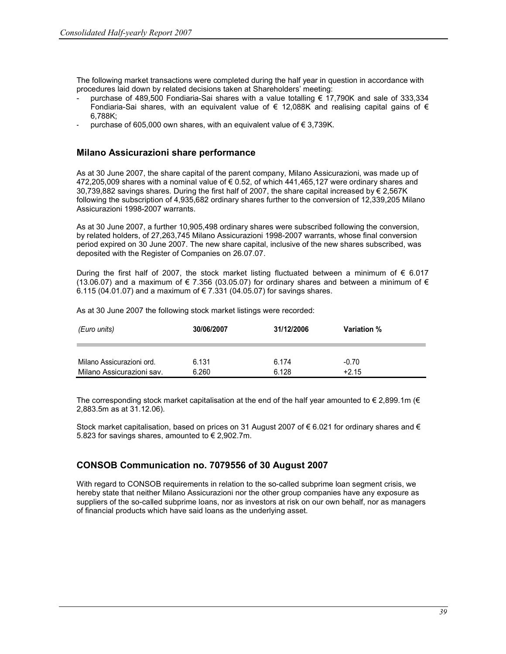The following market transactions were completed during the half year in question in accordance with procedures laid down by related decisions taken at Shareholders' meeting:

- purchase of 489,500 Fondiaria-Sai shares with a value totalling € 17,790K and sale of 333,334 Fondiaria-Sai shares, with an equivalent value of  $\epsilon$  12,088K and realising capital gains of  $\epsilon$ 6,788K;
- purchase of 605,000 own shares, with an equivalent value of  $\epsilon$  3,739K.

#### Milano Assicurazioni share performance

As at 30 June 2007, the share capital of the parent company, Milano Assicurazioni, was made up of 472,205,009 shares with a nominal value of  $\epsilon$  0.52, of which 441,465,127 were ordinary shares and 30,739,882 savings shares. During the first half of 2007, the share capital increased by € 2,567K following the subscription of 4,935,682 ordinary shares further to the conversion of 12,339,205 Milano Assicurazioni 1998-2007 warrants.

As at 30 June 2007, a further 10,905,498 ordinary shares were subscribed following the conversion, by related holders, of 27,263,745 Milano Assicurazioni 1998-2007 warrants, whose final conversion period expired on 30 June 2007. The new share capital, inclusive of the new shares subscribed, was deposited with the Register of Companies on 26.07.07.

During the first half of 2007, the stock market listing fluctuated between a minimum of  $\epsilon$  6.017 (13.06.07) and a maximum of  $\in 7.356$  (03.05.07) for ordinary shares and between a minimum of  $\in$ 6.115 (04.01.07) and a maximum of € 7.331 (04.05.07) for savings shares.

| (Euro units)              | 30/06/2007 | 31/12/2006 | Variation % |
|---------------------------|------------|------------|-------------|
| Milano Assicurazioni ord. | 6.131      | 6.174      | $-0.70$     |
| Milano Assicurazioni sav. | 6.260      | 6.128      | $+2.15$     |

As at 30 June 2007 the following stock market listings were recorded:

The corresponding stock market capitalisation at the end of the half year amounted to  $\epsilon$  2,899.1m ( $\epsilon$ 2,883.5m as at 31.12.06).

Stock market capitalisation, based on prices on 31 August 2007 of € 6.021 for ordinary shares and € 5.823 for savings shares, amounted to  $\epsilon$  2,902.7m.

### CONSOB Communication no. 7079556 of 30 August 2007

With regard to CONSOB requirements in relation to the so-called subprime loan segment crisis, we hereby state that neither Milano Assicurazioni nor the other group companies have any exposure as suppliers of the so-called subprime loans, nor as investors at risk on our own behalf, nor as managers of financial products which have said loans as the underlying asset.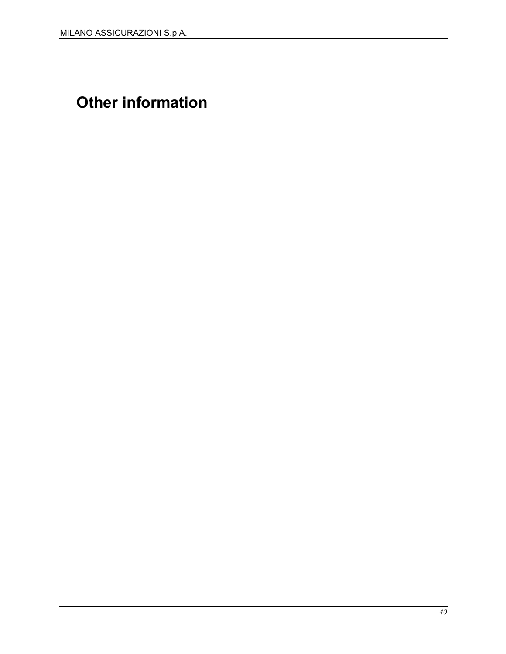# Other information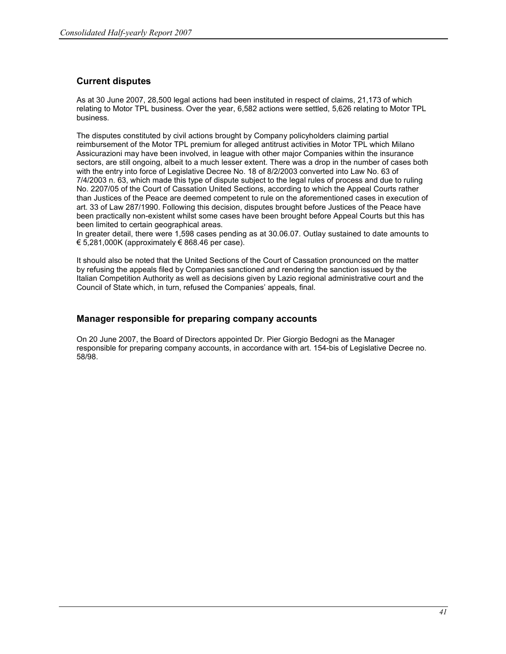## Current disputes

As at 30 June 2007, 28,500 legal actions had been instituted in respect of claims, 21,173 of which relating to Motor TPL business. Over the year, 6,582 actions were settled, 5,626 relating to Motor TPL business.

The disputes constituted by civil actions brought by Company policyholders claiming partial reimbursement of the Motor TPL premium for alleged antitrust activities in Motor TPL which Milano Assicurazioni may have been involved, in league with other major Companies within the insurance sectors, are still ongoing, albeit to a much lesser extent. There was a drop in the number of cases both with the entry into force of Legislative Decree No. 18 of 8/2/2003 converted into Law No. 63 of 7/4/2003 n. 63, which made this type of dispute subject to the legal rules of process and due to ruling No. 2207/05 of the Court of Cassation United Sections, according to which the Appeal Courts rather than Justices of the Peace are deemed competent to rule on the aforementioned cases in execution of art. 33 of Law 287/1990. Following this decision, disputes brought before Justices of the Peace have been practically non-existent whilst some cases have been brought before Appeal Courts but this has been limited to certain geographical areas.

In greater detail, there were 1,598 cases pending as at 30.06.07. Outlay sustained to date amounts to € 5,281,000K (approximately € 868.46 per case).

It should also be noted that the United Sections of the Court of Cassation pronounced on the matter by refusing the appeals filed by Companies sanctioned and rendering the sanction issued by the Italian Competition Authority as well as decisions given by Lazio regional administrative court and the Council of State which, in turn, refused the Companies' appeals, final.

#### Manager responsible for preparing company accounts

On 20 June 2007, the Board of Directors appointed Dr. Pier Giorgio Bedogni as the Manager responsible for preparing company accounts, in accordance with art. 154-bis of Legislative Decree no. 58/98.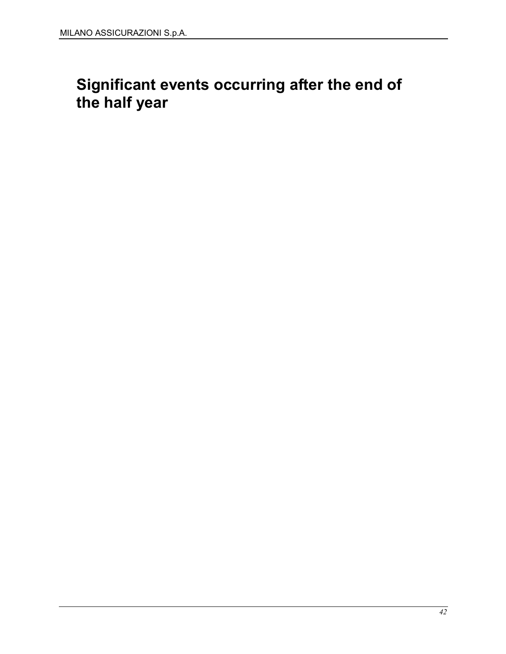# Significant events occurring after the end of the half year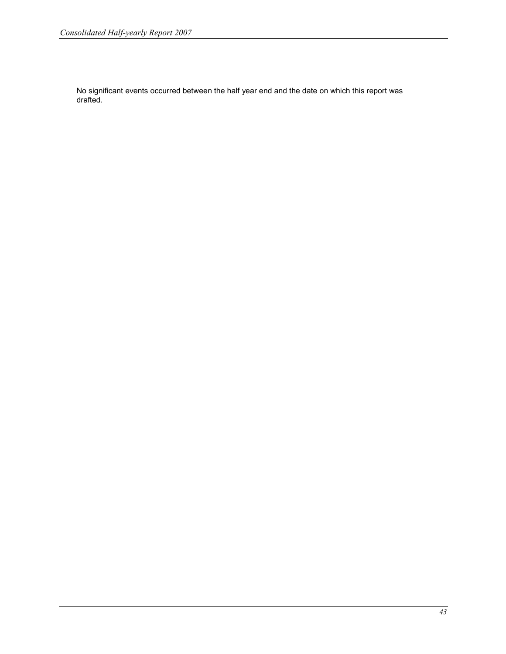No significant events occurred between the half year end and the date on which this report was drafted.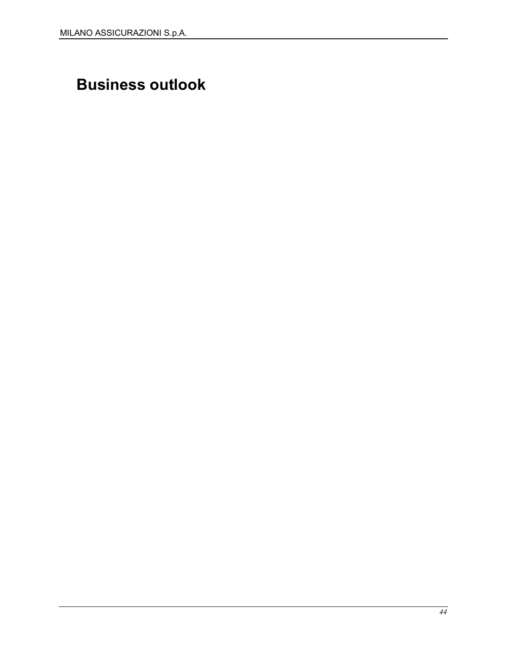# Business outlook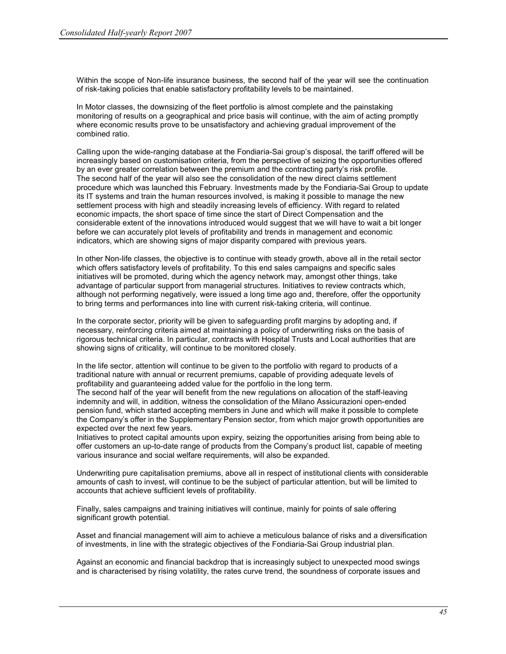Within the scope of Non-life insurance business, the second half of the year will see the continuation of risk-taking policies that enable satisfactory profitability levels to be maintained.

In Motor classes, the downsizing of the fleet portfolio is almost complete and the painstaking monitoring of results on a geographical and price basis will continue, with the aim of acting promptly where economic results prove to be unsatisfactory and achieving gradual improvement of the combined ratio.

Calling upon the wide-ranging database at the Fondiaria-Sai group's disposal, the tariff offered will be increasingly based on customisation criteria, from the perspective of seizing the opportunities offered by an ever greater correlation between the premium and the contracting party's risk profile. The second half of the year will also see the consolidation of the new direct claims settlement procedure which was launched this February. Investments made by the Fondiaria-Sai Group to update its IT systems and train the human resources involved, is making it possible to manage the new settlement process with high and steadily increasing levels of efficiency. With regard to related economic impacts, the short space of time since the start of Direct Compensation and the considerable extent of the innovations introduced would suggest that we will have to wait a bit longer before we can accurately plot levels of profitability and trends in management and economic indicators, which are showing signs of major disparity compared with previous years.

In other Non-life classes, the objective is to continue with steady growth, above all in the retail sector which offers satisfactory levels of profitability. To this end sales campaigns and specific sales initiatives will be promoted, during which the agency network may, amongst other things, take advantage of particular support from managerial structures. Initiatives to review contracts which, although not performing negatively, were issued a long time ago and, therefore, offer the opportunity to bring terms and performances into line with current risk-taking criteria, will continue.

In the corporate sector, priority will be given to safeguarding profit margins by adopting and, if necessary, reinforcing criteria aimed at maintaining a policy of underwriting risks on the basis of rigorous technical criteria. In particular, contracts with Hospital Trusts and Local authorities that are showing signs of criticality, will continue to be monitored closely.

In the life sector, attention will continue to be given to the portfolio with regard to products of a traditional nature with annual or recurrent premiums, capable of providing adequate levels of profitability and guaranteeing added value for the portfolio in the long term.

The second half of the year will benefit from the new regulations on allocation of the staff-leaving indemnity and will, in addition, witness the consolidation of the Milano Assicurazioni open-ended pension fund, which started accepting members in June and which will make it possible to complete the Company's offer in the Supplementary Pension sector, from which major growth opportunities are expected over the next few years.

Initiatives to protect capital amounts upon expiry, seizing the opportunities arising from being able to offer customers an up-to-date range of products from the Company's product list, capable of meeting various insurance and social welfare requirements, will also be expanded.

Underwriting pure capitalisation premiums, above all in respect of institutional clients with considerable amounts of cash to invest, will continue to be the subject of particular attention, but will be limited to accounts that achieve sufficient levels of profitability.

Finally, sales campaigns and training initiatives will continue, mainly for points of sale offering significant growth potential.

Asset and financial management will aim to achieve a meticulous balance of risks and a diversification of investments, in line with the strategic objectives of the Fondiaria-Sai Group industrial plan.

Against an economic and financial backdrop that is increasingly subject to unexpected mood swings and is characterised by rising volatility, the rates curve trend, the soundness of corporate issues and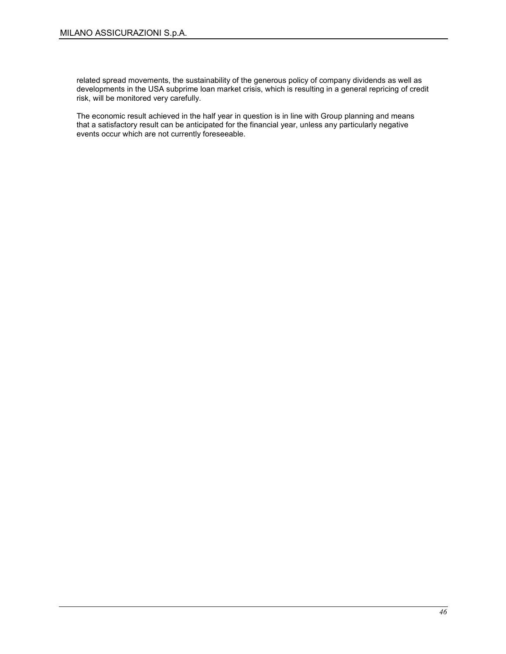related spread movements, the sustainability of the generous policy of company dividends as well as developments in the USA subprime loan market crisis, which is resulting in a general repricing of credit risk, will be monitored very carefully.

The economic result achieved in the half year in question is in line with Group planning and means that a satisfactory result can be anticipated for the financial year, unless any particularly negative events occur which are not currently foreseeable.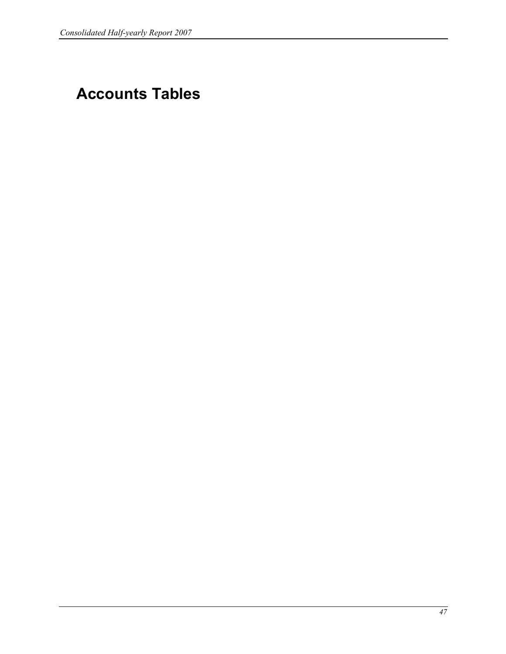# Accounts Tables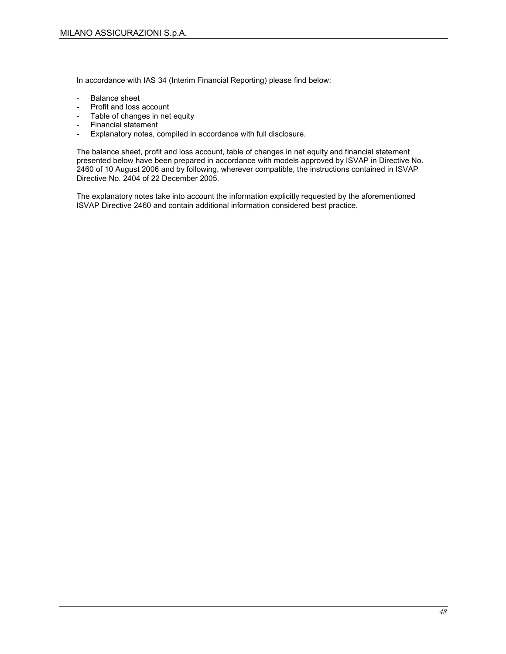In accordance with IAS 34 (Interim Financial Reporting) please find below:

- Balance sheet
- Profit and loss account
- Table of changes in net equity
- Financial statement<br>- Explanatory notes c
- Explanatory notes, compiled in accordance with full disclosure.

The balance sheet, profit and loss account, table of changes in net equity and financial statement presented below have been prepared in accordance with models approved by ISVAP in Directive No. 2460 of 10 August 2006 and by following, wherever compatible, the instructions contained in ISVAP Directive No. 2404 of 22 December 2005.

The explanatory notes take into account the information explicitly requested by the aforementioned ISVAP Directive 2460 and contain additional information considered best practice.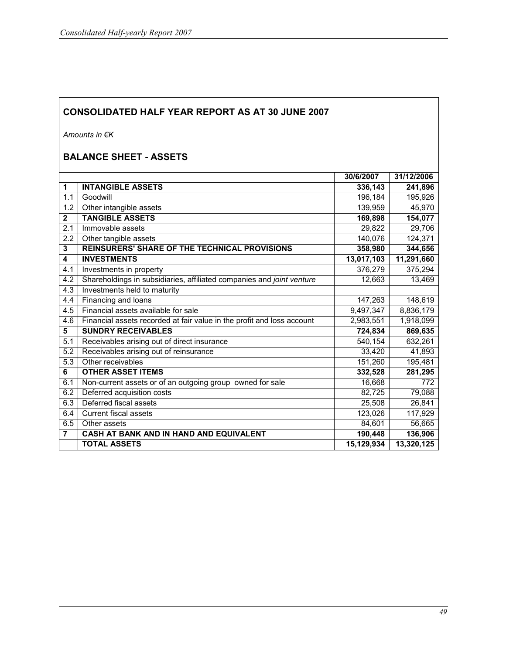Amounts in €K

# BALANCE SHEET - ASSETS

|                |                                                                        | 30/6/2007  | 31/12/2006 |
|----------------|------------------------------------------------------------------------|------------|------------|
| 1              | <b>INTANGIBLE ASSETS</b>                                               | 336,143    | 241,896    |
| 1.1            | Goodwill                                                               | 196,184    | 195,926    |
| 1.2            | Other intangible assets                                                | 139,959    | 45,970     |
| $\mathbf{2}$   | <b>TANGIBLE ASSETS</b>                                                 | 169,898    | 154,077    |
| 2.1            | Immovable assets                                                       | 29,822     | 29,706     |
| 2.2            | Other tangible assets                                                  | 140,076    | 124,371    |
| 3              | <b>REINSURERS' SHARE OF THE TECHNICAL PROVISIONS</b>                   | 358,980    | 344,656    |
| 4              | <b>INVESTMENTS</b>                                                     | 13,017,103 | 11,291,660 |
| 4.1            | Investments in property                                                | 376,279    | 375,294    |
| 4.2            | Shareholdings in subsidiaries, affiliated companies and joint venture  | 12,663     | 13,469     |
| 4.3            | Investments held to maturity                                           |            |            |
| 4.4            | Financing and loans                                                    | 147,263    | 148,619    |
| 4.5            | Financial assets available for sale                                    | 9,497,347  | 8,836,179  |
| 4.6            | Financial assets recorded at fair value in the profit and loss account | 2,983,551  | 1,918,099  |
| 5              | <b>SUNDRY RECEIVABLES</b>                                              | 724,834    | 869,635    |
| 5.1            | Receivables arising out of direct insurance                            | 540,154    | 632,261    |
| 5.2            | Receivables arising out of reinsurance                                 | 33,420     | 41,893     |
| 5.3            | Other receivables                                                      | 151,260    | 195,481    |
| 6              | <b>OTHER ASSET ITEMS</b>                                               | 332,528    | 281,295    |
| 6.1            | Non-current assets or of an outgoing group owned for sale              | 16,668     | 772        |
| 6.2            | Deferred acquisition costs                                             | 82,725     | 79,088     |
| 6.3            | Deferred fiscal assets                                                 | 25,508     | 26,841     |
| 6.4            | <b>Current fiscal assets</b>                                           | 123,026    | 117,929    |
| 6.5            | Other assets                                                           | 84,601     | 56,665     |
| $\overline{7}$ | CASH AT BANK AND IN HAND AND EQUIVALENT                                | 190,448    | 136,906    |
|                | <b>TOTAL ASSETS</b>                                                    | 15,129,934 | 13,320,125 |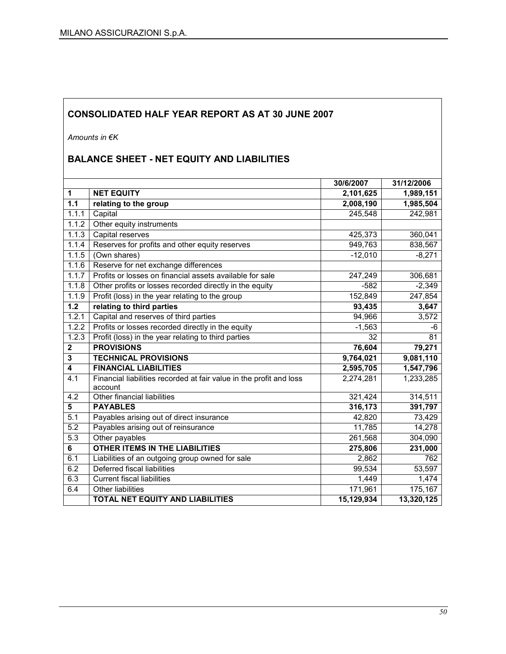Amounts in €K

# BALANCE SHEET - NET EQUITY AND LIABILITIES

|                         |                                                                                | 30/6/2007  | 31/12/2006 |
|-------------------------|--------------------------------------------------------------------------------|------------|------------|
| 1                       | <b>NET EQUITY</b>                                                              | 2,101,625  | 1,989,151  |
| 1.1                     | relating to the group                                                          | 2,008,190  | 1,985,504  |
| 1.1.1                   | Capital                                                                        | 245,548    | 242,981    |
| 1.1.2                   | Other equity instruments                                                       |            |            |
| 1.1.3                   | Capital reserves                                                               | 425,373    | 360,041    |
| 1.1.4                   | Reserves for profits and other equity reserves                                 | 949,763    | 838,567    |
| 1.1.5                   | (Own shares)                                                                   | $-12,010$  | $-8,271$   |
| 1.1.6                   | Reserve for net exchange differences                                           |            |            |
| 1.1.7                   | Profits or losses on financial assets available for sale                       | 247,249    | 306,681    |
| 1.1.8                   | Other profits or losses recorded directly in the equity                        | $-582$     | $-2,349$   |
| 1.1.9                   | Profit (loss) in the year relating to the group                                | 152,849    | 247,854    |
| $1.2$                   | relating to third parties                                                      | 93,435     | 3,647      |
| 1.2.1                   | Capital and reserves of third parties                                          | 94,966     | 3,572      |
| 1.2.2                   | Profits or losses recorded directly in the equity                              | $-1,563$   | -6         |
| 1.2.3                   | Profit (loss) in the year relating to third parties                            | 32         | 81         |
| $\overline{\mathbf{2}}$ | <b>PROVISIONS</b>                                                              | 76,604     | 79,271     |
| 3                       | <b>TECHNICAL PROVISIONS</b>                                                    | 9,764,021  | 9,081,110  |
| $\overline{4}$          | <b>FINANCIAL LIABILITIES</b>                                                   | 2,595,705  | 1,547,796  |
| 4.1                     | Financial liabilities recorded at fair value in the profit and loss<br>account | 2,274,281  | 1,233,285  |
| 4.2                     | Other financial liabilities                                                    | 321,424    | 314,511    |
| 5                       | <b>PAYABLES</b>                                                                | 316,173    | 391,797    |
| 5.1                     | Payables arising out of direct insurance                                       | 42,820     | 73,429     |
| 5.2                     | Payables arising out of reinsurance                                            | 11,785     | 14,278     |
| 5.3                     | Other payables                                                                 | 261,568    | 304,090    |
| 6                       | <b>OTHER ITEMS IN THE LIABILITIES</b>                                          | 275,806    | 231,000    |
| 6.1                     | Liabilities of an outgoing group owned for sale                                | 2,862      | 762        |
| 6.2                     | Deferred fiscal liabilities                                                    | 99,534     | 53,597     |
| 6.3                     | <b>Current fiscal liabilities</b>                                              | 1,449      | 1,474      |
| 6.4                     | Other liabilities                                                              | 171,961    | 175,167    |
|                         | <b>TOTAL NET EQUITY AND LIABILITIES</b>                                        | 15,129,934 | 13,320,125 |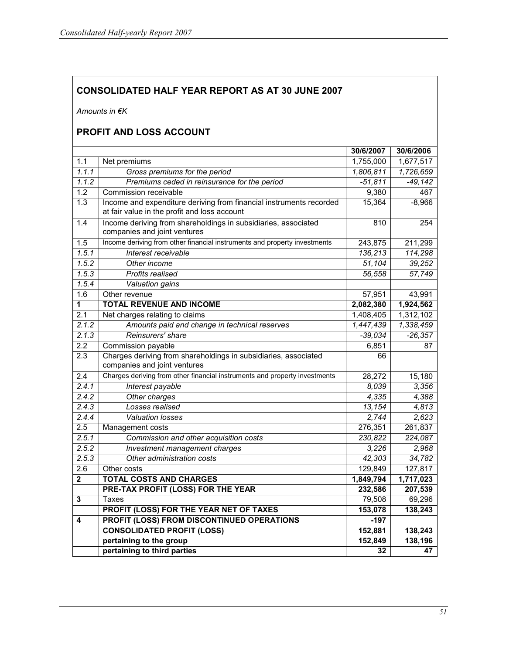Amounts in €K

## PROFIT AND LOSS ACCOUNT

|                         |                                                                                                                     | 30/6/2007 | 30/6/2006 |
|-------------------------|---------------------------------------------------------------------------------------------------------------------|-----------|-----------|
| 1.1                     | Net premiums                                                                                                        | 1,755,000 | 1,677,517 |
| 1.1.1                   | Gross premiums for the period                                                                                       | 1,806,811 | 1,726,659 |
| 1.1.2                   | Premiums ceded in reinsurance for the period                                                                        | $-51,811$ | $-49,142$ |
| $\overline{1.2}$        | Commission receivable                                                                                               | 9,380     | 467       |
| $\overline{1.3}$        | Income and expenditure deriving from financial instruments recorded<br>at fair value in the profit and loss account | 15,364    | $-8,966$  |
| 1.4                     | Income deriving from shareholdings in subsidiaries, associated<br>companies and joint ventures                      | 810       | 254       |
| 1.5                     | Income deriving from other financial instruments and property investments                                           | 243,875   | 211,299   |
| 1.5.1                   | Interest receivable                                                                                                 | 136,213   | 114,298   |
| 1.5.2                   | Other income                                                                                                        | 51,104    | 39,252    |
| 1.5.3                   | Profits realised                                                                                                    | 56,558    | 57,749    |
| 1.5.4                   | Valuation gains                                                                                                     |           |           |
| 1.6                     | Other revenue                                                                                                       | 57,951    | 43,991    |
| 1                       | <b>TOTAL REVENUE AND INCOME</b>                                                                                     | 2,082,380 | 1,924,562 |
| 2.1                     | Net charges relating to claims                                                                                      | 1,408,405 | 1,312,102 |
| 2.1.2                   | Amounts paid and change in technical reserves                                                                       | 1,447,439 | 1,338,459 |
| 2.1.3                   | Reinsurers' share                                                                                                   | $-39,034$ | $-26,357$ |
| $\overline{2.2}$        | Commission payable                                                                                                  | 6,851     | 87        |
| 2.3                     | Charges deriving from shareholdings in subsidiaries, associated<br>companies and joint ventures                     | 66        |           |
| 2.4                     | Charges deriving from other financial instruments and property investments                                          | 28,272    | 15,180    |
| 2.4.1                   | Interest payable                                                                                                    | 8,039     | 3,356     |
| 2.4.2                   | Other charges                                                                                                       | 4,335     | 4,388     |
| 2.4.3                   | Losses realised                                                                                                     | 13,154    | 4,813     |
| 2.4.4                   | <b>Valuation losses</b>                                                                                             | 2,744     | 2,623     |
| 2.5                     | Management costs                                                                                                    | 276,351   | 261,837   |
| 2.5.1                   | Commission and other acquisition costs                                                                              | 230,822   | 224,087   |
| 2.5.2                   | Investment management charges                                                                                       | 3,226     | 2,968     |
| 2.5.3                   | Other administration costs                                                                                          | 42,303    | 34,782    |
| 2.6                     | Other costs                                                                                                         | 129,849   | 127,817   |
| $\overline{\mathbf{2}}$ | <b>TOTAL COSTS AND CHARGES</b>                                                                                      | 1,849,794 | 1,717,023 |
|                         | <b>PRE-TAX PROFIT (LOSS) FOR THE YEAR</b>                                                                           | 232,586   | 207,539   |
| 3                       | Taxes                                                                                                               | 79,508    | 69,296    |
|                         | PROFIT (LOSS) FOR THE YEAR NET OF TAXES                                                                             | 153,078   | 138,243   |
| 4                       | <b>PROFIT (LOSS) FROM DISCONTINUED OPERATIONS</b>                                                                   | $-197$    |           |
|                         | <b>CONSOLIDATED PROFIT (LOSS)</b>                                                                                   | 152,881   | 138,243   |
|                         | pertaining to the group                                                                                             | 152,849   | 138,196   |
|                         | pertaining to third parties                                                                                         | 32        | 47        |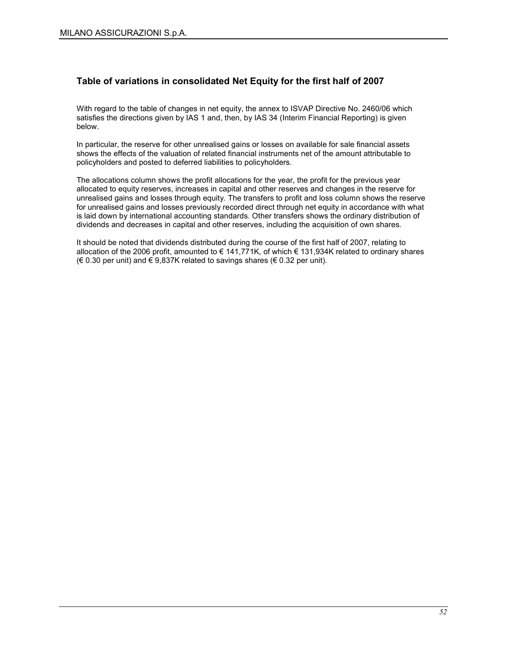## Table of variations in consolidated Net Equity for the first half of 2007

With regard to the table of changes in net equity, the annex to ISVAP Directive No. 2460/06 which satisfies the directions given by IAS 1 and, then, by IAS 34 (Interim Financial Reporting) is given below.

In particular, the reserve for other unrealised gains or losses on available for sale financial assets shows the effects of the valuation of related financial instruments net of the amount attributable to policyholders and posted to deferred liabilities to policyholders.

The allocations column shows the profit allocations for the year, the profit for the previous year allocated to equity reserves, increases in capital and other reserves and changes in the reserve for unrealised gains and losses through equity. The transfers to profit and loss column shows the reserve for unrealised gains and losses previously recorded direct through net equity in accordance with what is laid down by international accounting standards. Other transfers shows the ordinary distribution of dividends and decreases in capital and other reserves, including the acquisition of own shares.

It should be noted that dividends distributed during the course of the first half of 2007, relating to allocation of the 2006 profit, amounted to  $\epsilon$  141,771K, of which  $\epsilon$  131,934K related to ordinary shares (€ 0.30 per unit) and  $€$  9,837K related to savings shares (€ 0.32 per unit).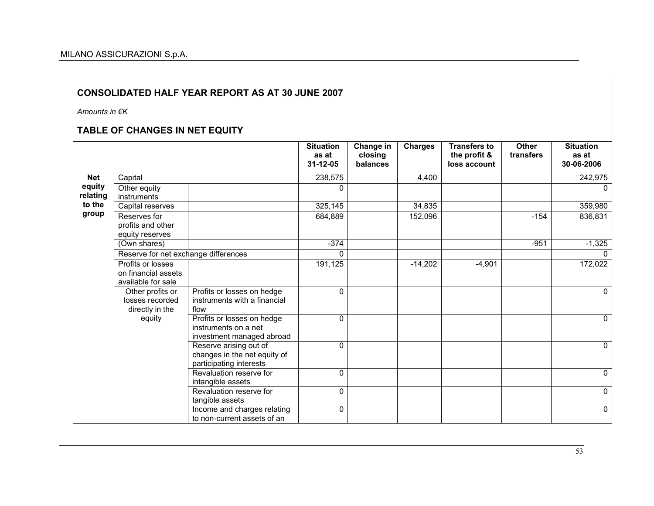Amounts in €K

## TABLE OF CHANGES IN NET EQUITY

|                    |                                                                |                                                                                   | <b>Situation</b><br>as at<br>$31 - 12 - 05$ | Change in<br>closing<br>balances | <b>Charges</b> | <b>Transfers to</b><br>the profit &<br>loss account | <b>Other</b><br>transfers | <b>Situation</b><br>as at<br>30-06-2006 |
|--------------------|----------------------------------------------------------------|-----------------------------------------------------------------------------------|---------------------------------------------|----------------------------------|----------------|-----------------------------------------------------|---------------------------|-----------------------------------------|
| <b>Net</b>         | Capital                                                        |                                                                                   | 238,575                                     |                                  | 4,400          |                                                     |                           | 242,975                                 |
| equity<br>relating | Other equity<br>instruments                                    |                                                                                   | 0                                           |                                  |                |                                                     |                           | $\Omega$                                |
| to the             | Capital reserves                                               |                                                                                   | 325,145                                     |                                  | 34,835         |                                                     |                           | 359,980                                 |
| group              | Reserves for<br>profits and other<br>equity reserves           |                                                                                   | 684,889                                     |                                  | 152,096        |                                                     | $-154$                    | 836,831                                 |
|                    | (Own shares)                                                   |                                                                                   | $-374$                                      |                                  |                |                                                     | $-951$                    | $-1,325$                                |
|                    | Reserve for net exchange differences                           |                                                                                   | 0                                           |                                  |                |                                                     |                           | $\Omega$                                |
|                    | Profits or losses<br>on financial assets<br>available for sale |                                                                                   | 191,125                                     |                                  | $-14,202$      | $-4,901$                                            |                           | 172,022                                 |
|                    | Other profits or<br>losses recorded<br>directly in the         | Profits or losses on hedge<br>instruments with a financial<br>flow                | 0                                           |                                  |                |                                                     |                           | $\mathbf{0}$                            |
|                    | equity                                                         | Profits or losses on hedge<br>instruments on a net<br>investment managed abroad   | $\Omega$                                    |                                  |                |                                                     |                           | $\mathbf{0}$                            |
|                    |                                                                | Reserve arising out of<br>changes in the net equity of<br>participating interests | 0                                           |                                  |                |                                                     |                           | $\mathbf{0}$                            |
|                    |                                                                | Revaluation reserve for<br>intangible assets                                      | $\mathbf{0}$                                |                                  |                |                                                     |                           | 0                                       |
|                    |                                                                | Revaluation reserve for<br>tangible assets                                        | 0                                           |                                  |                |                                                     |                           | $\mathbf{0}$                            |
|                    |                                                                | Income and charges relating<br>to non-current assets of an                        | 0                                           |                                  |                |                                                     |                           | $\mathbf{0}$                            |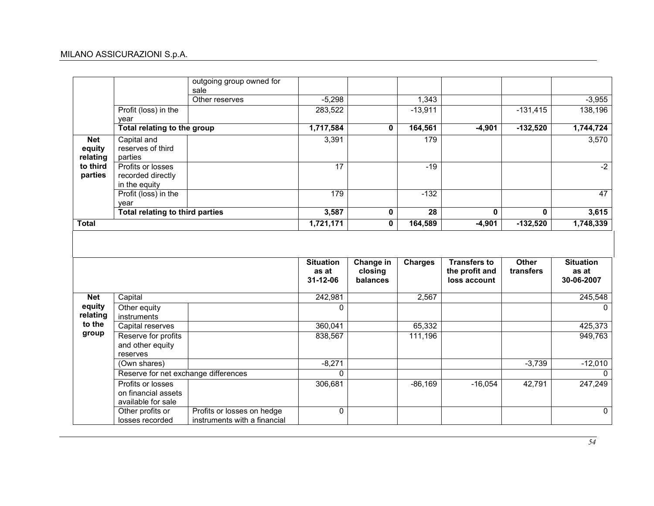## MILANO ASSICURAZIONI S.p.A.

|                                  |                                                                                                        | outgoing group owned for<br>sale |                                       |                                  |                 |                                                       |                    |                                         |
|----------------------------------|--------------------------------------------------------------------------------------------------------|----------------------------------|---------------------------------------|----------------------------------|-----------------|-------------------------------------------------------|--------------------|-----------------------------------------|
|                                  |                                                                                                        | Other reserves                   | $-5,298$                              |                                  | 1,343           |                                                       |                    | $-3,955$                                |
|                                  | Profit (loss) in the<br>vear                                                                           |                                  | 283,522                               |                                  | $-13,911$       |                                                       | $-131,415$         | 138,196                                 |
|                                  | Total relating to the group                                                                            |                                  | 1,717,584                             | 0                                | 164,561         | $-4,901$                                              | $-132,520$         | 1,744,724                               |
| <b>Net</b><br>equity<br>relating | Capital and<br>reserves of third<br>parties                                                            |                                  | 3,391                                 |                                  | 179             |                                                       |                    | 3,570                                   |
| to third<br>parties              | Profits or losses<br>recorded directly<br>in the equity                                                |                                  | 17                                    |                                  | $-19$           |                                                       |                    | $-2$                                    |
|                                  | Profit (loss) in the<br>vear                                                                           |                                  | 179                                   |                                  | $-132$          |                                                       |                    | 47                                      |
|                                  | <b>Total relating to third parties</b>                                                                 |                                  | 3,587                                 | 0                                | $\overline{28}$ | $\mathbf{0}$                                          | $\mathbf{0}$       | 3,615                                   |
| <b>Total</b>                     |                                                                                                        |                                  | 1,721,171                             | $\mathbf 0$                      | 164,589         | $-4,901$                                              | $-132,520$         | 1,748,339                               |
|                                  |                                                                                                        |                                  |                                       |                                  |                 |                                                       |                    |                                         |
|                                  |                                                                                                        |                                  | <b>Situation</b><br>as at<br>31-12-06 | Change in<br>closing<br>balances | <b>Charges</b>  | <b>Transfers to</b><br>the profit and<br>loss account | Other<br>transfers | <b>Situation</b><br>as at<br>30-06-2007 |
| <b>Net</b>                       | Capital                                                                                                |                                  | 242,981                               |                                  | 2,567           |                                                       |                    | 245,548                                 |
| equity<br>relating               | Other equity<br>instruments                                                                            |                                  | $\mathbf 0$                           |                                  |                 |                                                       |                    | $\Omega$                                |
| to the                           | Capital reserves                                                                                       |                                  | 360,041                               |                                  | 65,332          |                                                       |                    | 425,373                                 |
| group                            | Reserve for profits<br>and other equity<br>reserves                                                    |                                  | 838,567                               |                                  | 111,196         |                                                       |                    | 949,763                                 |
|                                  | (Own shares)                                                                                           |                                  |                                       |                                  |                 |                                                       | $-3,739$           |                                         |
|                                  |                                                                                                        |                                  | $-8,271$<br>$\mathbf{0}$              |                                  |                 |                                                       |                    | $-12,010$<br>$\Omega$                   |
|                                  | Reserve for net exchange differences<br>Profits or losses<br>on financial assets<br>available for sale |                                  | 306,681                               |                                  | $-86,169$       | $-16,054$                                             | 42,791             | 247,249                                 |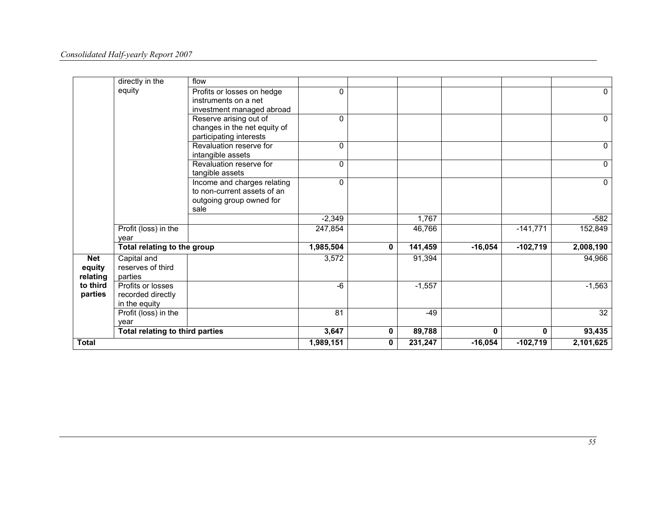|              | directly in the                        | flow                         |              |   |          |             |            |                 |
|--------------|----------------------------------------|------------------------------|--------------|---|----------|-------------|------------|-----------------|
|              | equity                                 | Profits or losses on hedge   | $\Omega$     |   |          |             |            | $\mathbf{0}$    |
|              |                                        | instruments on a net         |              |   |          |             |            |                 |
|              |                                        | investment managed abroad    |              |   |          |             |            |                 |
|              |                                        | Reserve arising out of       | $\mathbf{0}$ |   |          |             |            | $\mathbf{0}$    |
|              |                                        | changes in the net equity of |              |   |          |             |            |                 |
|              |                                        | participating interests      |              |   |          |             |            |                 |
|              |                                        | Revaluation reserve for      | 0            |   |          |             |            | 0               |
|              |                                        | intangible assets            |              |   |          |             |            |                 |
|              |                                        | Revaluation reserve for      | $\mathbf{0}$ |   |          |             |            | $\Omega$        |
|              |                                        | tangible assets              |              |   |          |             |            |                 |
|              |                                        | Income and charges relating  | $\mathbf{0}$ |   |          |             |            | $\mathbf{0}$    |
|              |                                        | to non-current assets of an  |              |   |          |             |            |                 |
|              |                                        | outgoing group owned for     |              |   |          |             |            |                 |
|              |                                        | sale                         |              |   |          |             |            |                 |
|              |                                        |                              | $-2,349$     |   | 1,767    |             |            | $-582$          |
|              | Profit (loss) in the                   |                              | 247,854      |   | 46,766   |             | $-141,771$ | 152,849         |
|              | year                                   |                              |              |   |          |             |            |                 |
|              | Total relating to the group            |                              | 1,985,504    | 0 | 141,459  | $-16,054$   | $-102,719$ | 2,008,190       |
| <b>Net</b>   | Capital and                            |                              | 3,572        |   | 91,394   |             |            | 94,966          |
| equity       | reserves of third                      |                              |              |   |          |             |            |                 |
| relating     | parties                                |                              |              |   |          |             |            |                 |
| to third     | Profits or losses                      |                              | -6           |   | $-1,557$ |             |            | $-1,563$        |
| parties      | recorded directly                      |                              |              |   |          |             |            |                 |
|              | in the equity                          |                              |              |   |          |             |            |                 |
|              | Profit (loss) in the                   |                              | 81           |   | $-49$    |             |            | $\overline{32}$ |
|              | vear                                   |                              |              |   |          | $\mathbf 0$ | 0          |                 |
|              | <b>Total relating to third parties</b> |                              | 3,647        | 0 | 89,788   |             |            | 93,435          |
| <b>Total</b> |                                        |                              | 1,989,151    | 0 | 231,247  | $-16,054$   | $-102,719$ | 2,101,625       |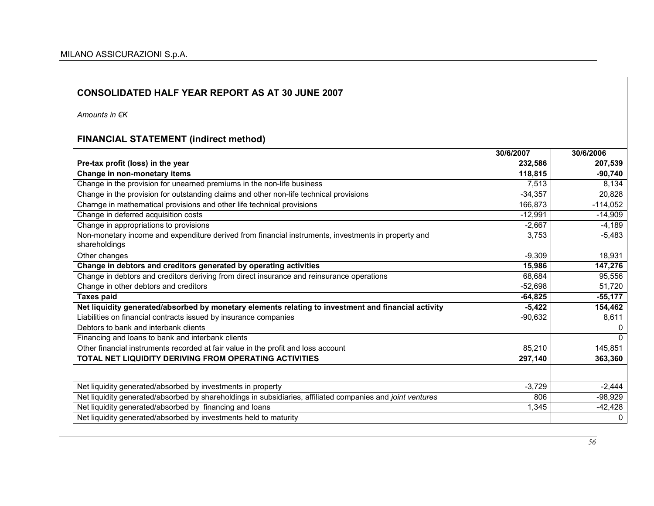Amounts in €K

## FINANCIAL STATEMENT (indirect method)

|                                                                                                                      | 30/6/2007 | 30/6/2006  |
|----------------------------------------------------------------------------------------------------------------------|-----------|------------|
| Pre-tax profit (loss) in the year                                                                                    | 232,586   | 207,539    |
| Change in non-monetary items                                                                                         | 118,815   | $-90,740$  |
| Change in the provision for unearned premiums in the non-life business                                               | 7,513     | 8,134      |
| Change in the provision for outstanding claims and other non-life technical provisions                               | $-34,357$ | 20,828     |
| Charnge in mathematical provisions and other life technical provisions                                               | 166,873   | $-114,052$ |
| Change in deferred acquisition costs                                                                                 | $-12,991$ | $-14,909$  |
| Change in appropriations to provisions                                                                               | $-2,667$  | $-4,189$   |
| Non-monetary income and expenditure derived from financial instruments, investments in property and<br>shareholdings | 3,753     | $-5,483$   |
| Other changes                                                                                                        | $-9,309$  | 18,931     |
| Change in debtors and creditors generated by operating activities                                                    | 15,986    | 147,276    |
| Change in debtors and creditors deriving from direct insurance and reinsurance operations                            | 68,684    | 95,556     |
| Change in other debtors and creditors                                                                                | $-52,698$ | 51,720     |
| <b>Taxes paid</b>                                                                                                    | $-64,825$ | $-55,177$  |
| Net liquidity generated/absorbed by monetary elements relating to investment and financial activity                  | $-5,422$  | 154,462    |
| Liabilities on financial contracts issued by insurance companies                                                     | $-90,632$ | 8,611      |
| Debtors to bank and interbank clients                                                                                |           | $\Omega$   |
| Financing and loans to bank and interbank clients                                                                    |           | $\Omega$   |
| Other financial instruments recorded at fair value in the profit and loss account                                    | 85,210    | 145,851    |
| TOTAL NET LIQUIDITY DERIVING FROM OPERATING ACTIVITIES                                                               | 297,140   | 363,360    |
|                                                                                                                      |           |            |
| Net liquidity generated/absorbed by investments in property                                                          | $-3,729$  | $-2,444$   |
| Net liquidity generated/absorbed by shareholdings in subsidiaries, affiliated companies and joint ventures           | 806       | $-98,929$  |
| Net liquidity generated/absorbed by financing and loans                                                              | 1,345     | -42,428    |
| Net liquidity generated/absorbed by investments held to maturity                                                     |           | 0          |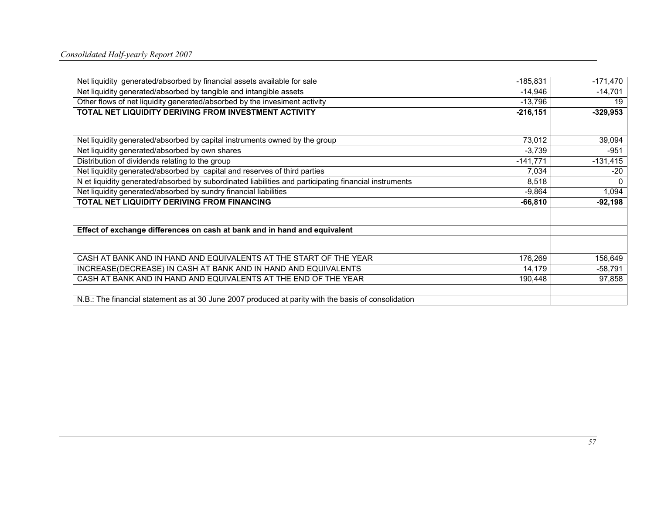| Net liquidity generated/absorbed by financial assets available for sale                               | $-185,831$  | $-171,470$ |
|-------------------------------------------------------------------------------------------------------|-------------|------------|
| Net liquidity generated/absorbed by tangible and intangible assets                                    | $-14,946$   | $-14,701$  |
| Other flows of net liquidity generated/absorbed by the invesiment activity                            | $-13,796$   | 19         |
| TOTAL NET LIQUIDITY DERIVING FROM INVESTMENT ACTIVITY                                                 | $-216, 151$ | $-329,953$ |
|                                                                                                       |             |            |
| Net liquidity generated/absorbed by capital instruments owned by the group                            | 73,012      | 39,094     |
| Net liquidity generated/absorbed by own shares                                                        | $-3,739$    | $-951$     |
| Distribution of dividends relating to the group                                                       | $-141,771$  | $-131,415$ |
| Net liquidity generated/absorbed by capital and reserves of third parties                             | 7,034       | $-20$      |
| N et liquidity generated/absorbed by subordinated liabilities and participating financial instruments | 8,518       | $\Omega$   |
| Net liquidity generated/absorbed by sundry financial liabilities                                      | $-9,864$    | 1,094      |
| TOTAL NET LIQUIDITY DERIVING FROM FINANCING                                                           | $-66,810$   | $-92,198$  |
|                                                                                                       |             |            |
| Effect of exchange differences on cash at bank and in hand and equivalent                             |             |            |
|                                                                                                       |             |            |
| CASH AT BANK AND IN HAND AND EQUIVALENTS AT THE START OF THE YEAR                                     | 176,269     | 156,649    |
| INCREASE(DECREASE) IN CASH AT BANK AND IN HAND AND EQUIVALENTS                                        | 14,179      | $-58,791$  |
| CASH AT BANK AND IN HAND AND EQUIVALENTS AT THE END OF THE YEAR                                       | 190,448     | 97,858     |
|                                                                                                       |             |            |
| N.B.: The financial statement as at 30 June 2007 produced at parity with the basis of consolidation   |             |            |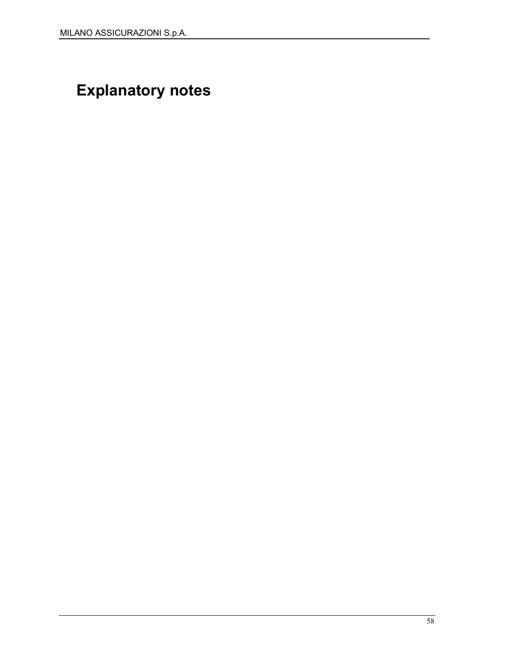# Explanatory notes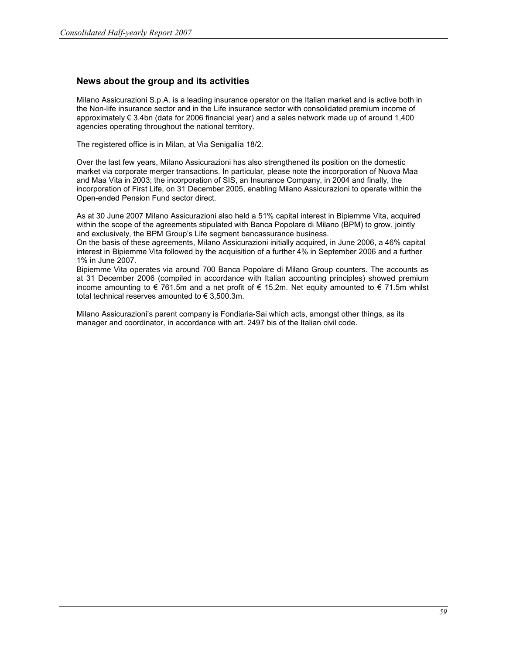#### News about the group and its activities

Milano Assicurazioni S.p.A. is a leading insurance operator on the Italian market and is active both in the Non-life insurance sector and in the Life insurance sector with consolidated premium income of approximately € 3.4bn (data for 2006 financial year) and a sales network made up of around 1,400 agencies operating throughout the national territory.

The registered office is in Milan, at Via Senigallia 18/2.

Over the last few years, Milano Assicurazioni has also strengthened its position on the domestic market via corporate merger transactions. In particular, please note the incorporation of Nuova Maa and Maa Vita in 2003; the incorporation of SIS, an Insurance Company, in 2004 and finally, the incorporation of First Life, on 31 December 2005, enabling Milano Assicurazioni to operate within the Open-ended Pension Fund sector direct.

As at 30 June 2007 Milano Assicurazioni also held a 51% capital interest in Bipiemme Vita, acquired within the scope of the agreements stipulated with Banca Popolare di Milano (BPM) to grow, jointly and exclusively, the BPM Group's Life segment bancassurance business.

On the basis of these agreements, Milano Assicurazioni initially acquired, in June 2006, a 46% capital interest in Bipiemme Vita followed by the acquisition of a further 4% in September 2006 and a further 1% in June 2007.

Bipiemme Vita operates via around 700 Banca Popolare di Milano Group counters. The accounts as at 31 December 2006 (compiled in accordance with Italian accounting principles) showed premium income amounting to  $\epsilon$  761.5m and a net profit of  $\epsilon$  15.2m. Net equity amounted to  $\epsilon$  71.5m whilst total technical reserves amounted to  $\epsilon$  3,500.3m.

Milano Assicurazioni's parent company is Fondiaria-Sai which acts, amongst other things, as its manager and coordinator, in accordance with art. 2497 bis of the Italian civil code.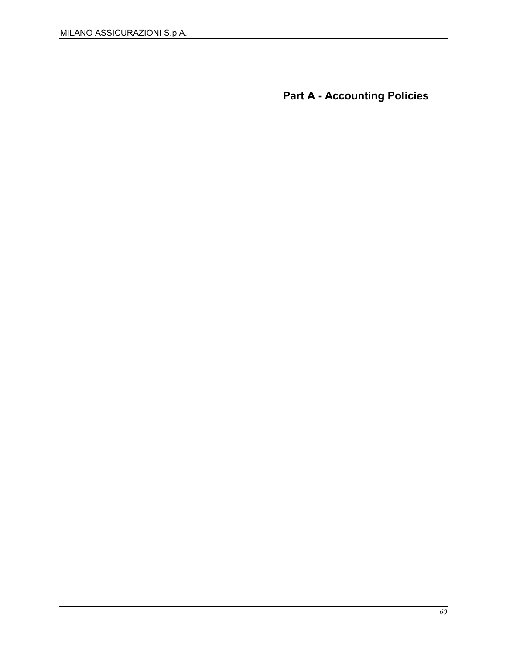Part A - Accounting Policies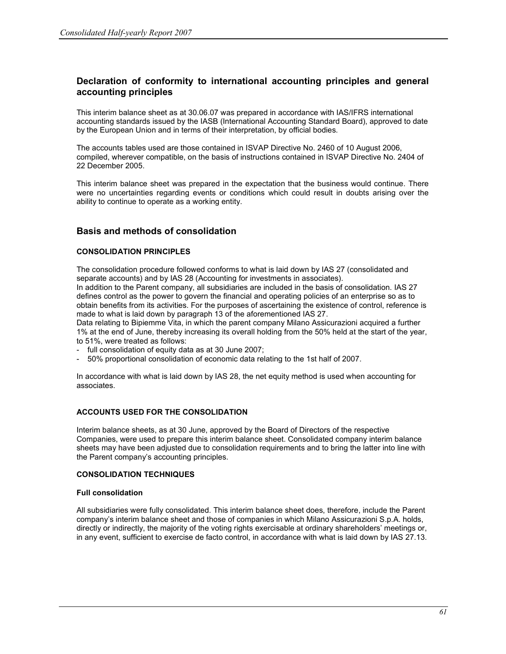### Declaration of conformity to international accounting principles and general accounting principles

This interim balance sheet as at 30.06.07 was prepared in accordance with IAS/IFRS international accounting standards issued by the IASB (International Accounting Standard Board), approved to date by the European Union and in terms of their interpretation, by official bodies.

The accounts tables used are those contained in ISVAP Directive No. 2460 of 10 August 2006, compiled, wherever compatible, on the basis of instructions contained in ISVAP Directive No. 2404 of 22 December 2005.

This interim balance sheet was prepared in the expectation that the business would continue. There were no uncertainties regarding events or conditions which could result in doubts arising over the ability to continue to operate as a working entity.

### Basis and methods of consolidation

#### CONSOLIDATION PRINCIPLES

The consolidation procedure followed conforms to what is laid down by IAS 27 (consolidated and separate accounts) and by IAS 28 (Accounting for investments in associates).

In addition to the Parent company, all subsidiaries are included in the basis of consolidation. IAS 27 defines control as the power to govern the financial and operating policies of an enterprise so as to obtain benefits from its activities. For the purposes of ascertaining the existence of control, reference is made to what is laid down by paragraph 13 of the aforementioned IAS 27.

Data relating to Bipiemme Vita, in which the parent company Milano Assicurazioni acquired a further 1% at the end of June, thereby increasing its overall holding from the 50% held at the start of the year, to 51%, were treated as follows:

- full consolidation of equity data as at 30 June 2007;
- 50% proportional consolidation of economic data relating to the 1st half of 2007.

In accordance with what is laid down by IAS 28, the net equity method is used when accounting for associates.

#### ACCOUNTS USED FOR THE CONSOLIDATION

Interim balance sheets, as at 30 June, approved by the Board of Directors of the respective Companies, were used to prepare this interim balance sheet. Consolidated company interim balance sheets may have been adjusted due to consolidation requirements and to bring the latter into line with the Parent company's accounting principles.

#### CONSOLIDATION TECHNIQUES

#### Full consolidation

All subsidiaries were fully consolidated. This interim balance sheet does, therefore, include the Parent company's interim balance sheet and those of companies in which Milano Assicurazioni S.p.A. holds, directly or indirectly, the majority of the voting rights exercisable at ordinary shareholders' meetings or, in any event, sufficient to exercise de facto control, in accordance with what is laid down by IAS 27.13.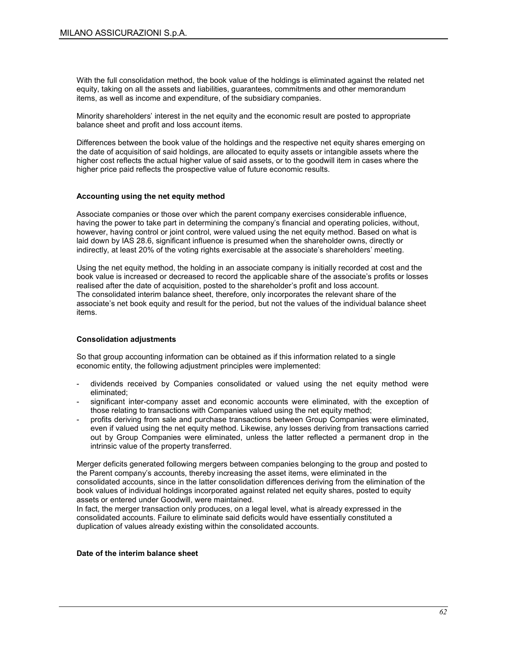With the full consolidation method, the book value of the holdings is eliminated against the related net equity, taking on all the assets and liabilities, guarantees, commitments and other memorandum items, as well as income and expenditure, of the subsidiary companies.

Minority shareholders' interest in the net equity and the economic result are posted to appropriate balance sheet and profit and loss account items.

Differences between the book value of the holdings and the respective net equity shares emerging on the date of acquisition of said holdings, are allocated to equity assets or intangible assets where the higher cost reflects the actual higher value of said assets, or to the goodwill item in cases where the higher price paid reflects the prospective value of future economic results.

#### Accounting using the net equity method

Associate companies or those over which the parent company exercises considerable influence, having the power to take part in determining the company's financial and operating policies, without, however, having control or joint control, were valued using the net equity method. Based on what is laid down by IAS 28.6, significant influence is presumed when the shareholder owns, directly or indirectly, at least 20% of the voting rights exercisable at the associate's shareholders' meeting.

Using the net equity method, the holding in an associate company is initially recorded at cost and the book value is increased or decreased to record the applicable share of the associate's profits or losses realised after the date of acquisition, posted to the shareholder's profit and loss account. The consolidated interim balance sheet, therefore, only incorporates the relevant share of the associate's net book equity and result for the period, but not the values of the individual balance sheet items.

#### Consolidation adjustments

So that group accounting information can be obtained as if this information related to a single economic entity, the following adjustment principles were implemented:

- dividends received by Companies consolidated or valued using the net equity method were eliminated;
- significant inter-company asset and economic accounts were eliminated, with the exception of those relating to transactions with Companies valued using the net equity method;
- profits deriving from sale and purchase transactions between Group Companies were eliminated, even if valued using the net equity method. Likewise, any losses deriving from transactions carried out by Group Companies were eliminated, unless the latter reflected a permanent drop in the intrinsic value of the property transferred.

Merger deficits generated following mergers between companies belonging to the group and posted to the Parent company's accounts, thereby increasing the asset items, were eliminated in the consolidated accounts, since in the latter consolidation differences deriving from the elimination of the book values of individual holdings incorporated against related net equity shares, posted to equity assets or entered under Goodwill, were maintained.

In fact, the merger transaction only produces, on a legal level, what is already expressed in the consolidated accounts. Failure to eliminate said deficits would have essentially constituted a duplication of values already existing within the consolidated accounts.

#### Date of the interim balance sheet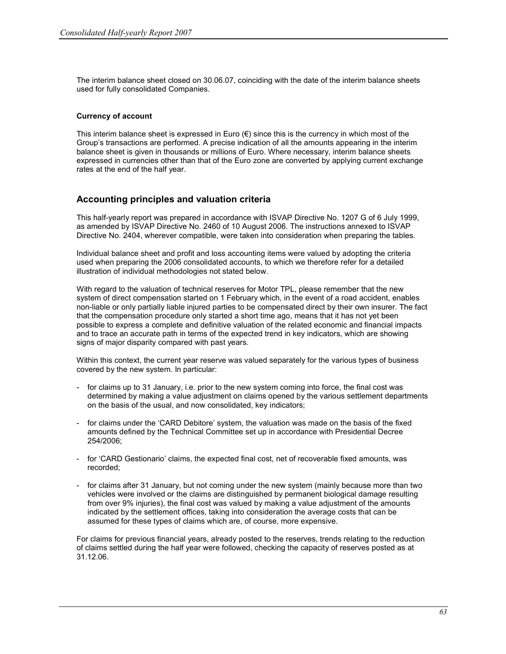The interim balance sheet closed on 30.06.07, coinciding with the date of the interim balance sheets used for fully consolidated Companies.

#### Currency of account

This interim balance sheet is expressed in Euro  $(\epsilon)$  since this is the currency in which most of the Group's transactions are performed. A precise indication of all the amounts appearing in the interim balance sheet is given in thousands or millions of Euro. Where necessary, interim balance sheets expressed in currencies other than that of the Euro zone are converted by applying current exchange rates at the end of the half year.

### Accounting principles and valuation criteria

This half-yearly report was prepared in accordance with ISVAP Directive No. 1207 G of 6 July 1999, as amended by ISVAP Directive No. 2460 of 10 August 2006. The instructions annexed to ISVAP Directive No. 2404, wherever compatible, were taken into consideration when preparing the tables.

Individual balance sheet and profit and loss accounting items were valued by adopting the criteria used when preparing the 2006 consolidated accounts, to which we therefore refer for a detailed illustration of individual methodologies not stated below.

With regard to the valuation of technical reserves for Motor TPL, please remember that the new system of direct compensation started on 1 February which, in the event of a road accident, enables non-liable or only partially liable injured parties to be compensated direct by their own insurer. The fact that the compensation procedure only started a short time ago, means that it has not yet been possible to express a complete and definitive valuation of the related economic and financial impacts and to trace an accurate path in terms of the expected trend in key indicators, which are showing signs of major disparity compared with past years.

Within this context, the current year reserve was valued separately for the various types of business covered by the new system. In particular:

- for claims up to 31 January, i.e. prior to the new system coming into force, the final cost was determined by making a value adjustment on claims opened by the various settlement departments on the basis of the usual, and now consolidated, key indicators;
- for claims under the 'CARD Debitore' system, the valuation was made on the basis of the fixed amounts defined by the Technical Committee set up in accordance with Presidential Decree 254/2006;
- for 'CARD Gestionario' claims, the expected final cost, net of recoverable fixed amounts, was recorded;
- for claims after 31 January, but not coming under the new system (mainly because more than two vehicles were involved or the claims are distinguished by permanent biological damage resulting from over 9% injuries), the final cost was valued by making a value adjustment of the amounts indicated by the settlement offices, taking into consideration the average costs that can be assumed for these types of claims which are, of course, more expensive.

For claims for previous financial years, already posted to the reserves, trends relating to the reduction of claims settled during the half year were followed, checking the capacity of reserves posted as at 31.12.06.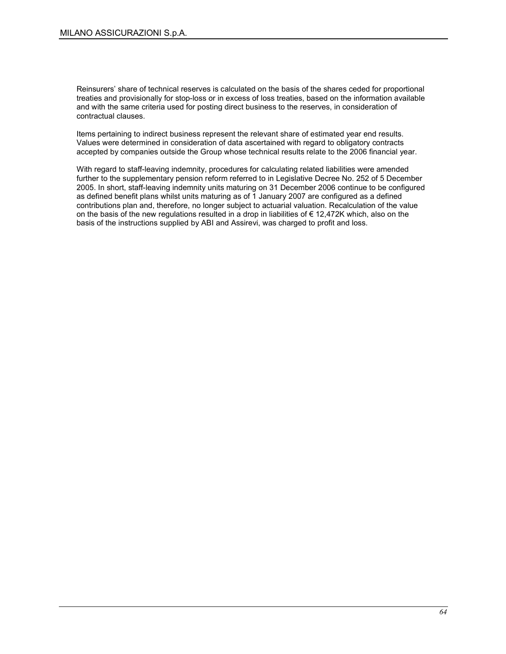Reinsurers' share of technical reserves is calculated on the basis of the shares ceded for proportional treaties and provisionally for stop-loss or in excess of loss treaties, based on the information available and with the same criteria used for posting direct business to the reserves, in consideration of contractual clauses.

Items pertaining to indirect business represent the relevant share of estimated year end results. Values were determined in consideration of data ascertained with regard to obligatory contracts accepted by companies outside the Group whose technical results relate to the 2006 financial year.

With regard to staff-leaving indemnity, procedures for calculating related liabilities were amended further to the supplementary pension reform referred to in Legislative Decree No. 252 of 5 December 2005. In short, staff-leaving indemnity units maturing on 31 December 2006 continue to be configured as defined benefit plans whilst units maturing as of 1 January 2007 are configured as a defined contributions plan and, therefore, no longer subject to actuarial valuation. Recalculation of the value on the basis of the new regulations resulted in a drop in liabilities of € 12,472K which, also on the basis of the instructions supplied by ABI and Assirevi, was charged to profit and loss.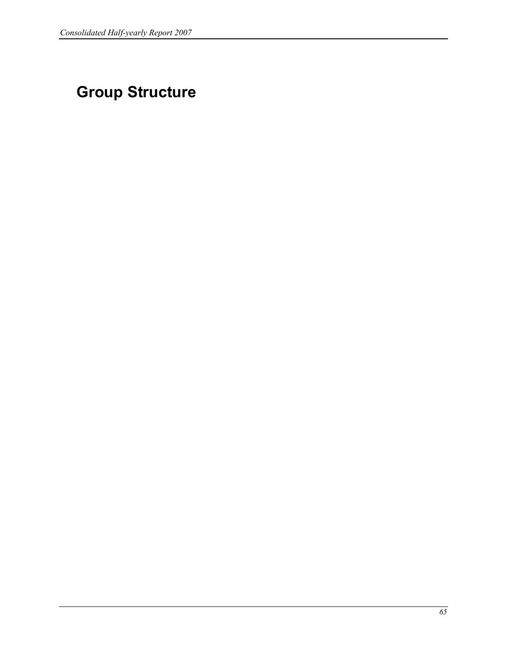# Group Structure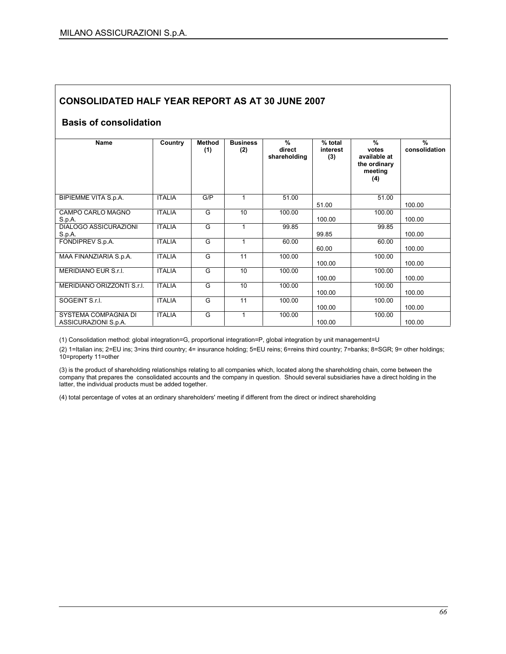## Basis of consolidation

| <b>Name</b>                                  | Country       | Method<br>(1) | <b>Business</b><br>(2) | %<br>direct<br>shareholding | % total<br>interest<br>(3) | $\frac{9}{6}$<br>votes<br>available at<br>the ordinary<br>meeting<br>(4) | $\%$<br>consolidation |
|----------------------------------------------|---------------|---------------|------------------------|-----------------------------|----------------------------|--------------------------------------------------------------------------|-----------------------|
| BIPIEMME VITA S.p.A.                         | <b>ITALIA</b> | G/P           | 1                      | 51.00                       | 51.00                      | 51.00                                                                    | 100.00                |
| CAMPO CARLO MAGNO<br>S.p.A.                  | <b>ITALIA</b> | G             | 10                     | 100.00                      | 100.00                     | 100.00                                                                   | 100.00                |
| DIALOGO ASSICURAZIONI<br>S.p.A.              | <b>ITALIA</b> | G             | 1                      | 99.85                       | 99.85                      | 99.85                                                                    | 100.00                |
| FONDIPREV S.p.A.                             | <b>ITALIA</b> | G             | 1                      | 60.00                       | 60.00                      | 60.00                                                                    | 100.00                |
| MAA FINANZIARIA S.p.A.                       | <b>ITALIA</b> | G             | 11                     | 100.00                      | 100.00                     | 100.00                                                                   | 100.00                |
| MERIDIANO EUR S.r.I.                         | <b>ITALIA</b> | G             | 10                     | 100.00                      | 100.00                     | 100.00                                                                   | 100.00                |
| MERIDIANO ORIZZONTI S.r.I.                   | <b>ITALIA</b> | G             | 10                     | 100.00                      | 100.00                     | 100.00                                                                   | 100.00                |
| SOGEINT S.r.I.                               | <b>ITALIA</b> | G             | 11                     | 100.00                      | 100.00                     | 100.00                                                                   | 100.00                |
| SYSTEMA COMPAGNIA DI<br>ASSICURAZIONI S.p.A. | <b>ITALIA</b> | G             | 1                      | 100.00                      | 100.00                     | 100.00                                                                   | 100.00                |

(1) Consolidation method: global integration=G, proportional integration=P, global integration by unit management=U

(2) 1=Italian ins; 2=EU ins; 3=ins third country; 4= insurance holding; 5=EU reins; 6=reins third country; 7=banks; 8=SGR; 9= other holdings; 10=property 11=other

(3) is the product of shareholding relationships relating to all companies which, located along the shareholding chain, come between the company that prepares the consolidated accounts and the company in question. Should several subsidiaries have a direct holding in the latter, the individual products must be added together.

(4) total percentage of votes at an ordinary shareholders' meeting if different from the direct or indirect shareholding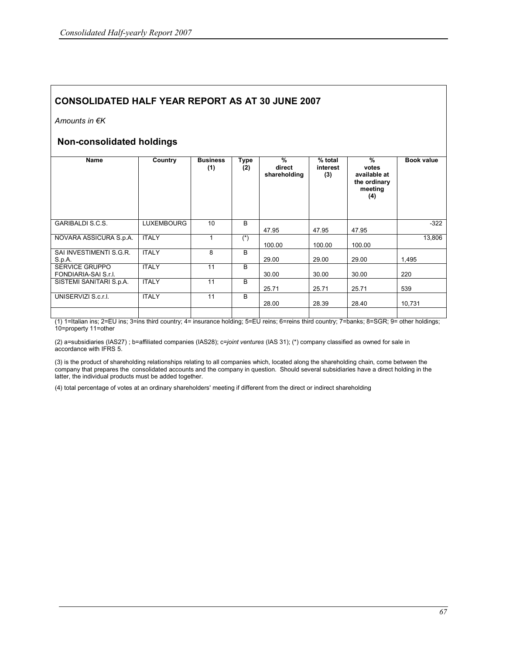Amounts in €K

### Non-consolidated holdings

| Name                                          | Country           | <b>Business</b><br>(1) | Type<br>(2)  | %<br>direct<br>shareholding | % total<br>interest<br>(3) | %<br>votes<br>available at<br>the ordinary<br>meeting<br>(4) | <b>Book value</b> |
|-----------------------------------------------|-------------------|------------------------|--------------|-----------------------------|----------------------------|--------------------------------------------------------------|-------------------|
| <b>GARIBALDI S.C.S.</b>                       | <b>LUXEMBOURG</b> | 10                     | <sub>B</sub> | 47.95                       | 47.95                      | 47.95                                                        | $-322$            |
| NOVARA ASSICURA S.p.A.                        | <b>ITALY</b>      |                        | $(*)$        | 100.00                      | 100.00                     | 100.00                                                       | 13,806            |
| SAI INVESTIMENTI S.G.R.<br>S.p.A.             | <b>ITALY</b>      | 8                      | <sub>B</sub> | 29.00                       | 29.00                      | 29.00                                                        | 1,495             |
| <b>SERVICE GRUPPO</b><br>FONDIARIA-SAI S.r.I. | <b>ITALY</b>      | 11                     | B            | 30.00                       | 30.00                      | 30.00                                                        | 220               |
| SISTEMI SANITARI S.p.A.                       | <b>ITALY</b>      | 11                     | B            | 25.71                       | 25.71                      | 25.71                                                        | 539               |
| UNISERVIZI S.c.r.l.                           | <b>ITALY</b>      | 11                     | B            | 28.00                       | 28.39                      | 28.40                                                        | 10.731            |
|                                               |                   |                        |              |                             |                            |                                                              |                   |

(1) 1=Italian ins; 2=EU ins; 3=ins third country; 4= insurance holding; 5=EU reins; 6=reins third country; 7=banks; 8=SGR; 9= other holdings; 10=property 11=other

(2) a=subsidiaries (IAS27) ; b=affiliated companies (IAS28); c=joint ventures (IAS 31); (\*) company classified as owned for sale in accordance with IFRS 5.

(3) is the product of shareholding relationships relating to all companies which, located along the shareholding chain, come between the company that prepares the consolidated accounts and the company in question. Should several subsidiaries have a direct holding in the latter, the individual products must be added together.

(4) total percentage of votes at an ordinary shareholders' meeting if different from the direct or indirect shareholding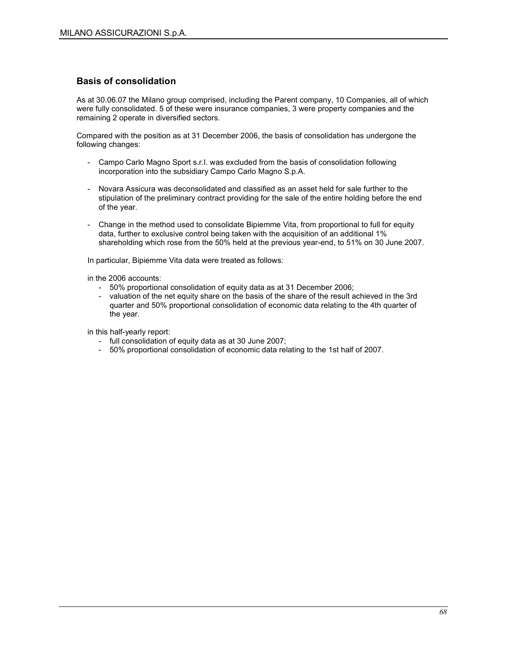#### Basis of consolidation

As at 30.06.07 the Milano group comprised, including the Parent company, 10 Companies, all of which were fully consolidated. 5 of these were insurance companies, 3 were property companies and the remaining 2 operate in diversified sectors.

Compared with the position as at 31 December 2006, the basis of consolidation has undergone the following changes:

- Campo Carlo Magno Sport s.r.l. was excluded from the basis of consolidation following incorporation into the subsidiary Campo Carlo Magno S.p.A.
- Novara Assicura was deconsolidated and classified as an asset held for sale further to the stipulation of the preliminary contract providing for the sale of the entire holding before the end of the year.
- Change in the method used to consolidate Bipiemme Vita, from proportional to full for equity data, further to exclusive control being taken with the acquisition of an additional 1% shareholding which rose from the 50% held at the previous year-end, to 51% on 30 June 2007.

In particular, Bipiemme Vita data were treated as follows:

in the 2006 accounts:

- 50% proportional consolidation of equity data as at 31 December 2006;
- valuation of the net equity share on the basis of the share of the result achieved in the 3rd quarter and 50% proportional consolidation of economic data relating to the 4th quarter of the year.

in this half-yearly report:

- full consolidation of equity data as at 30 June 2007;
- 50% proportional consolidation of economic data relating to the 1st half of 2007.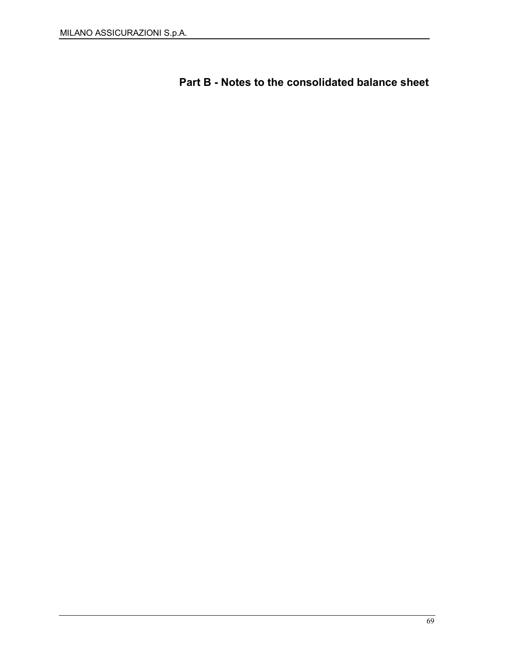Part B - Notes to the consolidated balance sheet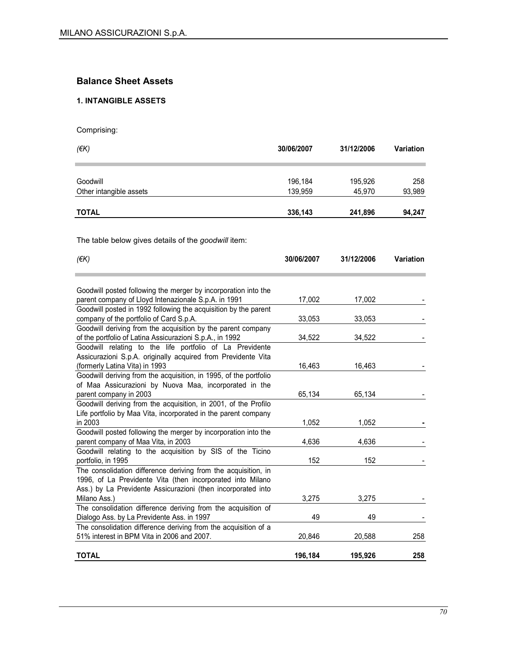# Balance Sheet Assets

## 1. INTANGIBLE ASSETS

Comprising:

| (EK)                                                                                                       | 30/06/2007 | 31/12/2006 | Variation |
|------------------------------------------------------------------------------------------------------------|------------|------------|-----------|
| Goodwill                                                                                                   | 196,184    | 195,926    | 258       |
| Other intangible assets                                                                                    | 139,959    | 45,970     | 93,989    |
|                                                                                                            |            |            |           |
| <b>TOTAL</b>                                                                                               | 336,143    | 241,896    | 94,247    |
|                                                                                                            |            |            |           |
| The table below gives details of the <i>goodwill</i> item:                                                 |            |            |           |
| $($ <del>€</del> K $)$                                                                                     | 30/06/2007 | 31/12/2006 | Variation |
|                                                                                                            |            |            |           |
| Goodwill posted following the merger by incorporation into the                                             |            |            |           |
| parent company of Lloyd Intenazionale S.p.A. in 1991                                                       | 17,002     | 17,002     |           |
| Goodwill posted in 1992 following the acquisition by the parent<br>company of the portfolio of Card S.p.A. | 33,053     | 33,053     |           |
| Goodwill deriving from the acquisition by the parent company                                               |            |            |           |
| of the portfolio of Latina Assicurazioni S.p.A., in 1992                                                   | 34,522     | 34,522     |           |
| Goodwill relating to the life portfolio of La Previdente                                                   |            |            |           |
| Assicurazioni S.p.A. originally acquired from Previdente Vita                                              |            |            |           |
| (formerly Latina Vita) in 1993                                                                             | 16,463     | 16,463     |           |
| Goodwill deriving from the acquisition, in 1995, of the portfolio                                          |            |            |           |
| of Maa Assicurazioni by Nuova Maa, incorporated in the                                                     |            |            |           |
| parent company in 2003                                                                                     | 65,134     | 65,134     |           |
| Goodwill deriving from the acquisition, in 2001, of the Profilo                                            |            |            |           |
| Life portfolio by Maa Vita, incorporated in the parent company                                             |            |            |           |
| in 2003                                                                                                    | 1,052      | 1,052      |           |
| Goodwill posted following the merger by incorporation into the                                             |            |            |           |
| parent company of Maa Vita, in 2003<br>Goodwill relating to the acquisition by SIS of the Ticino           | 4,636      | 4,636      |           |
| portfolio, in 1995                                                                                         | 152        | 152        |           |
| The consolidation difference deriving from the acquisition, in                                             |            |            |           |
| 1996, of La Previdente Vita (then incorporated into Milano                                                 |            |            |           |
| Ass.) by La Previdente Assicurazioni (then incorporated into                                               |            |            |           |
| Milano Ass.)                                                                                               | 3,275      | 3,275      |           |
| The consolidation difference deriving from the acquisition of                                              |            |            |           |
| Dialogo Ass. by La Previdente Ass. in 1997                                                                 | 49         | 49         |           |
| The consolidation difference deriving from the acquisition of a                                            |            |            |           |
| 51% interest in BPM Vita in 2006 and 2007.                                                                 | 20,846     | 20,588     | 258       |
| <b>TOTAL</b>                                                                                               | 196,184    | 195,926    | 258       |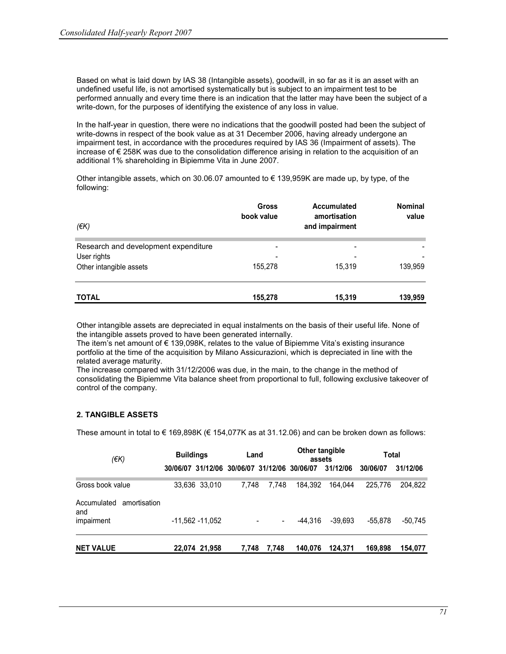Based on what is laid down by IAS 38 (Intangible assets), goodwill, in so far as it is an asset with an undefined useful life, is not amortised systematically but is subject to an impairment test to be performed annually and every time there is an indication that the latter may have been the subject of a write-down, for the purposes of identifying the existence of any loss in value.

In the half-year in question, there were no indications that the goodwill posted had been the subject of write-downs in respect of the book value as at 31 December 2006, having already undergone an impairment test, in accordance with the procedures required by IAS 36 (Impairment of assets). The increase of € 258K was due to the consolidation difference arising in relation to the acquisition of an additional 1% shareholding in Bipiemme Vita in June 2007.

Other intangible assets, which on 30.06.07 amounted to  $\epsilon$  139,959K are made up, by type, of the following:

| $(\epsilon K)$                       | <b>Gross</b><br>book value | <b>Accumulated</b><br>amortisation<br>and impairment | <b>Nominal</b><br>value |
|--------------------------------------|----------------------------|------------------------------------------------------|-------------------------|
| Research and development expenditure | -                          | ۰                                                    |                         |
| User rights                          | $\overline{\phantom{0}}$   | ۰                                                    |                         |
| Other intangible assets              | 155,278                    | 15.319                                               | 139,959                 |
| <b>TOTAL</b>                         | 155,278                    | 15,319                                               | 139,959                 |

Other intangible assets are depreciated in equal instalments on the basis of their useful life. None of the intangible assets proved to have been generated internally.

The item's net amount of € 139,098K, relates to the value of Bipiemme Vita's existing insurance portfolio at the time of the acquisition by Milano Assicurazioni, which is depreciated in line with the related average maturity.

The increase compared with 31/12/2006 was due, in the main, to the change in the method of consolidating the Bipiemme Vita balance sheet from proportional to full, following exclusive takeover of control of the company.

#### 2. TANGIBLE ASSETS

These amount in total to  $\in$  169,898K ( $\in$  154,077K as at 31.12.06) and can be broken down as follows:

| $($ $\notin$ K $)$                 | <b>Buildings</b>                             |                   | Land  |       | Other tangible<br>assets |           | Total     |           |
|------------------------------------|----------------------------------------------|-------------------|-------|-------|--------------------------|-----------|-----------|-----------|
|                                    | 30/06/07 31/12/06 30/06/07 31/12/06 30/06/07 |                   |       |       |                          | 31/12/06  | 30/06/07  | 31/12/06  |
| Gross book value                   |                                              | 33,636 33,010     | 7.748 | 7.748 | 184.392                  | 164.044   | 225,776   | 204.822   |
| Accumulated<br>amortisation<br>and |                                              |                   |       |       |                          |           |           |           |
| impairment                         |                                              | $-11,562 -11,052$ |       | -     | -44.316                  | $-39.693$ | $-55.878$ | $-50,745$ |
| <b>NET VALUE</b>                   |                                              | 22,074 21,958     | 7.748 | 7,748 | 140,076                  | 124.371   | 169,898   | 154,077   |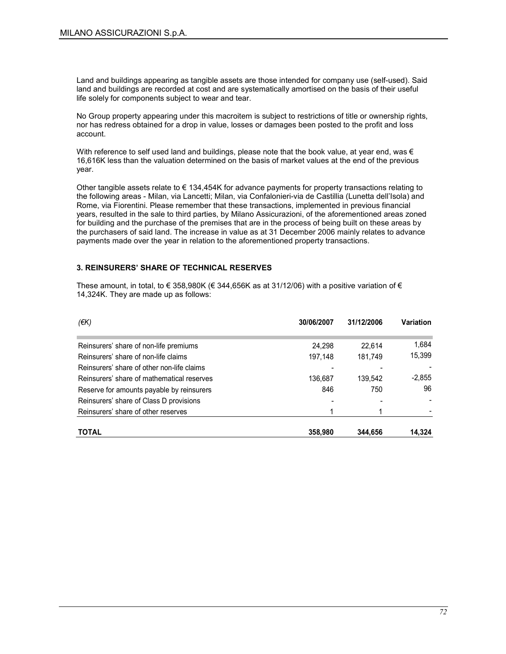Land and buildings appearing as tangible assets are those intended for company use (self-used). Said land and buildings are recorded at cost and are systematically amortised on the basis of their useful life solely for components subject to wear and tear.

No Group property appearing under this macroitem is subject to restrictions of title or ownership rights, nor has redress obtained for a drop in value, losses or damages been posted to the profit and loss account.

With reference to self used land and buildings, please note that the book value, at year end, was  $\epsilon$ 16,616K less than the valuation determined on the basis of market values at the end of the previous year.

Other tangible assets relate to  $\epsilon$  134,454K for advance payments for property transactions relating to the following areas - Milan, via Lancetti; Milan, via Confalonieri-via de Castillia (Lunetta dell'Isola) and Rome, via Fiorentini. Please remember that these transactions, implemented in previous financial years, resulted in the sale to third parties, by Milano Assicurazioni, of the aforementioned areas zoned for building and the purchase of the premises that are in the process of being built on these areas by the purchasers of said land. The increase in value as at 31 December 2006 mainly relates to advance payments made over the year in relation to the aforementioned property transactions.

#### 3. REINSURERS' SHARE OF TECHNICAL RESERVES

These amount, in total, to  $\in$  358,980K ( $\in$  344,656K as at 31/12/06) with a positive variation of  $\in$ 14,324K. They are made up as follows:

| $(\epsilon K)$                             | 30/06/2007 | 31/12/2006 | <b>Variation</b> |
|--------------------------------------------|------------|------------|------------------|
|                                            |            |            |                  |
| Reinsurers' share of non-life premiums     | 24,298     | 22.614     | 1,684            |
| Reinsurers' share of non-life claims       | 197,148    | 181.749    | 15,399           |
| Reinsurers' share of other non-life claims |            |            |                  |
| Reinsurers' share of mathematical reserves | 136.687    | 139.542    | $-2,855$         |
| Reserve for amounts payable by reinsurers  | 846        | 750        | 96               |
| Reinsurers' share of Class D provisions    |            |            |                  |
| Reinsurers' share of other reserves        |            |            |                  |
| <b>TOTAL</b>                               | 358,980    | 344.656    | 14.324           |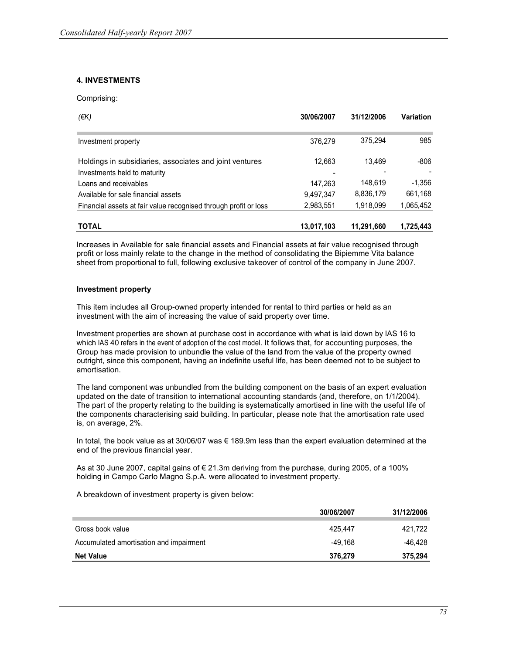## 4. INVESTMENTS

Comprising:

| $(\epsilon K)$                                                                          | 30/06/2007 | 31/12/2006 | Variation |
|-----------------------------------------------------------------------------------------|------------|------------|-----------|
| Investment property                                                                     | 376.279    | 375,294    | 985       |
| Holdings in subsidiaries, associates and joint ventures<br>Investments held to maturity | 12.663     | 13.469     | -806      |
| Loans and receivables                                                                   | 147,263    | 148,619    | $-1.356$  |
| Available for sale financial assets                                                     | 9,497,347  | 8,836,179  | 661,168   |
| Financial assets at fair value recognised through profit or loss                        | 2,983,551  | 1,918,099  | 1,065,452 |
| <b>TOTAL</b>                                                                            | 13,017,103 | 11.291.660 | 1,725,443 |

Increases in Available for sale financial assets and Financial assets at fair value recognised through profit or loss mainly relate to the change in the method of consolidating the Bipiemme Vita balance sheet from proportional to full, following exclusive takeover of control of the company in June 2007.

### Investment property

This item includes all Group-owned property intended for rental to third parties or held as an investment with the aim of increasing the value of said property over time.

Investment properties are shown at purchase cost in accordance with what is laid down by IAS 16 to which IAS 40 refers in the event of adoption of the cost model. It follows that, for accounting purposes, the Group has made provision to unbundle the value of the land from the value of the property owned outright, since this component, having an indefinite useful life, has been deemed not to be subject to amortisation.

The land component was unbundled from the building component on the basis of an expert evaluation updated on the date of transition to international accounting standards (and, therefore, on 1/1/2004). The part of the property relating to the building is systematically amortised in line with the useful life of the components characterising said building. In particular, please note that the amortisation rate used is, on average, 2%.

In total, the book value as at 30/06/07 was € 189.9m less than the expert evaluation determined at the end of the previous financial year.

As at 30 June 2007, capital gains of  $\epsilon$  21.3m deriving from the purchase, during 2005, of a 100% holding in Campo Carlo Magno S.p.A. were allocated to investment property.

A breakdown of investment property is given below:

|                                         | 30/06/2007 | 31/12/2006 |
|-----------------------------------------|------------|------------|
| Gross book value                        | 425.447    | 421.722    |
| Accumulated amortisation and impairment | -49.168    | -46,428    |
| <b>Net Value</b>                        | 376,279    | 375,294    |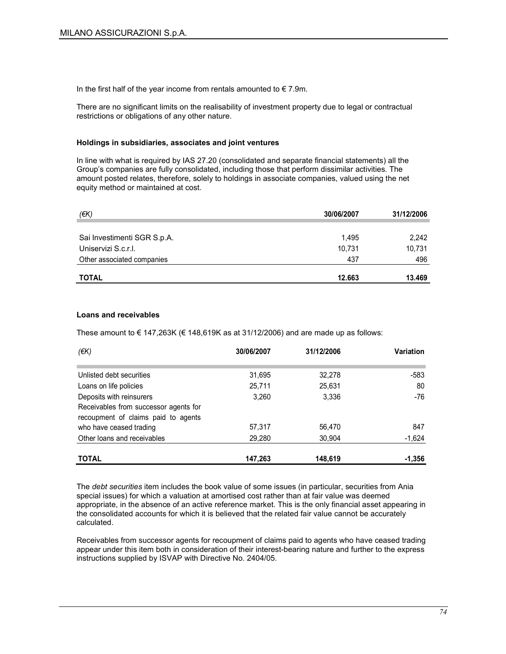In the first half of the year income from rentals amounted to  $\epsilon$  7.9m.

There are no significant limits on the realisability of investment property due to legal or contractual restrictions or obligations of any other nature.

#### Holdings in subsidiaries, associates and joint ventures

In line with what is required by IAS 27.20 (consolidated and separate financial statements) all the Group's companies are fully consolidated, including those that perform dissimilar activities. The amount posted relates, therefore, solely to holdings in associate companies, valued using the net equity method or maintained at cost.

| (€K)                        | 30/06/2007 | 31/12/2006 |
|-----------------------------|------------|------------|
|                             |            |            |
| Sai Investimenti SGR S.p.A. | 1.495      | 2,242      |
| Uniservizi S.c.r.l.         | 10.731     | 10,731     |
| Other associated companies  | 437        | 496        |
| <b>TOTAL</b>                | 12.663     | 13.469     |

#### Loans and receivables

These amount to  $\epsilon$  147,263K ( $\epsilon$  148,619K as at 31/12/2006) and are made up as follows:

| (€K)                                                                                                     | 30/06/2007 | 31/12/2006 | <b>Variation</b> |
|----------------------------------------------------------------------------------------------------------|------------|------------|------------------|
| Unlisted debt securities                                                                                 | 31.695     | 32.278     | -583             |
| Loans on life policies                                                                                   | 25,711     | 25,631     | 80               |
| Deposits with reinsurers<br>Receivables from successor agents for<br>recoupment of claims paid to agents | 3.260      | 3.336      | -76              |
| who have ceased trading                                                                                  | 57.317     | 56,470     | 847              |
| Other loans and receivables                                                                              | 29,280     | 30.904     | $-1,624$         |
| <b>TOTAL</b>                                                                                             | 147,263    | 148,619    | $-1.356$         |

The debt securities item includes the book value of some issues (in particular, securities from Ania special issues) for which a valuation at amortised cost rather than at fair value was deemed appropriate, in the absence of an active reference market. This is the only financial asset appearing in the consolidated accounts for which it is believed that the related fair value cannot be accurately calculated.

Receivables from successor agents for recoupment of claims paid to agents who have ceased trading appear under this item both in consideration of their interest-bearing nature and further to the express instructions supplied by ISVAP with Directive No. 2404/05.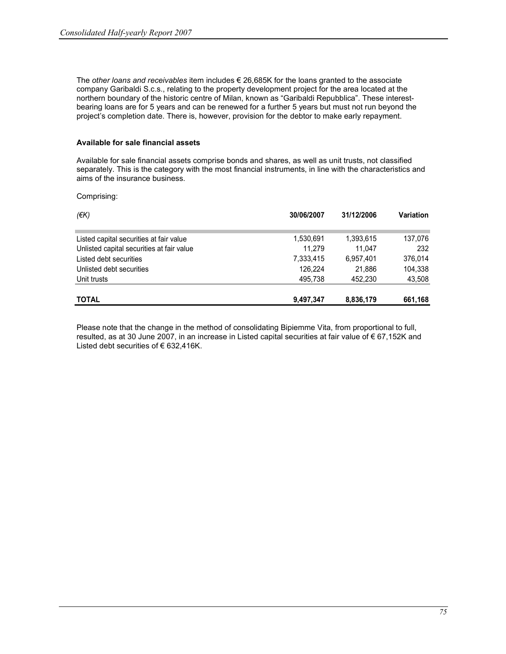The other loans and receivables item includes  $\epsilon$  26,685K for the loans granted to the associate company Garibaldi S.c.s., relating to the property development project for the area located at the northern boundary of the historic centre of Milan, known as "Garibaldi Repubblica". These interestbearing loans are for 5 years and can be renewed for a further 5 years but must not run beyond the project's completion date. There is, however, provision for the debtor to make early repayment.

#### Available for sale financial assets

Available for sale financial assets comprise bonds and shares, as well as unit trusts, not classified separately. This is the category with the most financial instruments, in line with the characteristics and aims of the insurance business.

Comprising:

| (EK)                                      | 30/06/2007 | 31/12/2006 | <b>Variation</b> |
|-------------------------------------------|------------|------------|------------------|
| Listed capital securities at fair value   | 1,530,691  | 1,393,615  | 137,076          |
| Unlisted capital securities at fair value | 11.279     | 11,047     | 232              |
| Listed debt securities                    | 7,333,415  | 6.957.401  | 376.014          |
| Unlisted debt securities                  | 126.224    | 21.886     | 104,338          |
| Unit trusts                               | 495.738    | 452,230    | 43,508           |
| <b>TOTAL</b>                              | 9,497,347  | 8,836,179  | 661,168          |

Please note that the change in the method of consolidating Bipiemme Vita, from proportional to full, resulted, as at 30 June 2007, in an increase in Listed capital securities at fair value of € 67,152K and Listed debt securities of  $\epsilon$  632,416K.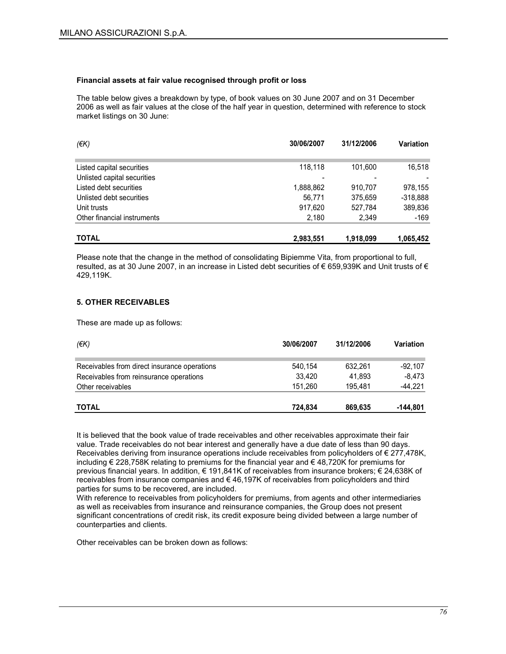#### Financial assets at fair value recognised through profit or loss

The table below gives a breakdown by type, of book values on 30 June 2007 and on 31 December 2006 as well as fair values at the close of the half year in question, determined with reference to stock market listings on 30 June:

| $(\epsilon K)$              | 30/06/2007 | 31/12/2006 | <b>Variation</b> |
|-----------------------------|------------|------------|------------------|
| Listed capital securities   | 118.118    | 101.600    | 16,518           |
| Unlisted capital securities |            |            |                  |
| Listed debt securities      | 1,888,862  | 910,707    | 978,155          |
| Unlisted debt securities    | 56.771     | 375,659    | $-318,888$       |
| Unit trusts                 | 917.620    | 527,784    | 389,836          |
| Other financial instruments | 2,180      | 2,349      | -169             |
| <b>TOTAL</b>                | 2,983,551  | 1.918.099  | 1.065.452        |

Please note that the change in the method of consolidating Bipiemme Vita, from proportional to full, resulted, as at 30 June 2007, in an increase in Listed debt securities of € 659,939K and Unit trusts of € 429,119K.

### 5. OTHER RECEIVABLES

These are made up as follows:

| $(\epsilon K)$                               | 30/06/2007 | 31/12/2006 | <b>Variation</b> |
|----------------------------------------------|------------|------------|------------------|
| Receivables from direct insurance operations | 540,154    | 632,261    | $-92.107$        |
| Receivables from reinsurance operations      | 33.420     | 41.893     | $-8.473$         |
| Other receivables                            | 151.260    | 195.481    | $-44,221$        |
| <b>TOTAL</b>                                 | 724.834    | 869,635    | -144,801         |

It is believed that the book value of trade receivables and other receivables approximate their fair value. Trade receivables do not bear interest and generally have a due date of less than 90 days. Receivables deriving from insurance operations include receivables from policyholders of € 277,478K, including € 228,758K relating to premiums for the financial year and € 48,720K for premiums for previous financial years. In addition, € 191,841K of receivables from insurance brokers; € 24,638K of receivables from insurance companies and  $\epsilon$  46,197K of receivables from policyholders and third parties for sums to be recovered, are included.

With reference to receivables from policyholders for premiums, from agents and other intermediaries as well as receivables from insurance and reinsurance companies, the Group does not present significant concentrations of credit risk, its credit exposure being divided between a large number of counterparties and clients.

Other receivables can be broken down as follows: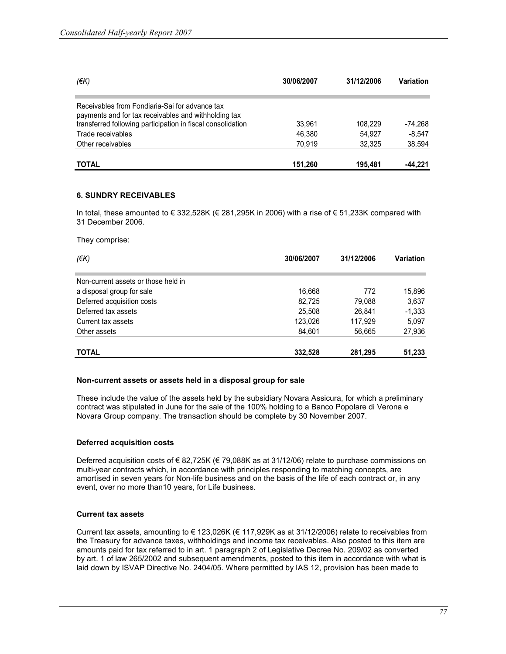| $(\epsilon K)$                                                                                         | 30/06/2007       |                   | Variation           |  |
|--------------------------------------------------------------------------------------------------------|------------------|-------------------|---------------------|--|
| Receivables from Fondiaria-Sai for advance tax<br>payments and for tax receivables and withholding tax |                  |                   |                     |  |
| transferred following participation in fiscal consolidation<br>Trade receivables                       | 33.961<br>46.380 | 108.229<br>54.927 | -74.268<br>$-8.547$ |  |
| Other receivables                                                                                      | 70.919           | 32.325            | 38,594              |  |
| <b>TOTAL</b>                                                                                           | 151.260          | 195.481           | -44.221             |  |

## 6. SUNDRY RECEIVABLES

In total, these amounted to € 332,528K (€ 281,295K in 2006) with a rise of € 51,233K compared with 31 December 2006.

They comprise:

| $(\epsilon K)$                      | 30/06/2007 | 31/12/2006 | <b>Variation</b> |
|-------------------------------------|------------|------------|------------------|
| Non-current assets or those held in |            |            |                  |
| a disposal group for sale           | 16,668     | 772        | 15,896           |
| Deferred acquisition costs          | 82.725     | 79,088     | 3,637            |
| Deferred tax assets                 | 25.508     | 26.841     | $-1,333$         |
| Current tax assets                  | 123,026    | 117,929    | 5,097            |
| Other assets                        | 84,601     | 56,665     | 27,936           |
| <b>TOTAL</b>                        | 332,528    | 281,295    | 51,233           |

#### Non-current assets or assets held in a disposal group for sale

These include the value of the assets held by the subsidiary Novara Assicura, for which a preliminary contract was stipulated in June for the sale of the 100% holding to a Banco Popolare di Verona e Novara Group company. The transaction should be complete by 30 November 2007.

### Deferred acquisition costs

Deferred acquisition costs of € 82,725K (€ 79,088K as at 31/12/06) relate to purchase commissions on multi-year contracts which, in accordance with principles responding to matching concepts, are amortised in seven years for Non-life business and on the basis of the life of each contract or, in any event, over no more than10 years, for Life business.

### Current tax assets

Current tax assets, amounting to € 123,026K (€ 117,929K as at 31/12/2006) relate to receivables from the Treasury for advance taxes, withholdings and income tax receivables. Also posted to this item are amounts paid for tax referred to in art. 1 paragraph 2 of Legislative Decree No. 209/02 as converted by art. 1 of law 265/2002 and subsequent amendments, posted to this item in accordance with what is laid down by ISVAP Directive No. 2404/05. Where permitted by IAS 12, provision has been made to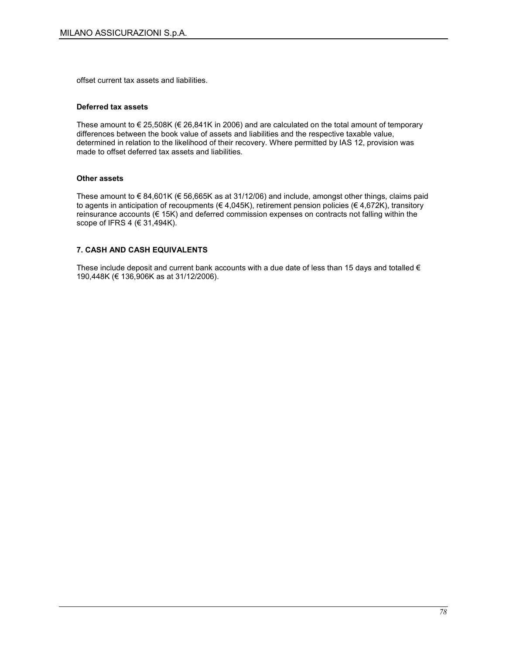offset current tax assets and liabilities.

#### Deferred tax assets

These amount to  $\epsilon$  25,508K ( $\epsilon$  26,841K in 2006) and are calculated on the total amount of temporary differences between the book value of assets and liabilities and the respective taxable value, determined in relation to the likelihood of their recovery. Where permitted by IAS 12, provision was made to offset deferred tax assets and liabilities.

### Other assets

These amount to € 84,601K (€ 56,665K as at 31/12/06) and include, amongst other things, claims paid to agents in anticipation of recoupments ( $\in$  4,045K), retirement pension policies ( $\in$  4,672K), transitory reinsurance accounts (€ 15K) and deferred commission expenses on contracts not falling within the scope of IFRS 4 (€ 31,494K).

## 7. CASH AND CASH EQUIVALENTS

These include deposit and current bank accounts with a due date of less than 15 days and totalled  $\epsilon$ 190,448K (€ 136,906K as at 31/12/2006).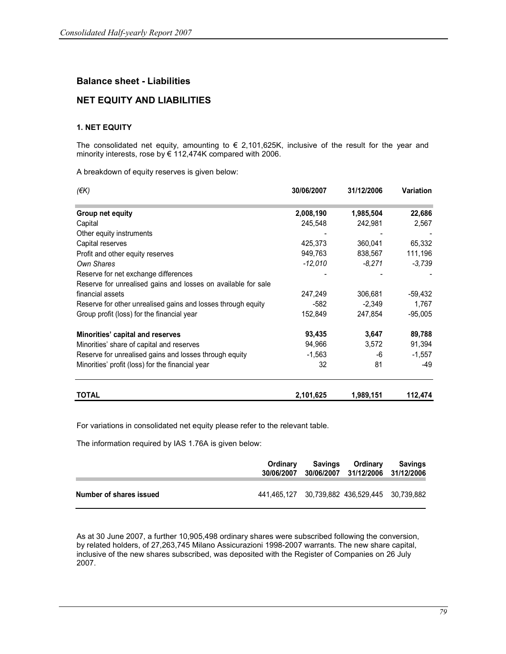# Balance sheet - Liabilities

# NET EQUITY AND LIABILITIES

## 1. NET EQUITY

The consolidated net equity, amounting to  $\epsilon$  2,101,625K, inclusive of the result for the year and minority interests, rose by € 112,474K compared with 2006.

A breakdown of equity reserves is given below:

| $(\epsilon K)$                                                | 30/06/2007 | 31/12/2006 | <b>Variation</b> |
|---------------------------------------------------------------|------------|------------|------------------|
| Group net equity                                              | 2,008,190  | 1,985,504  | 22,686           |
| Capital                                                       | 245,548    | 242,981    | 2,567            |
| Other equity instruments                                      |            |            |                  |
| Capital reserves                                              | 425,373    | 360,041    | 65,332           |
| Profit and other equity reserves                              | 949,763    | 838,567    | 111,196          |
| Own Shares                                                    | -12,010    | $-8,271$   | -3,739           |
| Reserve for net exchange differences                          |            |            |                  |
| Reserve for unrealised gains and losses on available for sale |            |            |                  |
| financial assets                                              | 247,249    | 306,681    | $-59,432$        |
| Reserve for other unrealised gains and losses through equity  | $-582$     | $-2,349$   | 1,767            |
| Group profit (loss) for the financial year                    | 152,849    | 247,854    | $-95,005$        |
| Minorities' capital and reserves                              | 93,435     | 3,647      | 89,788           |
| Minorities' share of capital and reserves                     | 94,966     | 3,572      | 91,394           |
| Reserve for unrealised gains and losses through equity        | $-1,563$   | -6         | $-1,557$         |
| Minorities' profit (loss) for the financial year              | 32         | 81         | -49              |
| <b>TOTAL</b>                                                  | 2,101,625  | 1,989,151  | 112,474          |

For variations in consolidated net equity please refer to the relevant table.

The information required by IAS 1.76A is given below:

|                         | Ordinary<br>30/06/2007 | Savings Ordinary<br>30/06/2007 31/12/2006 31/12/2006 | Savings |
|-------------------------|------------------------|------------------------------------------------------|---------|
| Number of shares issued |                        | 441,465,127 30,739,882 436,529,445 30,739,882        |         |

As at 30 June 2007, a further 10,905,498 ordinary shares were subscribed following the conversion, by related holders, of 27,263,745 Milano Assicurazioni 1998-2007 warrants. The new share capital, inclusive of the new shares subscribed, was deposited with the Register of Companies on 26 July 2007.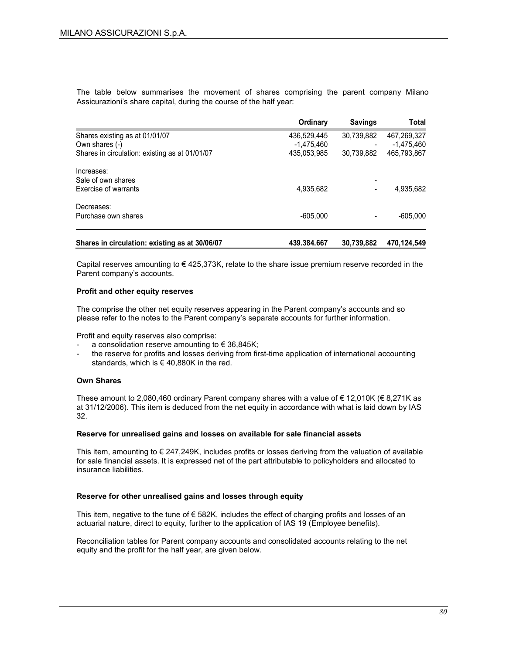The table below summarises the movement of shares comprising the parent company Milano Assicurazioni's share capital, during the course of the half year:

|                                                | Ordinary     | <b>Savings</b> | Total       |
|------------------------------------------------|--------------|----------------|-------------|
| Shares existing as at 01/01/07                 | 436.529.445  | 30,739,882     | 467,269,327 |
| Own shares (-)                                 | $-1.475.460$ |                | -1.475.460  |
| Shares in circulation: existing as at 01/01/07 | 435.053.985  | 30.739.882     | 465.793.867 |
| Increases:                                     |              |                |             |
| Sale of own shares                             |              |                |             |
| <b>Exercise of warrants</b>                    | 4,935,682    |                | 4,935,682   |
| Decreases:                                     |              |                |             |
| Purchase own shares                            | $-605.000$   |                | $-605.000$  |
|                                                |              |                |             |
| Shares in circulation: existing as at 30/06/07 | 439.384.667  | 30,739,882     | 470,124,549 |

Capital reserves amounting to  $\epsilon$  425,373K, relate to the share issue premium reserve recorded in the Parent company's accounts.

#### Profit and other equity reserves

The comprise the other net equity reserves appearing in the Parent company's accounts and so please refer to the notes to the Parent company's separate accounts for further information.

Profit and equity reserves also comprise:

- a consolidation reserve amounting to  $\epsilon$  36,845K;
- the reserve for profits and losses deriving from first-time application of international accounting standards, which is €40,880K in the red.

#### Own Shares

These amount to 2,080,460 ordinary Parent company shares with a value of  $\epsilon$  12,010K ( $\epsilon$  8,271K as at 31/12/2006). This item is deduced from the net equity in accordance with what is laid down by IAS 32.

#### Reserve for unrealised gains and losses on available for sale financial assets

This item, amounting to  $\epsilon$  247,249K, includes profits or losses deriving from the valuation of available for sale financial assets. It is expressed net of the part attributable to policyholders and allocated to insurance liabilities.

#### Reserve for other unrealised gains and losses through equity

This item, negative to the tune of  $\epsilon$  582K, includes the effect of charging profits and losses of an actuarial nature, direct to equity, further to the application of IAS 19 (Employee benefits).

Reconciliation tables for Parent company accounts and consolidated accounts relating to the net equity and the profit for the half year, are given below.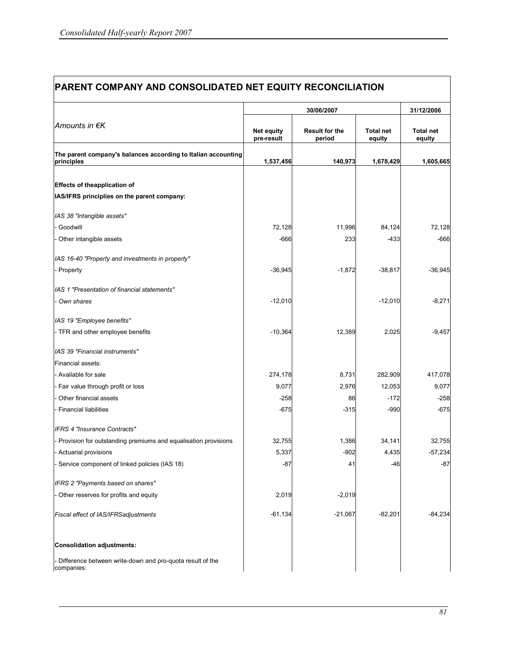| PARENT COMPANY AND CONSOLIDATED NET EQUITY RECONCILIATION                   |                          |                                 |                            |                            |  |  |  |
|-----------------------------------------------------------------------------|--------------------------|---------------------------------|----------------------------|----------------------------|--|--|--|
|                                                                             |                          | 31/12/2006                      |                            |                            |  |  |  |
| Amounts in €K                                                               | Net equity<br>pre-result | <b>Result for the</b><br>period | <b>Total net</b><br>equity | <b>Total net</b><br>equity |  |  |  |
| The parent company's balances according to Italian accounting<br>principles | 1,537,456                | 140,973                         | 1,678,429                  | 1,605,665                  |  |  |  |
|                                                                             |                          |                                 |                            |                            |  |  |  |
| <b>Effects of theapplication of</b>                                         |                          |                                 |                            |                            |  |  |  |
| IAS/IFRS principlies on the parent company:                                 |                          |                                 |                            |                            |  |  |  |
| IAS 38 "Intangible assets"                                                  |                          |                                 |                            |                            |  |  |  |
| - Goodwill                                                                  | 72,128                   | 11,996                          | 84,124                     | 72,128                     |  |  |  |
| - Other intangible assets                                                   | $-666$                   | 233                             | $-433$                     | $-666$                     |  |  |  |
| IAS 16-40 "Property and investments in property"                            |                          |                                 |                            |                            |  |  |  |
| - Property                                                                  | $-36,945$                | $-1,872$                        | $-38,817$                  | $-36,945$                  |  |  |  |
| IAS 1 "Presentation of financial statements"                                |                          |                                 |                            |                            |  |  |  |
| - Own shares                                                                | $-12,010$                |                                 | $-12,010$                  | $-8,271$                   |  |  |  |
| IAS 19 "Employee benefits"                                                  |                          |                                 |                            |                            |  |  |  |
| - TFR and other employee benefits                                           | $-10,364$                | 12,389                          | 2,025                      | $-9,457$                   |  |  |  |
| IAS 39 "Financial instruments"                                              |                          |                                 |                            |                            |  |  |  |
| Financial assets:                                                           |                          |                                 |                            |                            |  |  |  |
| - Available for sale                                                        | 274,178                  | 8,731                           | 282,909                    | 417,078                    |  |  |  |
| - Fair value through profit or loss                                         | 9,077                    | 2,976                           | 12,053                     | 9,077                      |  |  |  |
| Other financial assets                                                      | $-258$                   | 86                              | $-172$                     | $-258$                     |  |  |  |
| - Financial liabilities                                                     | $-675$                   | $-315$                          | $-990$                     | $-675$                     |  |  |  |
| <b>IFRS 4 "Insurance Contracts"</b>                                         |                          |                                 |                            |                            |  |  |  |
| - Provision for outstanding premiums and equalisation provisions            | 32,755                   | 1,386                           | 34,141                     | 32,755                     |  |  |  |
| Actuarial provisions                                                        | 5,337                    | $-902$                          | 4,435                      | $-57,234$                  |  |  |  |
| Service component of linked policies (IAS 18)                               | $-87$                    | 41                              | $-46$                      | $-87$                      |  |  |  |
| IFRS 2 "Payments based on shares"                                           |                          |                                 |                            |                            |  |  |  |
| - Other reserves for profits and equity                                     | 2,019                    | $-2,019$                        |                            |                            |  |  |  |
| Fiscal effect of IAS/IFRSadjustments                                        | $-61,134$                | $-21,067$                       | $-82,201$                  | $-84,234$                  |  |  |  |
| <b>Consolidation adjustments:</b>                                           |                          |                                 |                            |                            |  |  |  |
| - Difference between write-down and pro-quota result of the<br>companies:   |                          |                                 |                            |                            |  |  |  |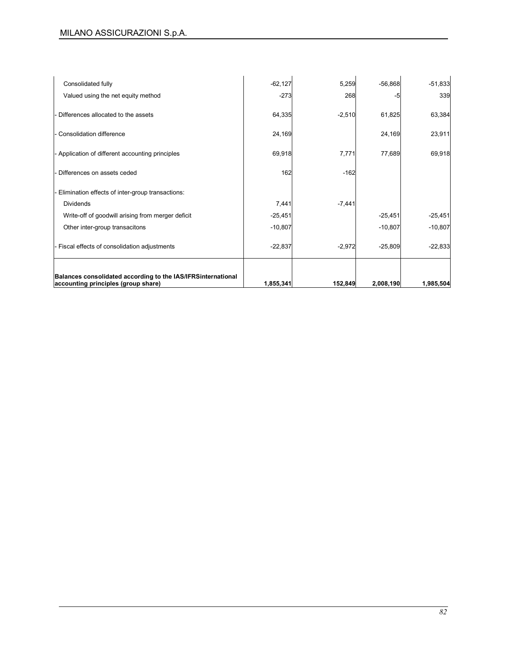| Consolidated fully                                                                                  | $-62,127$ | 5,259    | $-56,868$ | $-51,833$ |
|-----------------------------------------------------------------------------------------------------|-----------|----------|-----------|-----------|
| Valued using the net equity method                                                                  | $-273$    | 268      | -5        | 339       |
| Differences allocated to the assets                                                                 | 64,335    | $-2,510$ | 61,825    | 63,384    |
| - Consolidation difference                                                                          | 24,169    |          | 24,169    | 23,911    |
| - Application of different accounting principles                                                    | 69,918    | 7,771    | 77,689    | 69,918    |
| Differences on assets ceded                                                                         | 162       | $-162$   |           |           |
| Elimination effects of inter-group transactions:                                                    |           |          |           |           |
| <b>Dividends</b>                                                                                    | 7,441     | $-7,441$ |           |           |
| Write-off of goodwill arising from merger deficit                                                   | $-25,451$ |          | $-25,451$ | $-25,451$ |
| Other inter-group transacitons                                                                      | $-10,807$ |          | $-10,807$ | $-10,807$ |
| - Fiscal effects of consolidation adjustments                                                       | $-22,837$ | $-2,972$ | $-25,809$ | $-22,833$ |
| Balances consolidated according to the IAS/IFRSinternational<br>accounting principles (group share) | 1,855,341 | 152,849  | 2,008,190 | 1,985,504 |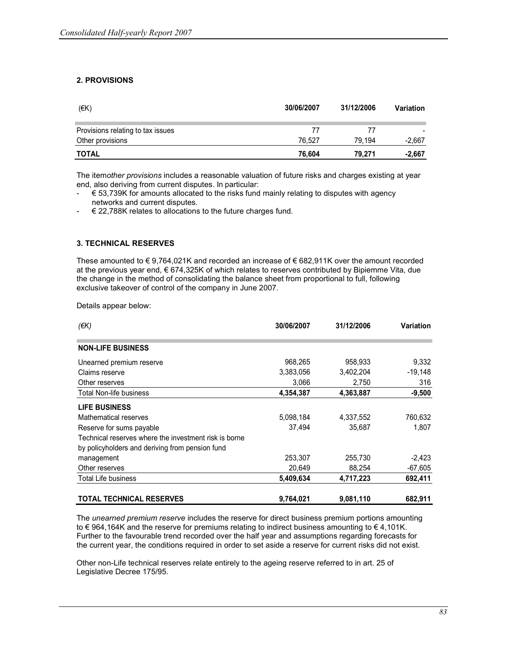## 2. PROVISIONS

| (EK)                              | 30/06/2007 | 31/12/2006 | Variation |
|-----------------------------------|------------|------------|-----------|
| Provisions relating to tax issues | 77         | 77         |           |
| Other provisions                  | 76.527     | 79.194     | $-2,667$  |
| <b>TOTAL</b>                      | 76.604     | 79.271     | $-2.667$  |

The itemother provisions includes a reasonable valuation of future risks and charges existing at year end, also deriving from current disputes. In particular:

- $\epsilon$  53,739K for amounts allocated to the risks fund mainly relating to disputes with agency networks and current disputes.
- $\epsilon$  22,788K relates to allocations to the future charges fund.

## 3. TECHNICAL RESERVES

These amounted to € 9,764,021K and recorded an increase of € 682,911K over the amount recorded at the previous year end, € 674,325K of which relates to reserves contributed by Bipiemme Vita, due the change in the method of consolidating the balance sheet from proportional to full, following exclusive takeover of control of the company in June 2007.

Details appear below:

| $(\epsilon K)$                                        | 30/06/2007 | 31/12/2006 | <b>Variation</b> |
|-------------------------------------------------------|------------|------------|------------------|
| <b>NON-LIFE BUSINESS</b>                              |            |            |                  |
| Unearned premium reserve                              | 968.265    | 958.933    | 9.332            |
| Claims reserve                                        | 3,383,056  | 3,402,204  | $-19,148$        |
| Other reserves                                        | 3,066      | 2,750      | 316              |
| <b>Total Non-life business</b>                        | 4,354,387  | 4,363,887  | $-9,500$         |
| <b>LIFE BUSINESS</b>                                  |            |            |                  |
| Mathematical reserves                                 | 5,098,184  | 4,337,552  | 760,632          |
| Reserve for sums payable                              | 37,494     | 35,687     | 1,807            |
| Technical reserves where the investment risk is borne |            |            |                  |
| by policyholders and deriving from pension fund       |            |            |                  |
| management                                            | 253,307    | 255,730    | $-2,423$         |
| Other reserves                                        | 20,649     | 88,254     | $-67,605$        |
| <b>Total Life business</b>                            | 5,409,634  | 4,717,223  | 692,411          |
| <b>TOTAL TECHNICAL RESERVES</b>                       | 9,764,021  | 9,081,110  | 682,911          |

The unearned premium reserve includes the reserve for direct business premium portions amounting to € 964,164K and the reserve for premiums relating to indirect business amounting to € 4,101K. Further to the favourable trend recorded over the half year and assumptions regarding forecasts for the current year, the conditions required in order to set aside a reserve for current risks did not exist.

Other non-Life technical reserves relate entirely to the ageing reserve referred to in art. 25 of Legislative Decree 175/95.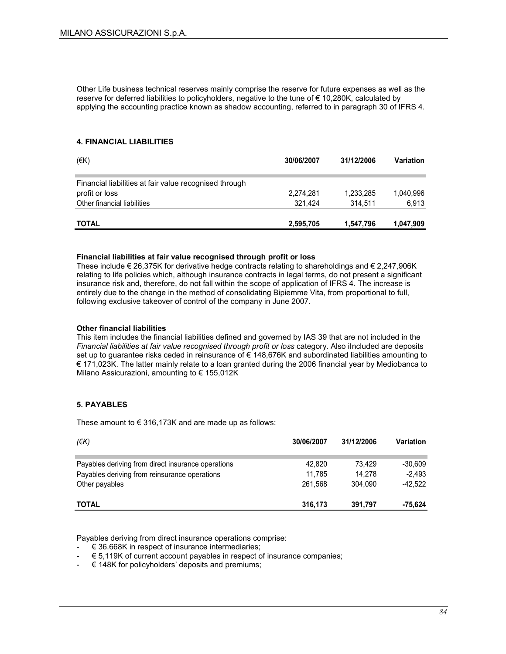Other Life business technical reserves mainly comprise the reserve for future expenses as well as the reserve for deferred liabilities to policyholders, negative to the tune of € 10,280K, calculated by applying the accounting practice known as shadow accounting, referred to in paragraph 30 of IFRS 4.

#### 4. FINANCIAL LIABILITIES

| $($ <del>€</del> K)                                    | 30/06/2007 | 31/12/2006 | Variation |
|--------------------------------------------------------|------------|------------|-----------|
| Financial liabilities at fair value recognised through |            |            |           |
| profit or loss                                         | 2,274,281  | 1,233,285  | 1,040,996 |
| Other financial liabilities                            | 321.424    | 314,511    | 6,913     |
| <b>TOTAL</b>                                           | 2,595,705  | 1,547,796  | 1,047,909 |

#### Financial liabilities at fair value recognised through profit or loss

These include  $\epsilon$  26,375K for derivative hedge contracts relating to shareholdings and  $\epsilon$  2,247,906K relating to life policies which, although insurance contracts in legal terms, do not present a significant insurance risk and, therefore, do not fall within the scope of application of IFRS 4. The increase is entirely due to the change in the method of consolidating Bipiemme Vita, from proportional to full, following exclusive takeover of control of the company in June 2007.

#### Other financial liabilities

This item includes the financial liabilities defined and governed by IAS 39 that are not included in the Financial liabilities at fair value recognised through profit or loss category. Also iIncluded are deposits set up to guarantee risks ceded in reinsurance of € 148,676K and subordinated liabilities amounting to € 171,023K. The latter mainly relate to a loan granted during the 2006 financial year by Mediobanca to Milano Assicurazioni, amounting to € 155,012K

### 5. PAYABLES

These amount to  $\epsilon$  316,173K and are made up as follows:

| (EK)                                               | 30/06/2007 | 31/12/2006 | <b>Variation</b> |
|----------------------------------------------------|------------|------------|------------------|
| Payables deriving from direct insurance operations | 42.820     | 73.429     | $-30.609$        |
| Payables deriving from reinsurance operations      | 11.785     | 14.278     | $-2.493$         |
| Other payables                                     | 261.568    | 304.090    | $-42,522$        |
| <b>TOTAL</b>                                       | 316,173    | 391,797    | -75,624          |

Payables deriving from direct insurance operations comprise:

- $\in$  36.668K in respect of insurance intermediaries;
- $\epsilon$  5.119K of current account payables in respect of insurance companies;
- $\epsilon$  148K for policyholders' deposits and premiums;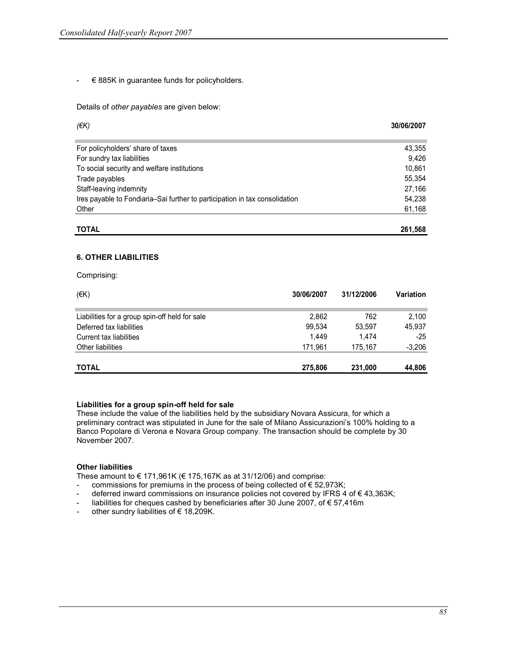$\div$   $\in$  885K in guarantee funds for policyholders.

Details of other payables are given below:

| (EK)                                                                        | 30/06/2007 |
|-----------------------------------------------------------------------------|------------|
|                                                                             |            |
| For policyholders' share of taxes                                           | 43,355     |
| For sundry tax liabilities                                                  | 9.426      |
| To social security and welfare institutions                                 | 10,861     |
| Trade payables                                                              | 55,354     |
| Staff-leaving indemnity                                                     | 27,166     |
| Ires payable to Fondiaria–Sai further to participation in tax consolidation | 54,238     |
| Other                                                                       | 61,168     |
| <b>TOTAL</b>                                                                | 261,568    |

#### 6. OTHER LIABILITIES

Comprising:

| (EK)                                           | 30/06/2007 | 31/12/2006 | Variation |
|------------------------------------------------|------------|------------|-----------|
| Liabilities for a group spin-off held for sale | 2,862      | 762        | 2,100     |
| Deferred tax liabilities                       | 99,534     | 53.597     | 45.937    |
| Current tax liabilities                        | 1.449      | 1.474      | $-25$     |
| Other liabilities                              | 171.961    | 175.167    | $-3,206$  |
| <b>TOTAL</b>                                   | 275,806    | 231,000    | 44,806    |

### Liabilities for a group spin-off held for sale

These include the value of the liabilities held by the subsidiary Novara Assicura, for which a preliminary contract was stipulated in June for the sale of Milano Assicurazioni's 100% holding to a Banco Popolare di Verona e Novara Group company. The transaction should be complete by 30 November 2007.

#### Other liabilities

These amount to  $\epsilon$  171,961K ( $\epsilon$  175,167K as at 31/12/06) and comprise:

- commissions for premiums in the process of being collected of € 52,973K;
- deferred inward commissions on insurance policies not covered by IFRS 4 of  $\epsilon$  43,363K;
- liabilities for cheques cashed by beneficiaries after 30 June 2007, of € 57,416m
- other sundry liabilities of  $\epsilon$  18,209K.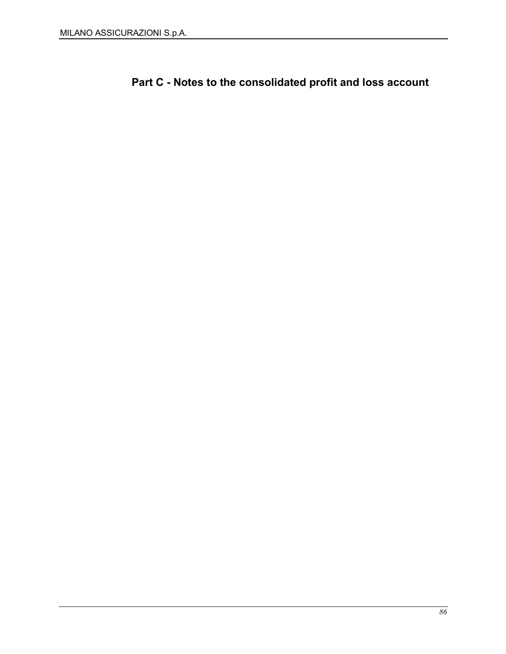Part C - Notes to the consolidated profit and loss account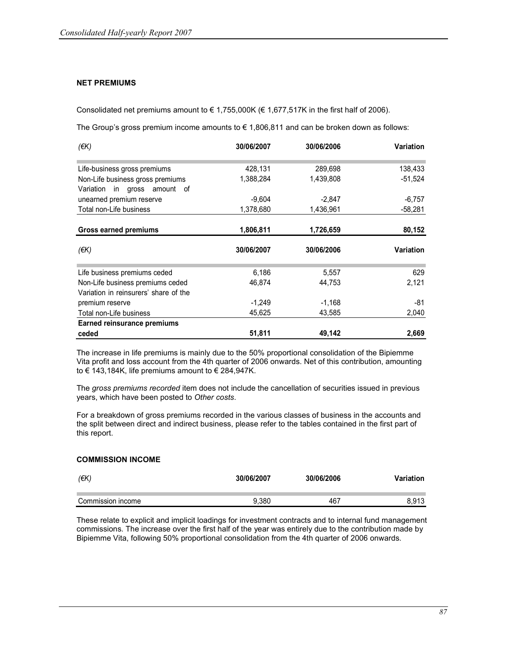### NET PREMIUMS

Consolidated net premiums amount to  $\in 1,755,000$ K ( $\in 1,677,517$ K in the first half of 2006).

The Group's gross premium income amounts to  $\epsilon$  1,806,811 and can be broken down as follows:

| (EK)                                                             | 30/06/2007 | 30/06/2006 | Variation |
|------------------------------------------------------------------|------------|------------|-----------|
| Life-business gross premiums                                     | 428,131    | 289,698    | 138,433   |
| Non-Life business gross premiums<br>Variation in gross amount of | 1,388,284  | 1,439,808  | $-51,524$ |
| unearned premium reserve                                         | $-9,604$   | $-2,847$   | $-6,757$  |
| Total non-Life business                                          | 1,378,680  | 1,436,961  | $-58,281$ |
| Gross earned premiums                                            | 1,806,811  | 1,726,659  | 80,152    |
| (EK)                                                             | 30/06/2007 | 30/06/2006 | Variation |
| Life business premiums ceded                                     | 6,186      | 5,557      | 629       |
| Non-Life business premiums ceded                                 | 46,874     | 44,753     | 2,121     |
| Variation in reinsurers' share of the                            |            |            |           |
|                                                                  |            |            |           |
| premium reserve                                                  | $-1,249$   | $-1,168$   | -81       |
| Total non-Life business                                          | 45,625     | 43,585     | 2,040     |
| <b>Earned reinsurance premiums</b>                               |            |            |           |

The increase in life premiums is mainly due to the 50% proportional consolidation of the Bipiemme Vita profit and loss account from the 4th quarter of 2006 onwards. Net of this contribution, amounting to  $\epsilon$  143,184K, life premiums amount to  $\epsilon$  284,947K.

The gross premiums recorded item does not include the cancellation of securities issued in previous years, which have been posted to Other costs.

For a breakdown of gross premiums recorded in the various classes of business in the accounts and the split between direct and indirect business, please refer to the tables contained in the first part of this report.

### COMMISSION INCOME

| (EK)              | 30/06/2007 | 30/06/2006 | Variation |
|-------------------|------------|------------|-----------|
| Commission income | 9.380      | 467        | 8.913     |

These relate to explicit and implicit loadings for investment contracts and to internal fund management commissions. The increase over the first half of the year was entirely due to the contribution made by Bipiemme Vita, following 50% proportional consolidation from the 4th quarter of 2006 onwards.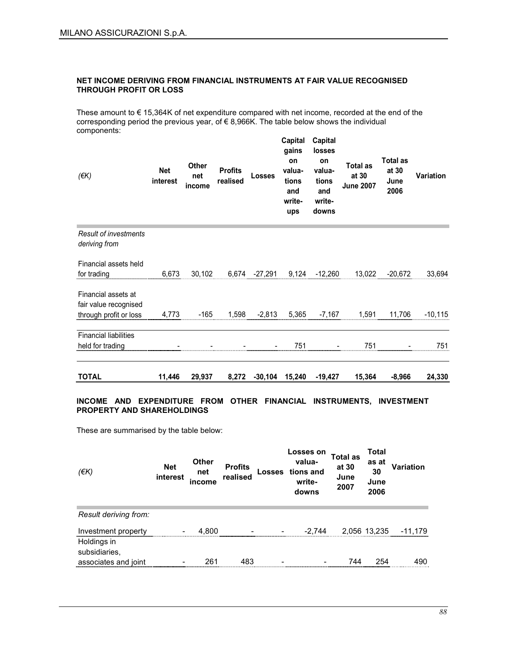### NET INCOME DERIVING FROM FINANCIAL INSTRUMENTS AT FAIR VALUE RECOGNISED THROUGH PROFIT OR LOSS

These amount to € 15,364K of net expenditure compared with net income, recorded at the end of the corresponding period the previous year, of  $\in$  8,966K. The table below shows the individual components:

| $($ <del>€</del> K $)$                                                 | <b>Net</b><br>interest | <b>Other</b><br>net<br>income | <b>Profits</b><br>realised | Losses                   | Capital<br>gains<br>on<br>valua-<br>tions<br>and<br>write-<br>ups | Capital<br>losses<br>on<br>valua-<br>tions<br>and<br>write-<br>downs | <b>Total as</b><br>at 30<br><b>June 2007</b> | <b>Total as</b><br>at 30<br>June<br>2006 | <b>Variation</b> |
|------------------------------------------------------------------------|------------------------|-------------------------------|----------------------------|--------------------------|-------------------------------------------------------------------|----------------------------------------------------------------------|----------------------------------------------|------------------------------------------|------------------|
| Result of investments<br>deriving from                                 |                        |                               |                            |                          |                                                                   |                                                                      |                                              |                                          |                  |
| Financial assets held<br>for trading                                   | 6,673                  | 30,102                        |                            | 6,674 -27,291            | 9,124                                                             | $-12,260$                                                            | 13,022                                       | $-20,672$                                | 33,694           |
| Financial assets at<br>fair value recognised<br>through profit or loss | 4,773                  | $-165$                        | 1,598                      | $-2,813$                 | 5,365                                                             | $-7,167$                                                             | 1,591                                        | 11,706                                   | $-10, 115$       |
| <b>Financial liabilities</b><br>held for trading                       |                        |                               |                            | $\overline{\phantom{a}}$ | 751                                                               |                                                                      | 751                                          | $\overline{\phantom{a}}$                 | 751              |
| <b>TOTAL</b>                                                           | 11,446                 | 29,937                        | 8,272                      | -30,104                  | 15,240                                                            | $-19,427$                                                            | 15,364                                       | $-8,966$                                 | 24,330           |

### INCOME AND EXPENDITURE FROM OTHER FINANCIAL INSTRUMENTS, INVESTMENT PROPERTY AND SHAREHOLDINGS

These are summarised by the table below:

| (EK)                         | <b>Net</b><br>interest | <b>Other</b><br>net<br>income | <b>Profits</b><br>realised | <b>Losses</b> | Losses on<br>valua-<br>tions and<br>write-<br>downs | Total as<br>at 30<br>June<br>2007 | Total<br>as at<br>30<br>June<br>2006 | <b>Variation</b> |
|------------------------------|------------------------|-------------------------------|----------------------------|---------------|-----------------------------------------------------|-----------------------------------|--------------------------------------|------------------|
| Result deriving from:        |                        |                               |                            |               |                                                     |                                   |                                      |                  |
| Investment property          | -                      | 4.800                         |                            |               | $-2.744$                                            |                                   | 2,056 13,235                         | -11.179          |
| Holdings in<br>subsidiaries. |                        |                               |                            |               |                                                     |                                   |                                      |                  |
| associates and joint         |                        | 261                           | 483                        |               |                                                     | 744                               | 254                                  | 490              |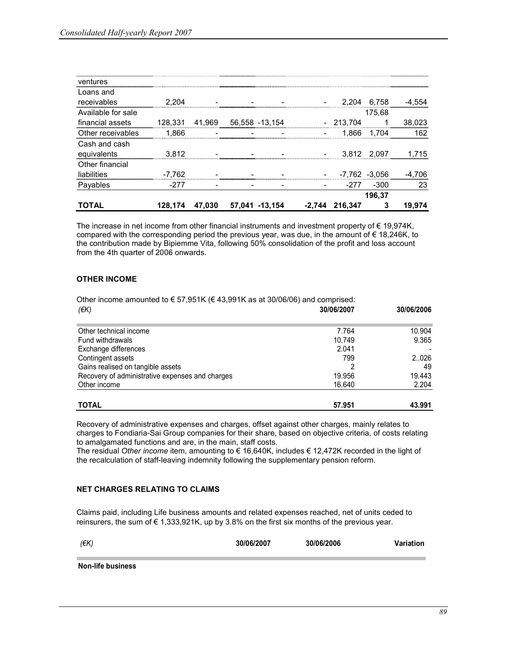| ventures           |          |        |                |  |                |                   |        |
|--------------------|----------|--------|----------------|--|----------------|-------------------|--------|
| Loans and          |          |        |                |  |                |                   |        |
| receivables        | 2.204    |        |                |  | 2.204          | 6,758             | -4,554 |
| Available for sale |          |        |                |  |                | 175.68            |        |
| financial assets   | 128,331  | 41,969 | 56,558 -13,154 |  | $-213.704$     |                   | 38,023 |
| Other receivables  | 1.866    |        |                |  |                | 1,866 1,704       | 162    |
| Cash and cash      |          |        |                |  |                |                   |        |
| equivalents        | 3.812    |        |                |  |                | 3.812 2.097       | 1.715  |
| Other financial    |          |        |                |  |                |                   |        |
| liabilities        | $-7.762$ |        |                |  |                | $-7,762$ $-3,056$ | -4,706 |
| Payables           | $-277$   |        |                |  | -277           | $-300$            | 23     |
|                    |          |        |                |  |                | 196.37            |        |
| TOTAL              | 128.174  | 47,030 | 57.041 -13.154 |  | -2,744 216,347 | 3                 | 19.974 |

The increase in net income from other financial instruments and investment property of € 19,974K, compared with the corresponding period the previous year, was due, in the amount of  $\epsilon$  18,246K, to the contribution made by Bipiemme Vita, following 50% consolidation of the profit and loss account from the 4th quarter of 2006 onwards.

## OTHER INCOME

| Other income amounted to $\epsilon$ 57,951K ( $\epsilon$ 43,991K as at 30/06/06) and comprised: |            |            |
|-------------------------------------------------------------------------------------------------|------------|------------|
| (EK)                                                                                            | 30/06/2007 | 30/06/2006 |
| Other technical income                                                                          | 7.764      | 10.904     |
| Fund withdrawals                                                                                | 10.749     | 9.365      |
| Exchange differences                                                                            | 2.041      |            |
| Contingent assets                                                                               | 799        | 2.026      |
| Gains realised on tangible assets                                                               |            | 49         |
| Recovery of administrative expenses and charges                                                 | 19.956     | 19.443     |
| Other income                                                                                    | 16.640     | 2.204      |
| <b>TOTAL</b>                                                                                    | 57.951     | 43.991     |

Recovery of administrative expenses and charges, offset against other charges, mainly relates to charges to Fondiaria-Sai Group companies for their share, based on objective criteria, of costs relating to amalgamated functions and are, in the main, staff costs.

The residual Other income item, amounting to  $\in$  16,640K, includes  $\in$  12,472K recorded in the light of the recalculation of staff-leaving indemnity following the supplementary pension reform.

## NET CHARGES RELATING TO CLAIMS

Claims paid, including Life business amounts and related expenses reached, net of units ceded to reinsurers, the sum of  $\epsilon$  1,333,921K, up by 3.8% on the first six months of the previous year.

| (EK)                     | 30/06/2007 | 30/06/2006 | Variation |
|--------------------------|------------|------------|-----------|
| <b>Non-life business</b> |            |            |           |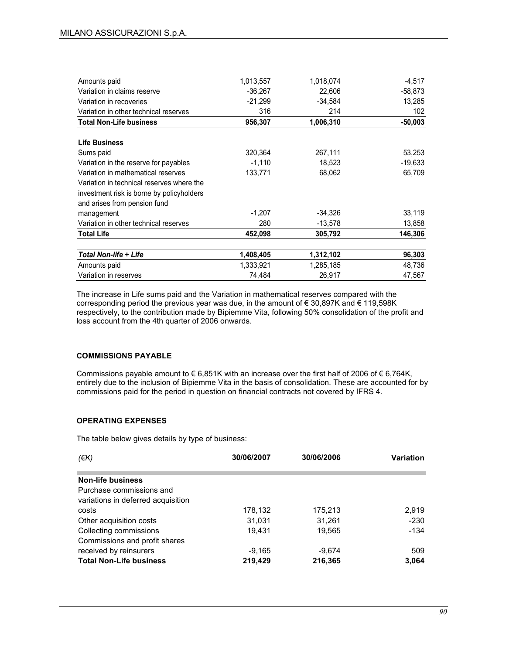| Amounts paid                              | 1,013,557 | 1,018,074 | $-4.517$  |
|-------------------------------------------|-----------|-----------|-----------|
| Variation in claims reserve               | $-36,267$ | 22,606    | $-58,873$ |
| Variation in recoveries                   | $-21,299$ | $-34,584$ | 13,285    |
| Variation in other technical reserves     | 316       | 214       | 102       |
| <b>Total Non-Life business</b>            | 956,307   | 1,006,310 | $-50,003$ |
|                                           |           |           |           |
| <b>Life Business</b>                      |           |           |           |
| Sums paid                                 | 320,364   | 267,111   | 53,253    |
| Variation in the reserve for payables     | $-1,110$  | 18,523    | $-19,633$ |
| Variation in mathematical reserves        | 133,771   | 68,062    | 65,709    |
| Variation in technical reserves where the |           |           |           |
| investment risk is borne by policyholders |           |           |           |
| and arises from pension fund              |           |           |           |
| management                                | $-1,207$  | $-34,326$ | 33,119    |
| Variation in other technical reserves     | 280       | $-13,578$ | 13,858    |
| <b>Total Life</b>                         | 452,098   | 305,792   | 146,306   |
| Total Non-life + Life                     | 1,408,405 | 1,312,102 | 96,303    |
| Amounts paid                              | 1,333,921 | 1,285,185 | 48,736    |
| Variation in reserves                     | 74,484    | 26,917    | 47,567    |

The increase in Life sums paid and the Variation in mathematical reserves compared with the corresponding period the previous year was due, in the amount of € 30,897K and € 119,598K respectively, to the contribution made by Bipiemme Vita, following 50% consolidation of the profit and loss account from the 4th quarter of 2006 onwards.

### COMMISSIONS PAYABLE

Commissions payable amount to  $\epsilon$  6,851K with an increase over the first half of 2006 of  $\epsilon$  6,764K, entirely due to the inclusion of Bipiemme Vita in the basis of consolidation. These are accounted for by commissions paid for the period in question on financial contracts not covered by IFRS 4.

## OPERATING EXPENSES

The table below gives details by type of business:

| $(\epsilon K)$                     | 30/06/2007 | 30/06/2006 | <b>Variation</b> |
|------------------------------------|------------|------------|------------------|
|                                    |            |            |                  |
| <b>Non-life business</b>           |            |            |                  |
| Purchase commissions and           |            |            |                  |
| variations in deferred acquisition |            |            |                  |
| costs                              | 178,132    | 175,213    | 2,919            |
| Other acquisition costs            | 31.031     | 31.261     | $-230$           |
| Collecting commissions             | 19.431     | 19.565     | $-134$           |
| Commissions and profit shares      |            |            |                  |
| received by reinsurers             | $-9.165$   | $-9,674$   | 509              |
| <b>Total Non-Life business</b>     | 219,429    | 216,365    | 3,064            |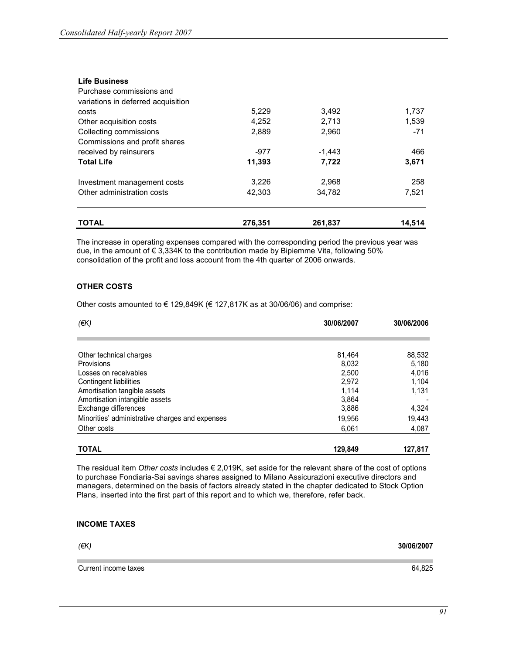| <b>TOTAL</b>                       | 276.351 | 261.837  | 14.514 |
|------------------------------------|---------|----------|--------|
| Other administration costs         | 42,303  | 34.782   | 7,521  |
| Investment management costs        | 3,226   | 2,968    | 258    |
| <b>Total Life</b>                  | 11,393  | 7,722    | 3,671  |
| received by reinsurers             | $-977$  | $-1,443$ | 466    |
| Commissions and profit shares      |         |          |        |
| Collecting commissions             | 2,889   | 2,960    | $-71$  |
| Other acquisition costs            | 4,252   | 2,713    | 1,539  |
| costs                              | 5,229   | 3,492    | 1,737  |
| variations in deferred acquisition |         |          |        |
| Purchase commissions and           |         |          |        |
| <b>Life Business</b>               |         |          |        |

The increase in operating expenses compared with the corresponding period the previous year was due, in the amount of € 3,334K to the contribution made by Bipiemme Vita, following 50% consolidation of the profit and loss account from the 4th quarter of 2006 onwards.

## OTHER COSTS

Other costs amounted to  $\epsilon$  129,849K ( $\epsilon$  127,817K as at 30/06/06) and comprise:

| (EK)                                            | 30/06/2007 | 30/06/2006 |
|-------------------------------------------------|------------|------------|
|                                                 |            |            |
| Other technical charges                         | 81.464     | 88,532     |
| Provisions                                      | 8,032      | 5,180      |
| Losses on receivables                           | 2,500      | 4,016      |
| Contingent liabilities                          | 2,972      | 1,104      |
| Amortisation tangible assets                    | 1.114      | 1,131      |
| Amortisation intangible assets                  | 3,864      |            |
| Exchange differences                            | 3,886      | 4,324      |
| Minorities' administrative charges and expenses | 19,956     | 19,443     |
| Other costs                                     | 6.061      | 4,087      |
| <b>TOTAL</b>                                    | 129,849    | 127,817    |

The residual item Other costs includes  $\epsilon$  2,019K, set aside for the relevant share of the cost of options to purchase Fondiaria-Sai savings shares assigned to Milano Assicurazioni executive directors and managers, determined on the basis of factors already stated in the chapter dedicated to Stock Option Plans, inserted into the first part of this report and to which we, therefore, refer back.

## INCOME TAXES

(€K) 30/06/2007

Current income taxes 64,825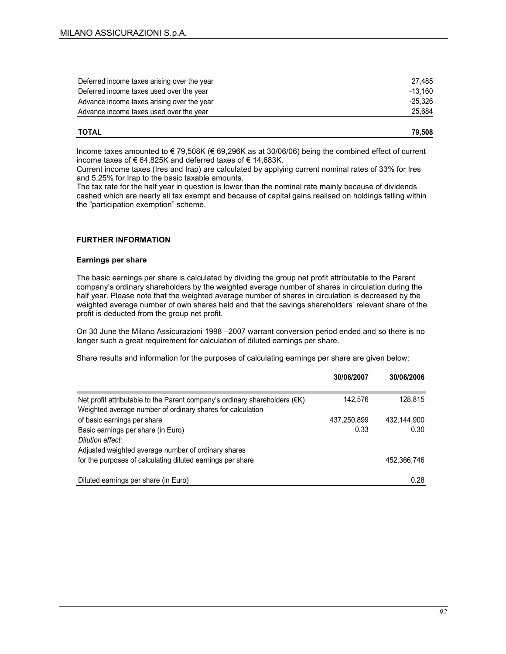| Deferred income taxes arising over the year | 27.485    |
|---------------------------------------------|-----------|
| Deferred income taxes used over the year    | $-13.160$ |
| Advance income taxes arising over the year  | -25.326   |
| Advance income taxes used over the year     | 25,684    |
|                                             |           |

| <b>TOTAL</b> | 79.508 |
|--------------|--------|
|              |        |

Income taxes amounted to € 79,508K (€ 69,296K as at 30/06/06) being the combined effect of current income taxes of € 64,825K and deferred taxes of € 14,683K.

Current income taxes (Ires and Irap) are calculated by applying current nominal rates of 33% for Ires and 5.25% for Irap to the basic taxable amounts.

The tax rate for the half year in question is lower than the nominal rate mainly because of dividends cashed which are nearly all tax exempt and because of capital gains realised on holdings falling within the "participation exemption" scheme.

### FURTHER INFORMATION

### Earnings per share

The basic earnings per share is calculated by dividing the group net profit attributable to the Parent company's ordinary shareholders by the weighted average number of shares in circulation during the half year. Please note that the weighted average number of shares in circulation is decreased by the weighted average number of own shares held and that the savings shareholders' relevant share of the profit is deducted from the group net profit.

On 30 June the Milano Assicurazioni 1998 –2007 warrant conversion period ended and so there is no longer such a great requirement for calculation of diluted earnings per share.

Share results and information for the purposes of calculating earnings per share are given below:

|                                                                                                                                                    | 30/06/2007  | 30/06/2006  |
|----------------------------------------------------------------------------------------------------------------------------------------------------|-------------|-------------|
| Net profit attributable to the Parent company's ordinary shareholders $(\epsilon K)$<br>Weighted average number of ordinary shares for calculation | 142.576     | 128,815     |
| of basic earnings per share                                                                                                                        | 437,250,899 | 432.144.900 |
| Basic earnings per share (in Euro)<br>Dilution effect:                                                                                             | 0.33        | 0.30        |
| Adjusted weighted average number of ordinary shares                                                                                                |             |             |
| for the purposes of calculating diluted earnings per share                                                                                         |             | 452,366,746 |
| Diluted earnings per share (in Euro)                                                                                                               |             | 0.28        |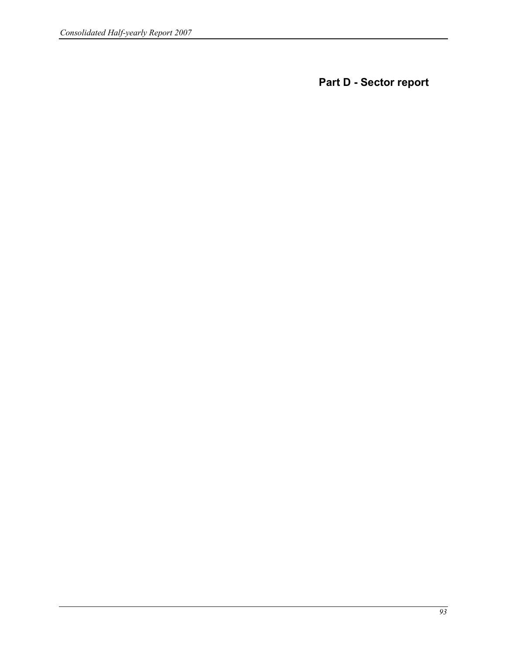Part D - Sector report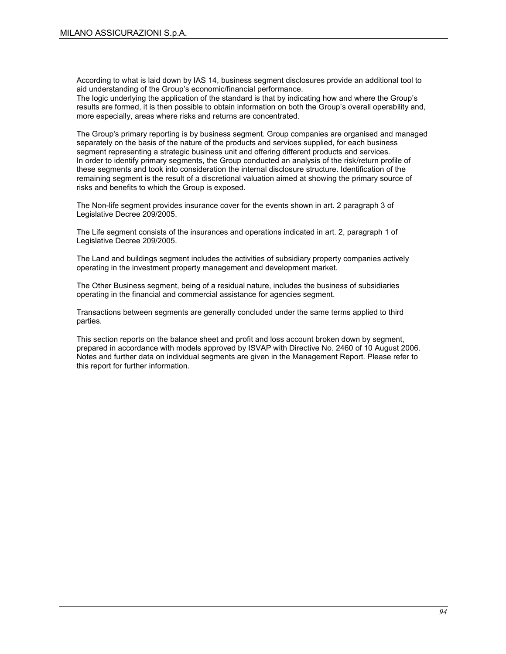According to what is laid down by IAS 14, business segment disclosures provide an additional tool to aid understanding of the Group's economic/financial performance.

The logic underlying the application of the standard is that by indicating how and where the Group's results are formed, it is then possible to obtain information on both the Group's overall operability and, more especially, areas where risks and returns are concentrated.

The Group's primary reporting is by business segment. Group companies are organised and managed separately on the basis of the nature of the products and services supplied, for each business segment representing a strategic business unit and offering different products and services. In order to identify primary segments, the Group conducted an analysis of the risk/return profile of these segments and took into consideration the internal disclosure structure. Identification of the remaining segment is the result of a discretional valuation aimed at showing the primary source of risks and benefits to which the Group is exposed.

The Non-life segment provides insurance cover for the events shown in art. 2 paragraph 3 of Legislative Decree 209/2005.

The Life segment consists of the insurances and operations indicated in art. 2, paragraph 1 of Legislative Decree 209/2005.

The Land and buildings segment includes the activities of subsidiary property companies actively operating in the investment property management and development market.

The Other Business segment, being of a residual nature, includes the business of subsidiaries operating in the financial and commercial assistance for agencies segment.

Transactions between segments are generally concluded under the same terms applied to third parties.

This section reports on the balance sheet and profit and loss account broken down by segment, prepared in accordance with models approved by ISVAP with Directive No. 2460 of 10 August 2006. Notes and further data on individual segments are given in the Management Report. Please refer to this report for further information.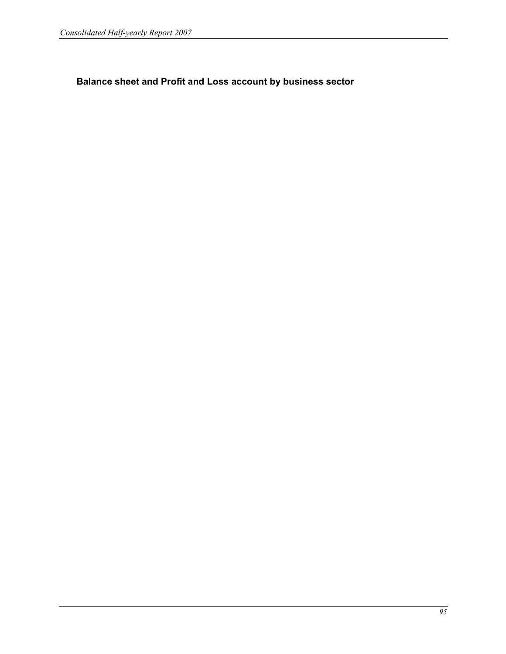Balance sheet and Profit and Loss account by business sector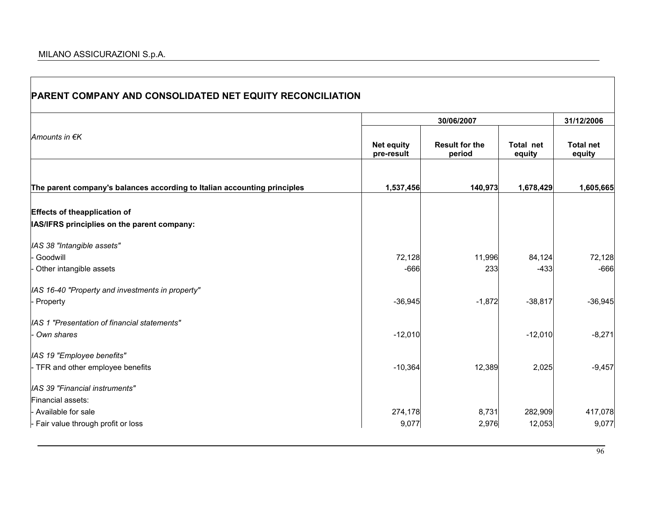**T** 

| PARENT COMPANY AND CONSOLIDATED NET EQUITY RECONCILIATION                |                                 |                                 |                     |                            |
|--------------------------------------------------------------------------|---------------------------------|---------------------------------|---------------------|----------------------------|
|                                                                          |                                 | 30/06/2007                      |                     | 31/12/2006                 |
| Amounts in €K                                                            | <b>Net equity</b><br>pre-result | <b>Result for the</b><br>period | Total net<br>equity | <b>Total net</b><br>equity |
| The parent company's balances according to Italian accounting principles | 1,537,456                       | 140,973                         | 1,678,429           | 1,605,665                  |
| <b>Effects of theapplication of</b>                                      |                                 |                                 |                     |                            |
| IAS/IFRS principlies on the parent company:                              |                                 |                                 |                     |                            |
| IAS 38 "Intangible assets"                                               |                                 |                                 |                     |                            |
| Goodwill                                                                 | 72,128                          | 11,996                          | 84,124              | 72,128                     |
| Other intangible assets                                                  | $-666$                          | 233                             | $-433$              | $-666$                     |
| IAS 16-40 "Property and investments in property"                         |                                 |                                 |                     |                            |
| - Property                                                               | $-36,945$                       | $-1,872$                        | $-38,817$           | $-36,945$                  |
| IAS 1 "Presentation of financial statements"                             |                                 |                                 |                     |                            |
| Own shares                                                               | $-12,010$                       |                                 | $-12,010$           | $-8,271$                   |
| IAS 19 "Employee benefits"                                               |                                 |                                 |                     |                            |
| - TFR and other employee benefits                                        | $-10,364$                       | 12,389                          | 2,025               | $-9,457$                   |
| IAS 39 "Financial instruments"                                           |                                 |                                 |                     |                            |
| Financial assets:                                                        |                                 |                                 |                     |                            |
| - Available for sale                                                     | 274,178                         | 8,731                           | 282,909             | 417,078                    |
| - Fair value through profit or loss                                      | 9,077                           | 2,976                           | 12,053              | 9,077                      |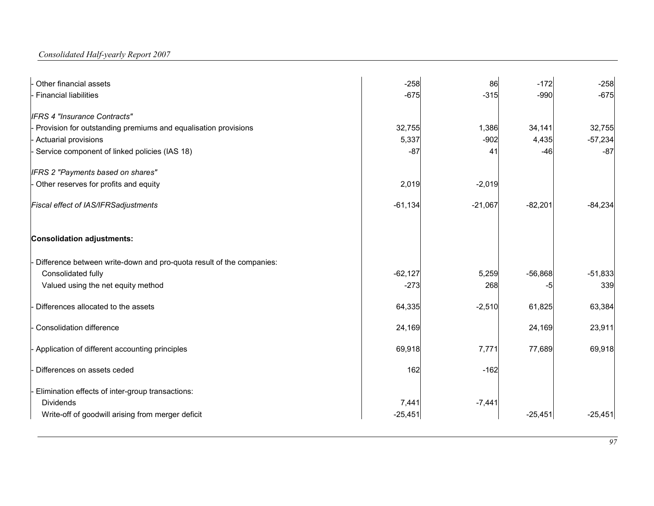Consolidated Half-yearly Report 2007

| Other financial assets                                                 | $-258$    | 86        | $-172$    | $-258$    |
|------------------------------------------------------------------------|-----------|-----------|-----------|-----------|
| <b>Financial liabilities</b>                                           | $-675$    | $-315$    | $-990$    | $-675$    |
| <b>IFRS 4 "Insurance Contracts"</b>                                    |           |           |           |           |
| - Provision for outstanding premiums and equalisation provisions       | 32,755    | 1,386     | 34,141    | 32,755    |
| - Actuarial provisions                                                 | 5,337     | $-902$    | 4,435     | $-57,234$ |
| Service component of linked policies (IAS 18)                          | $-87$     | 41        | -46       | $-87$     |
| IFRS 2 "Payments based on shares"                                      |           |           |           |           |
| - Other reserves for profits and equity                                | 2,019     | $-2,019$  |           |           |
| Fiscal effect of IAS/IFRSadjustments                                   | $-61,134$ | $-21,067$ | $-82,201$ | $-84,234$ |
| <b>Consolidation adjustments:</b>                                      |           |           |           |           |
| - Difference between write-down and pro-quota result of the companies: |           |           |           |           |
| Consolidated fully                                                     | $-62,127$ | 5,259     | $-56,868$ | $-51,833$ |
| Valued using the net equity method                                     | $-273$    | 268       | -5        | 339       |
| Differences allocated to the assets                                    | 64,335    | $-2,510$  | 61,825    | 63,384    |
| <b>Consolidation difference</b>                                        | 24,169    |           | 24,169    | 23,911    |
| - Application of different accounting principles                       | 69,918    | 7,771     | 77,689    | 69,918    |
| Differences on assets ceded                                            | 162       | $-162$    |           |           |
| Elimination effects of inter-group transactions:                       |           |           |           |           |
| <b>Dividends</b>                                                       | 7,441     | $-7,441$  |           |           |
| Write-off of goodwill arising from merger deficit                      | $-25,451$ |           | $-25,451$ | $-25,451$ |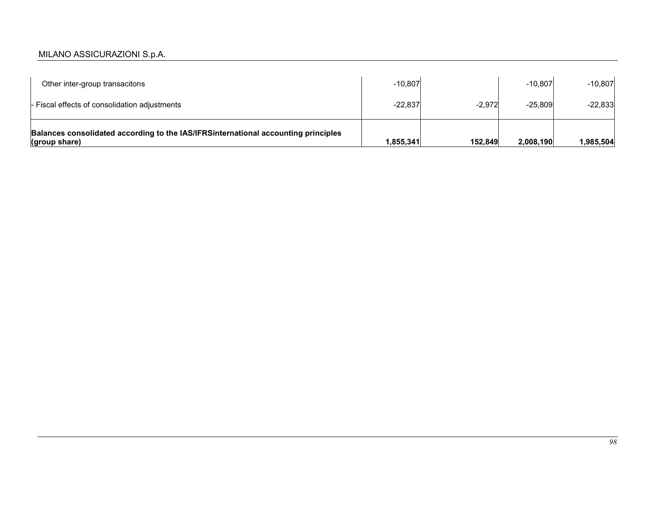# MILANO ASSICURAZIONI S.p.A.

| Other inter-group transacitons                                                                      | $-10.807$ |          | $-10.807$ | $-10,807$ |
|-----------------------------------------------------------------------------------------------------|-----------|----------|-----------|-----------|
| - Fiscal effects of consolidation adjustments                                                       | $-22.837$ | $-2.972$ | $-25.809$ | $-22,833$ |
| Balances consolidated according to the IAS/IFRSinternational accounting principles<br>(group share) | 1,855,341 | 152,849  | 2.008.190 | ,985,504  |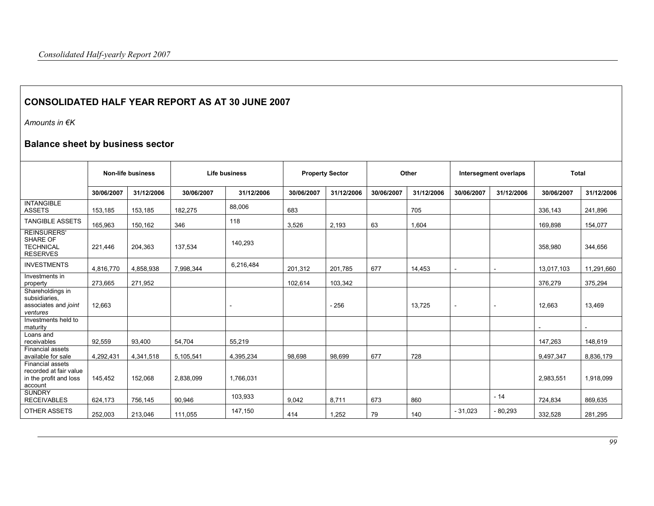# CONSOLIDATED HALF YEAR REPORT AS AT 30 JUNE 2007

Amounts in €K

# Balance sheet by business sector

|                                                                                        | Non-life business<br>Life business |            |            | <b>Property Sector</b>   |            | Other      |            | Intersegment overlaps |                          | <b>Total</b> |            |            |
|----------------------------------------------------------------------------------------|------------------------------------|------------|------------|--------------------------|------------|------------|------------|-----------------------|--------------------------|--------------|------------|------------|
|                                                                                        | 30/06/2007                         | 31/12/2006 | 30/06/2007 | 31/12/2006               | 30/06/2007 | 31/12/2006 | 30/06/2007 | 31/12/2006            | 30/06/2007               | 31/12/2006   | 30/06/2007 | 31/12/2006 |
| <b>INTANGIBLE</b><br><b>ASSETS</b>                                                     | 153,185                            | 153,185    | 182,275    | 88,006                   | 683        |            |            | 705                   |                          |              | 336,143    | 241,896    |
| <b>TANGIBLE ASSETS</b>                                                                 | 165,963                            | 150,162    | 346        | 118                      | 3,526      | 2,193      | 63         | 1,604                 |                          |              | 169,898    | 154,077    |
| <b>REINSURERS'</b><br><b>SHARE OF</b><br><b>TECHNICAL</b><br><b>RESERVES</b>           | 221,446                            | 204,363    | 137,534    | 140,293                  |            |            |            |                       |                          |              | 358,980    | 344,656    |
| <b>INVESTMENTS</b>                                                                     | 4,816,770                          | 4,858,938  | 7,998,344  | 6,216,484                | 201,312    | 201.785    | 677        | 14,453                |                          |              | 13,017,103 | 11,291,660 |
| Investments in<br>property                                                             | 273,665                            | 271,952    |            |                          | 102,614    | 103,342    |            |                       |                          |              | 376,279    | 375,294    |
| Shareholdings in<br>subsidiaries.<br>associates and joint<br>ventures                  | 12,663                             |            |            | $\overline{\phantom{a}}$ |            | $-256$     |            | 13,725                | $\overline{\phantom{a}}$ |              | 12,663     | 13,469     |
| Investments held to<br>maturity                                                        |                                    |            |            |                          |            |            |            |                       |                          |              |            |            |
| Loans and<br>receivables                                                               | 92,559                             | 93,400     | 54.704     | 55,219                   |            |            |            |                       |                          |              | 147,263    | 148,619    |
| <b>Financial assets</b><br>available for sale                                          | 4,292,431                          | 4,341,518  | 5,105,541  | 4,395,234                | 98,698     | 98,699     | 677        | 728                   |                          |              | 9,497,347  | 8,836,179  |
| <b>Financial assets</b><br>recorded at fair value<br>in the profit and loss<br>account | 145.452                            | 152,068    | 2,838,099  | 1.766.031                |            |            |            |                       |                          |              | 2,983,551  | 1,918,099  |
| <b>SUNDRY</b><br><b>RECEIVABLES</b>                                                    | 624,173                            | 756,145    | 90,946     | 103,933                  | 9,042      | 8,711      | 673        | 860                   |                          | $-14$        | 724,834    | 869,635    |
| OTHER ASSETS                                                                           | 252,003                            | 213,046    | 111,055    | 147,150                  | 414        | 1,252      | 79         | 140                   | $-31,023$                | $-80,293$    | 332,528    | 281,295    |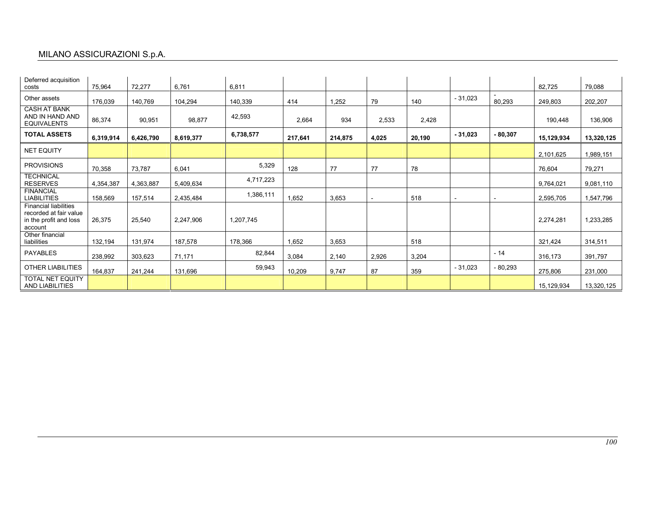# MILANO ASSICURAZIONI S.p.A.

| Deferred acquisition<br>costs                                                               | 75,964    | 72,277    | 6,761     | 6,811     |         |         |       |        |           |           | 82,725     | 79,088     |
|---------------------------------------------------------------------------------------------|-----------|-----------|-----------|-----------|---------|---------|-------|--------|-----------|-----------|------------|------------|
| Other assets                                                                                | 176,039   | 140,769   | 104,294   | 140,339   | 414     | 1,252   | 79    | 140    | $-31,023$ | 80,293    | 249,803    | 202,207    |
| <b>CASH AT BANK</b><br>AND IN HAND AND<br><b>EQUIVALENTS</b>                                | 86,374    | 90,951    | 98,877    | 42,593    | 2,664   | 934     | 2,533 | 2,428  |           |           | 190,448    | 136,906    |
| <b>TOTAL ASSETS</b>                                                                         | 6,319,914 | 6,426,790 | 8,619,377 | 6,738,577 | 217.641 | 214,875 | 4,025 | 20,190 | $-31,023$ | $-80,307$ | 15,129,934 | 13,320,125 |
| <b>NET EQUITY</b>                                                                           |           |           |           |           |         |         |       |        |           |           | 2,101,625  | 1,989,151  |
| <b>PROVISIONS</b>                                                                           | 70,358    | 73,787    | 6,041     | 5,329     | 128     | 77      | 77    | 78     |           |           | 76,604     | 79,271     |
| <b>TECHNICAL</b><br><b>RESERVES</b>                                                         | 4,354,387 | 4,363,887 | 5,409,634 | 4,717,223 |         |         |       |        |           |           | 9,764,021  | 9,081,110  |
| <b>FINANCIAL</b><br><b>LIABILITIES</b>                                                      | 158,569   | 157,514   | 2,435,484 | 1,386,111 | 1,652   | 3,653   |       | 518    |           |           | 2,595,705  | 1,547,796  |
| <b>Financial liabilities</b><br>recorded at fair value<br>in the profit and loss<br>account | 26,375    | 25,540    | 2,247,906 | 1,207,745 |         |         |       |        |           |           | 2,274,281  | 1,233,285  |
| Other financial<br>liabilities                                                              | 132,194   | 131,974   | 187,578   | 178,366   | 1,652   | 3,653   |       | 518    |           |           | 321,424    | 314,511    |
| <b>PAYABLES</b>                                                                             | 238,992   | 303,623   | 71.171    | 82,844    | 3,084   | 2,140   | 2,926 | 3,204  |           | $-14$     | 316,173    | 391,797    |
| <b>OTHER LIABILITIES</b>                                                                    | 164,837   | 241,244   | 131,696   | 59,943    | 10,209  | 9,747   | 87    | 359    | $-31,023$ | - 80,293  | 275,806    | 231,000    |
| <b>TOTAL NET EQUITY</b><br>AND LIABILITIES                                                  |           |           |           |           |         |         |       |        |           |           | 15,129,934 | 13,320,125 |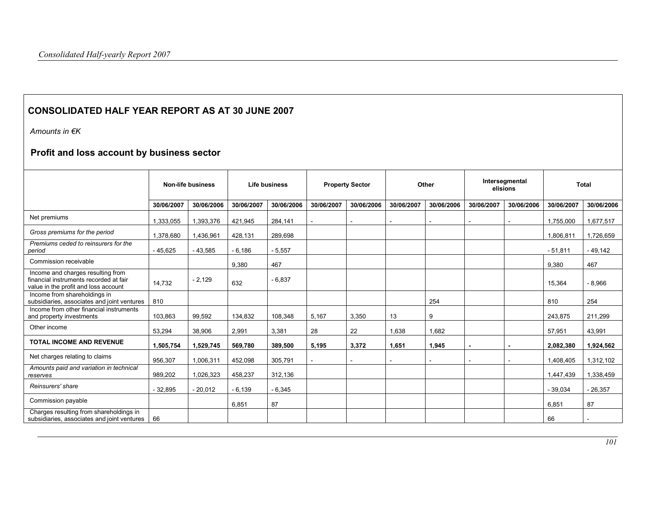# CONSOLIDATED HALF YEAR REPORT AS AT 30 JUNE 2007

Amounts in €K

# Profit and loss account by business sector

|                                                                                                                     | <b>Non-life business</b> |            | Life business |            | <b>Property Sector</b> |            | Other      |            | Intersegmental<br>elisions |            | <b>Total</b> |            |
|---------------------------------------------------------------------------------------------------------------------|--------------------------|------------|---------------|------------|------------------------|------------|------------|------------|----------------------------|------------|--------------|------------|
|                                                                                                                     | 30/06/2007               | 30/06/2006 | 30/06/2007    | 30/06/2006 | 30/06/2007             | 30/06/2006 | 30/06/2007 | 30/06/2006 | 30/06/2007                 | 30/06/2006 | 30/06/2007   | 30/06/2006 |
| Net premiums                                                                                                        | 1,333,055                | 1,393,376  | 421,945       | 284,141    |                        |            |            |            |                            |            | 1,755,000    | 1,677,517  |
| Gross premiums for the period                                                                                       | 1,378,680                | 1,436,961  | 428,131       | 289,698    |                        |            |            |            |                            |            | 1,806,811    | 1,726,659  |
| Premiums ceded to reinsurers for the<br>period                                                                      | $-45,625$                | $-43,585$  | $-6,186$      | $-5,557$   |                        |            |            |            |                            |            | $-51,811$    | $-49,142$  |
| Commission receivable                                                                                               |                          |            | 9,380         | 467        |                        |            |            |            |                            |            | 9,380        | 467        |
| Income and charges resulting from<br>financial instruments recorded at fair<br>value in the profit and loss account | 14,732                   | $-2,129$   | 632           | $-6,837$   |                        |            |            |            |                            |            | 15,364       | $-8,966$   |
| Income from shareholdings in<br>subsidiaries, associates and joint ventures                                         | 810                      |            |               |            |                        |            |            | 254        |                            |            | 810          | 254        |
| Income from other financial instruments<br>and property investments                                                 | 103,863                  | 99,592     | 134,832       | 108,348    | 5,167                  | 3,350      | 13         | 9          |                            |            | 243,875      | 211,299    |
| Other income                                                                                                        | 53,294                   | 38,906     | 2,991         | 3,381      | 28                     | 22         | 1,638      | 1,682      |                            |            | 57,951       | 43,991     |
| <b>TOTAL INCOME AND REVENUE</b>                                                                                     | 1,505,754                | 1,529,745  | 569,780       | 389,500    | 5,195                  | 3,372      | 1,651      | 1,945      |                            |            | 2,082,380    | 1,924,562  |
| Net charges relating to claims                                                                                      | 956,307                  | 1,006,311  | 452,098       | 305,791    |                        |            |            |            |                            |            | 1,408,405    | 1,312,102  |
| Amounts paid and variation in technical<br>reserves                                                                 | 989,202                  | 1,026,323  | 458.237       | 312,136    |                        |            |            |            |                            |            | 1,447,439    | 1,338,459  |
| Reinsurers' share                                                                                                   | 32.895                   | $-20,012$  | $-6.139$      | $-6,345$   |                        |            |            |            |                            |            | $-39.034$    | $-26,357$  |
| Commission payable                                                                                                  |                          |            | 6,851         | 87         |                        |            |            |            |                            |            | 6,851        | 87         |
| Charges resulting from shareholdings in<br>subsidiaries, associates and joint ventures                              | 66                       |            |               |            |                        |            |            |            |                            |            | 66           |            |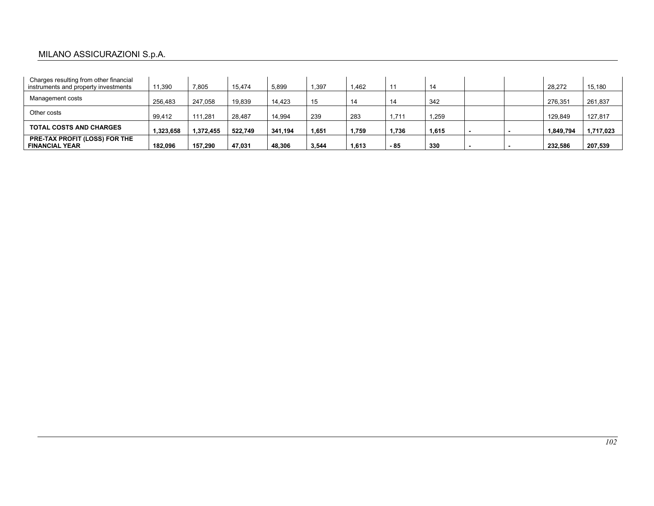# MILANO ASSICURAZIONI S.p.A.

| Charges resulting from other financial<br>instruments and property investments | 11,390    | 7,805     | 15.474  | 5.899   | 1,397 | 1.462 |       | 14    | 28.272    | 15,180    |
|--------------------------------------------------------------------------------|-----------|-----------|---------|---------|-------|-------|-------|-------|-----------|-----------|
| Management costs                                                               | 256.483   | 247.058   | 19.839  | 14.423  | 15    | 14    | 14    | 342   | 276.351   | 261,837   |
| Other costs                                                                    | 99,412    | 111.281   | 28.487  | 14.994  | 239   | 283   | 1,711 | 1.259 | 129.849   | 127,817   |
| <b>TOTAL COSTS AND CHARGES</b>                                                 | 1,323,658 | 1.372.455 | 522.749 | 341.194 | 1,651 | 1,759 | 1,736 | 1,615 | 1,849,794 | 1,717,023 |
| <b>PRE-TAX PROFIT (LOSS) FOR THE</b><br><b>FINANCIAL YEAR</b>                  | 182.096   | 157.290   | 47.031  | 48.306  | 3,544 | 1.613 | - 85  | 330   | 232.586   | 207,539   |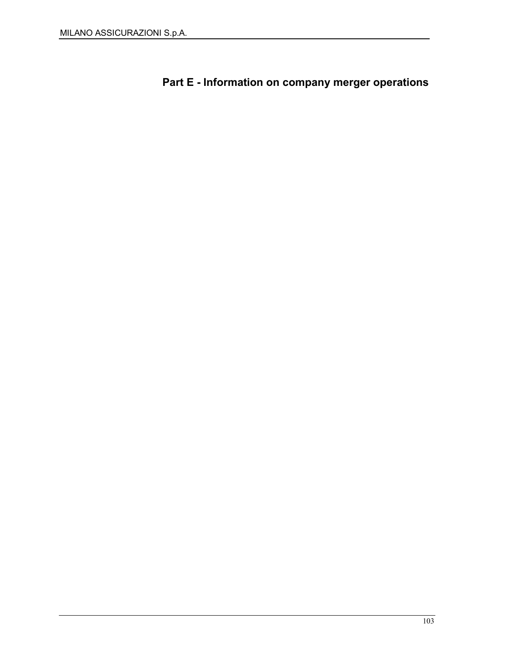Part E - Information on company merger operations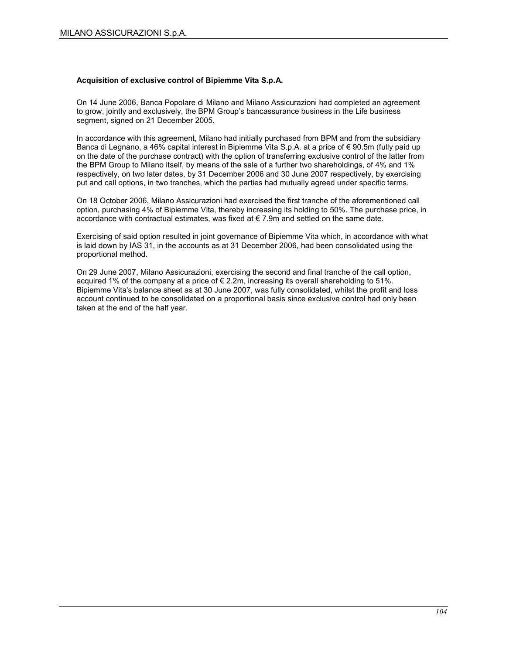#### Acquisition of exclusive control of Bipiemme Vita S.p.A.

On 14 June 2006, Banca Popolare di Milano and Milano Assicurazioni had completed an agreement to grow, jointly and exclusively, the BPM Group's bancassurance business in the Life business segment, signed on 21 December 2005.

In accordance with this agreement, Milano had initially purchased from BPM and from the subsidiary Banca di Legnano, a 46% capital interest in Bipiemme Vita S.p.A. at a price of € 90.5m (fully paid up on the date of the purchase contract) with the option of transferring exclusive control of the latter from the BPM Group to Milano itself, by means of the sale of a further two shareholdings, of 4% and 1% respectively, on two later dates, by 31 December 2006 and 30 June 2007 respectively, by exercising put and call options, in two tranches, which the parties had mutually agreed under specific terms.

On 18 October 2006, Milano Assicurazioni had exercised the first tranche of the aforementioned call option, purchasing 4% of Bipiemme Vita, thereby increasing its holding to 50%. The purchase price, in accordance with contractual estimates, was fixed at € 7.9m and settled on the same date.

Exercising of said option resulted in joint governance of Bipiemme Vita which, in accordance with what is laid down by IAS 31, in the accounts as at 31 December 2006, had been consolidated using the proportional method.

On 29 June 2007, Milano Assicurazioni, exercising the second and final tranche of the call option, acquired 1% of the company at a price of  $\epsilon$  2.2m, increasing its overall shareholding to 51%. Bipiemme Vita's balance sheet as at 30 June 2007, was fully consolidated, whilst the profit and loss account continued to be consolidated on a proportional basis since exclusive control had only been taken at the end of the half year.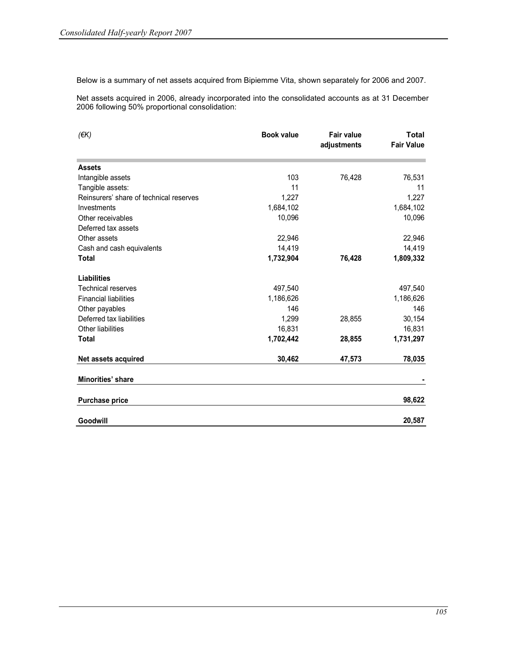Below is a summary of net assets acquired from Bipiemme Vita, shown separately for 2006 and 2007.

Net assets acquired in 2006, already incorporated into the consolidated accounts as at 31 December 2006 following 50% proportional consolidation:

| $($ $\notin$ K $)$                      | <b>Book value</b> | <b>Fair value</b><br>adjustments | <b>Total</b><br><b>Fair Value</b> |
|-----------------------------------------|-------------------|----------------------------------|-----------------------------------|
| <b>Assets</b>                           |                   |                                  |                                   |
| Intangible assets                       | 103               | 76,428                           | 76,531                            |
| Tangible assets:                        | 11                |                                  | 11                                |
| Reinsurers' share of technical reserves | 1,227             |                                  | 1,227                             |
| Investments                             | 1,684,102         |                                  | 1,684,102                         |
| Other receivables                       | 10,096            |                                  | 10,096                            |
| Deferred tax assets                     |                   |                                  |                                   |
| Other assets                            | 22,946            |                                  | 22,946                            |
| Cash and cash equivalents               | 14,419            |                                  | 14,419                            |
| <b>Total</b>                            | 1,732,904         | 76,428                           | 1,809,332                         |
| <b>Liabilities</b>                      |                   |                                  |                                   |
| <b>Technical reserves</b>               | 497,540           |                                  | 497,540                           |
| <b>Financial liabilities</b>            | 1,186,626         |                                  | 1,186,626                         |
| Other payables                          | 146               |                                  | 146                               |
| Deferred tax liabilities                | 1,299             | 28,855                           | 30,154                            |
| Other liabilities                       | 16,831            |                                  | 16,831                            |
| <b>Total</b>                            | 1,702,442         | 28,855                           | 1,731,297                         |
| Net assets acquired                     | 30,462            | 47,573                           | 78,035                            |
| Minorities' share                       |                   |                                  |                                   |
| <b>Purchase price</b>                   |                   |                                  | 98,622                            |
| Goodwill                                |                   |                                  | 20,587                            |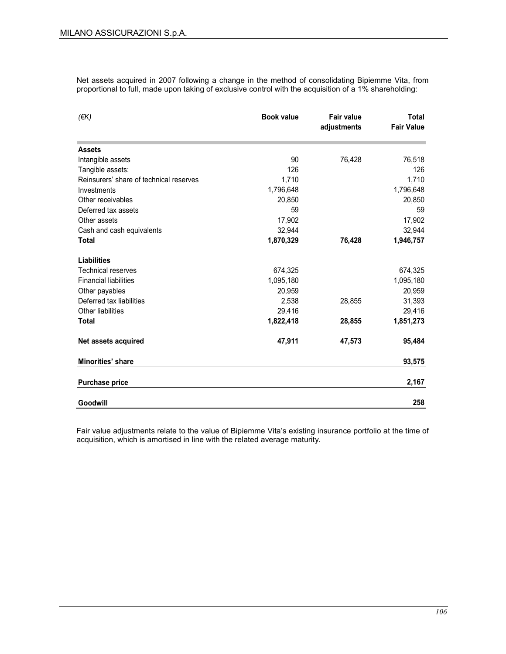Net assets acquired in 2007 following a change in the method of consolidating Bipiemme Vita, from proportional to full, made upon taking of exclusive control with the acquisition of a 1% shareholding:

| $($ <del>€</del> K)                     | <b>Book value</b> | <b>Fair value</b><br>adjustments | <b>Total</b><br><b>Fair Value</b> |
|-----------------------------------------|-------------------|----------------------------------|-----------------------------------|
| <b>Assets</b>                           |                   |                                  |                                   |
| Intangible assets                       | 90                | 76,428                           | 76,518                            |
| Tangible assets:                        | 126               |                                  | 126                               |
| Reinsurers' share of technical reserves | 1,710             |                                  | 1,710                             |
| Investments                             | 1,796,648         |                                  | 1,796,648                         |
| Other receivables                       | 20,850            |                                  | 20,850                            |
| Deferred tax assets                     | 59                |                                  | 59                                |
| Other assets                            | 17,902            |                                  | 17,902                            |
| Cash and cash equivalents               | 32.944            |                                  | 32,944                            |
| <b>Total</b>                            | 1,870,329         | 76,428                           | 1,946,757                         |
| <b>Liabilities</b>                      |                   |                                  |                                   |
| <b>Technical reserves</b>               | 674,325           |                                  | 674,325                           |
| <b>Financial liabilities</b>            | 1,095,180         |                                  | 1,095,180                         |
| Other payables                          | 20,959            |                                  | 20,959                            |
| Deferred tax liabilities                | 2,538             | 28,855                           | 31,393                            |
| <b>Other liabilities</b>                | 29,416            |                                  | 29,416                            |
| <b>Total</b>                            | 1,822,418         | 28,855                           | 1,851,273                         |
| Net assets acquired                     | 47,911            | 47,573                           | 95,484                            |
| <b>Minorities' share</b>                |                   |                                  | 93,575                            |
| <b>Purchase price</b>                   |                   |                                  | 2,167                             |
| Goodwill                                |                   |                                  | 258                               |

Fair value adjustments relate to the value of Bipiemme Vita's existing insurance portfolio at the time of acquisition, which is amortised in line with the related average maturity.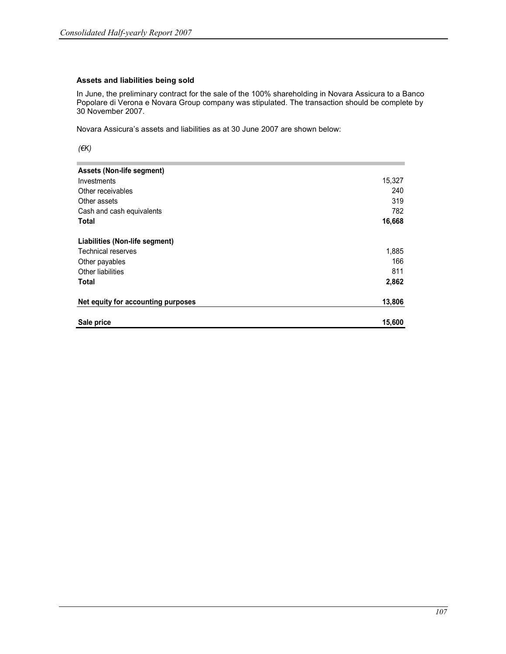### Assets and liabilities being sold

In June, the preliminary contract for the sale of the 100% shareholding in Novara Assicura to a Banco Popolare di Verona e Novara Group company was stipulated. The transaction should be complete by 30 November 2007.

Novara Assicura's assets and liabilities as at 30 June 2007 are shown below:

 $($ €K $)$ 

| Assets (Non-life segment)          |        |
|------------------------------------|--------|
| Investments                        | 15,327 |
| Other receivables                  | 240    |
| Other assets                       | 319    |
| Cash and cash equivalents          | 782    |
| <b>Total</b>                       | 16,668 |
| Liabilities (Non-life segment)     |        |
| <b>Technical reserves</b>          | 1,885  |
| Other payables                     | 166    |
| <b>Other liabilities</b>           | 811    |
| <b>Total</b>                       | 2,862  |
| Net equity for accounting purposes | 13,806 |
| Sale price                         | 15,600 |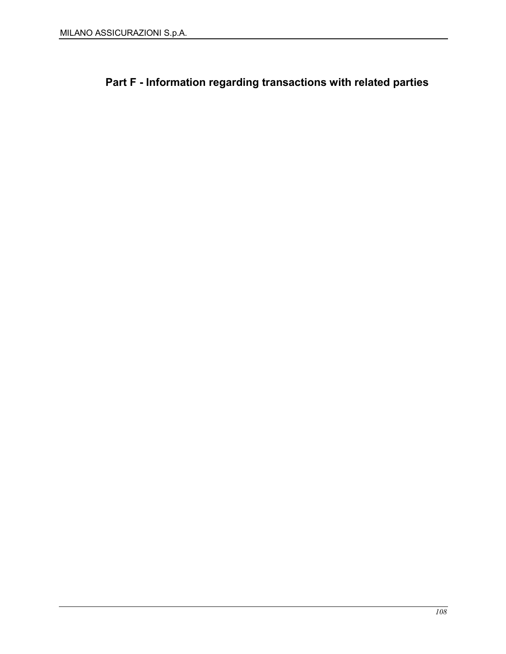Part F - Information regarding transactions with related parties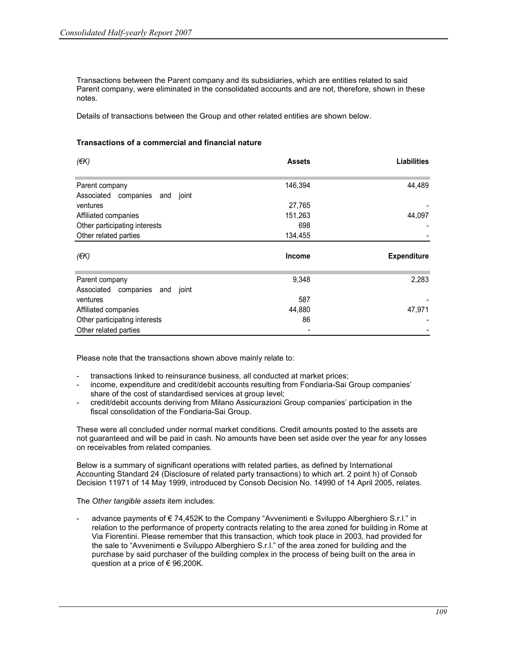Transactions between the Parent company and its subsidiaries, which are entities related to said Parent company, were eliminated in the consolidated accounts and are not, therefore, shown in these notes.

Details of transactions between the Group and other related entities are shown below.

#### Transactions of a commercial and financial nature

| $($ <del>€</del> K)                                    | <b>Assets</b> | <b>Liabilities</b> |
|--------------------------------------------------------|---------------|--------------------|
|                                                        |               |                    |
| Parent company                                         | 146,394       | 44,489             |
| Associated companies<br>joint<br>and                   |               |                    |
| ventures                                               | 27,765        |                    |
| Affiliated companies                                   | 151,263       | 44,097             |
| Other participating interests                          | 698           |                    |
| Other related parties                                  | 134,455       |                    |
|                                                        |               |                    |
| $($ <del>€</del> K)                                    | <b>Income</b> | <b>Expenditure</b> |
|                                                        | 9,348         | 2,283              |
| Parent company<br>Associated companies<br>joint<br>and |               |                    |
| ventures                                               | 587           |                    |
| Affiliated companies                                   | 44,880        | 47,971             |
| Other participating interests                          | 86            |                    |

Please note that the transactions shown above mainly relate to:

- transactions linked to reinsurance business, all conducted at market prices;
- income, expenditure and credit/debit accounts resulting from Fondiaria-Sai Group companies' share of the cost of standardised services at group level;
- credit/debit accounts deriving from Milano Assicurazioni Group companies' participation in the fiscal consolidation of the Fondiaria-Sai Group.

These were all concluded under normal market conditions. Credit amounts posted to the assets are not guaranteed and will be paid in cash. No amounts have been set aside over the year for any losses on receivables from related companies.

Below is a summary of significant operations with related parties, as defined by International Accounting Standard 24 (Disclosure of related party transactions) to which art. 2 point h) of Consob Decision 11971 of 14 May 1999, introduced by Consob Decision No. 14990 of 14 April 2005, relates.

The Other tangible assets item includes:

advance payments of €74,452K to the Company "Avvenimenti e Sviluppo Alberghiero S.r.l." in relation to the performance of property contracts relating to the area zoned for building in Rome at Via Fiorentini. Please remember that this transaction, which took place in 2003, had provided for the sale to "Avvenimenti e Sviluppo Alberghiero S.r.l." of the area zoned for building and the purchase by said purchaser of the building complex in the process of being built on the area in question at a price of €96,200K.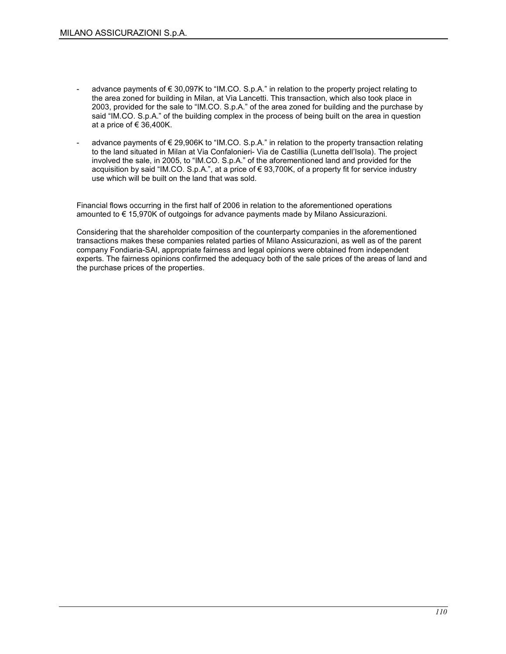- advance payments of  $\epsilon$  30,097K to "IM.CO. S.p.A." in relation to the property project relating to the area zoned for building in Milan, at Via Lancetti. This transaction, which also took place in 2003, provided for the sale to "IM.CO. S.p.A." of the area zoned for building and the purchase by said "IM.CO. S.p.A." of the building complex in the process of being built on the area in question at a price of  $\in$  36,400K.
- advance payments of € 29,906K to "IM.CO. S.p.A." in relation to the property transaction relating to the land situated in Milan at Via Confalonieri- Via de Castillia (Lunetta dell'Isola). The project involved the sale, in 2005, to "IM.CO. S.p.A." of the aforementioned land and provided for the acquisition by said "IM.CO. S.p.A.", at a price of € 93,700K, of a property fit for service industry use which will be built on the land that was sold.

Financial flows occurring in the first half of 2006 in relation to the aforementioned operations amounted to € 15,970K of outgoings for advance payments made by Milano Assicurazioni.

Considering that the shareholder composition of the counterparty companies in the aforementioned transactions makes these companies related parties of Milano Assicurazioni, as well as of the parent company Fondiaria-SAI, appropriate fairness and legal opinions were obtained from independent experts. The fairness opinions confirmed the adequacy both of the sale prices of the areas of land and the purchase prices of the properties.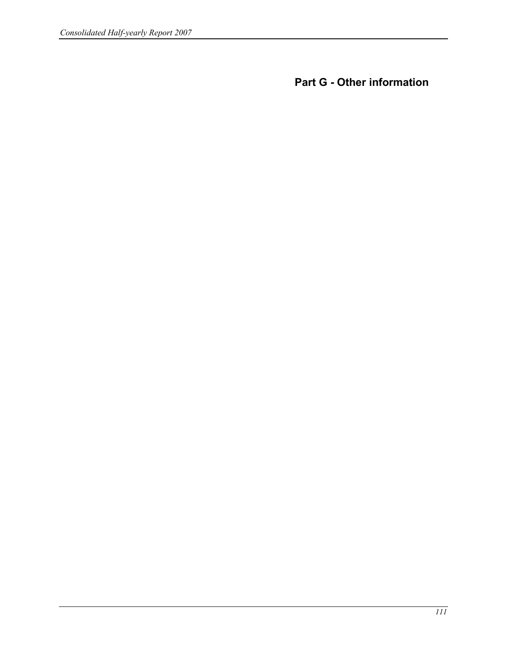Part G - Other information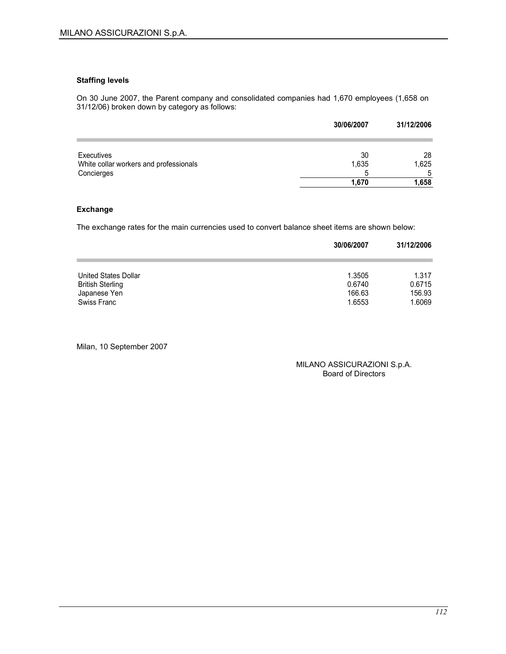#### Staffing levels

On 30 June 2007, the Parent company and consolidated companies had 1,670 employees (1,658 on 31/12/06) broken down by category as follows:

|                                        | 30/06/2007 | 31/12/2006 |
|----------------------------------------|------------|------------|
| Executives                             | 30         | 28         |
| White collar workers and professionals | 1,635      | 1,625      |
| Concierges                             | 5          | -5         |
|                                        | 1.670      | 1,658      |

#### Exchange

The exchange rates for the main currencies used to convert balance sheet items are shown below:

|                         | 30/06/2007 | 31/12/2006 |
|-------------------------|------------|------------|
| United States Dollar    | 1.3505     | 1.317      |
| <b>British Sterling</b> | 0.6740     | 0.6715     |
| Japanese Yen            | 166.63     | 156.93     |
| Swiss Franc             | 1.6553     | 1.6069     |

Milan, 10 September 2007

MILANO ASSICURAZIONI S.p.A. Board of Directors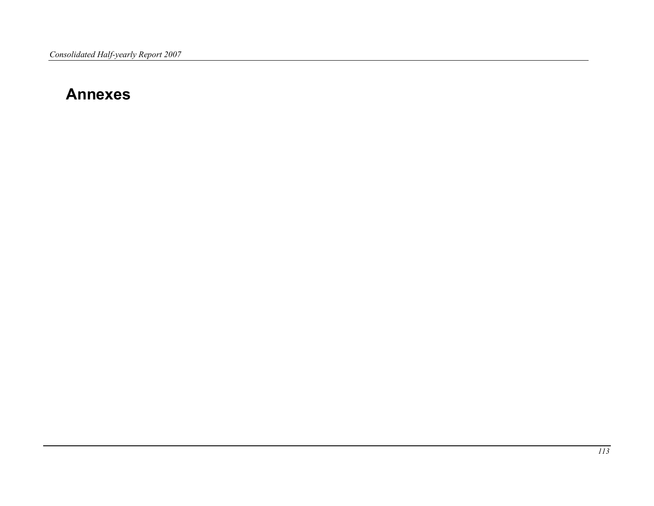# Annexes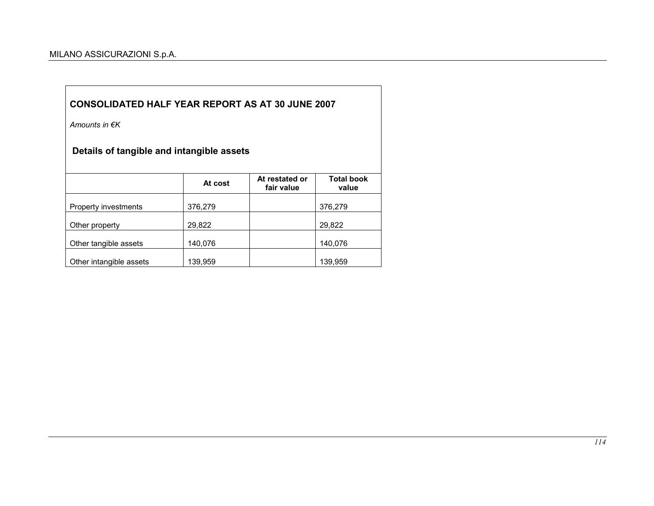Amounts in €K

# Details of tangible and intangible assets

|                         | At cost | At restated or<br>fair value | <b>Total book</b><br>value |
|-------------------------|---------|------------------------------|----------------------------|
| Property investments    | 376,279 |                              | 376,279                    |
| Other property          | 29,822  |                              | 29,822                     |
| Other tangible assets   | 140,076 |                              | 140,076                    |
| Other intangible assets | 139,959 |                              | 139,959                    |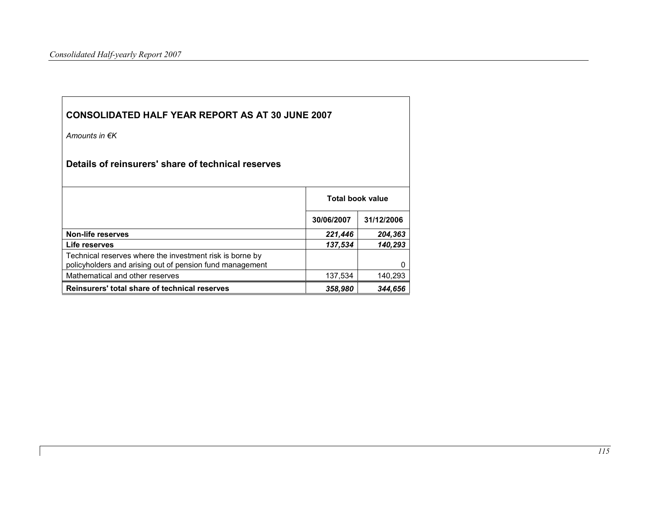| <b>CONSOLIDATED HALF YEAR REPORT AS AT 30 JUNE 2007</b>                                                              |                         |            |  |  |  |  |  |  |
|----------------------------------------------------------------------------------------------------------------------|-------------------------|------------|--|--|--|--|--|--|
| Amounts in $\notin K$                                                                                                |                         |            |  |  |  |  |  |  |
| Details of reinsurers' share of technical reserves                                                                   |                         |            |  |  |  |  |  |  |
|                                                                                                                      | <b>Total book value</b> |            |  |  |  |  |  |  |
|                                                                                                                      | 30/06/2007              | 31/12/2006 |  |  |  |  |  |  |
| <b>Non-life reserves</b>                                                                                             | 221,446                 | 204,363    |  |  |  |  |  |  |
| Life reserves                                                                                                        | 137,534                 | 140,293    |  |  |  |  |  |  |
| Technical reserves where the investment risk is borne by<br>policyholders and arising out of pension fund management |                         |            |  |  |  |  |  |  |
| Mathematical and other reserves                                                                                      | 137,534                 | 140,293    |  |  |  |  |  |  |
| Reinsurers' total share of technical reserves                                                                        | 358,980                 | 344,656    |  |  |  |  |  |  |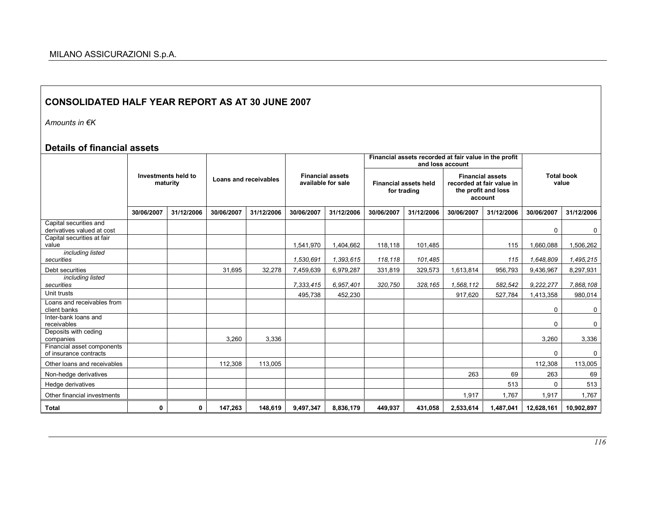Amounts in €K

## Details of financial assets

|                                                      |                                 |            |            |                       |            |                                                                                              |            | Financial assets recorded at fair value in the profit<br>and loss account              |            |                            |            |            |
|------------------------------------------------------|---------------------------------|------------|------------|-----------------------|------------|----------------------------------------------------------------------------------------------|------------|----------------------------------------------------------------------------------------|------------|----------------------------|------------|------------|
|                                                      | Investments held to<br>maturity |            |            | Loans and receivables |            | <b>Financial assets</b><br>available for sale<br><b>Financial assets held</b><br>for trading |            | <b>Financial assets</b><br>recorded at fair value in<br>the profit and loss<br>account |            | <b>Total book</b><br>value |            |            |
|                                                      | 30/06/2007                      | 31/12/2006 | 30/06/2007 | 31/12/2006            | 30/06/2007 | 31/12/2006                                                                                   | 30/06/2007 | 31/12/2006                                                                             | 30/06/2007 | 31/12/2006                 | 30/06/2007 | 31/12/2006 |
| Capital securities and<br>derivatives valued at cost |                                 |            |            |                       |            |                                                                                              |            |                                                                                        |            |                            | $\Omega$   | 0          |
| Capital securities at fair<br>value                  |                                 |            |            |                       | 1,541,970  | 1,404,662                                                                                    | 118,118    | 101.485                                                                                |            | 115                        | 1,660,088  | 1,506,262  |
| including listed<br>securities                       |                                 |            |            |                       | 1,530,691  | 1.393.615                                                                                    | 118,118    | 101,485                                                                                |            | 115                        | 1.648.809  | 1,495,215  |
| Debt securities                                      |                                 |            | 31.695     | 32.278                | 7,459,639  | 6,979,287                                                                                    | 331,819    | 329,573                                                                                | 1,613,814  | 956,793                    | 9,436,967  | 8,297,931  |
| including listed<br>securities                       |                                 |            |            |                       | 7,333,415  | 6,957,401                                                                                    | 320,750    | 328,165                                                                                | 1,568,112  | 582,542                    | 9,222,277  | 7,868,108  |
| Unit trusts                                          |                                 |            |            |                       | 495,738    | 452,230                                                                                      |            |                                                                                        | 917,620    | 527,784                    | 1,413,358  | 980,014    |
| Loans and receivables from<br>client banks           |                                 |            |            |                       |            |                                                                                              |            |                                                                                        |            |                            | $\Omega$   | 0          |
| Inter-bank loans and<br>receivables                  |                                 |            |            |                       |            |                                                                                              |            |                                                                                        |            |                            | $\Omega$   | 0          |
| Deposits with ceding<br>companies                    |                                 |            | 3.260      | 3,336                 |            |                                                                                              |            |                                                                                        |            |                            | 3.260      | 3.336      |
| Financial asset components<br>of insurance contracts |                                 |            |            |                       |            |                                                                                              |            |                                                                                        |            |                            | $\Omega$   | 0          |
| Other loans and receivables                          |                                 |            | 112,308    | 113,005               |            |                                                                                              |            |                                                                                        |            |                            | 112,308    | 113,005    |
| Non-hedge derivatives                                |                                 |            |            |                       |            |                                                                                              |            |                                                                                        | 263        | 69                         | 263        | 69         |
| Hedge derivatives                                    |                                 |            |            |                       |            |                                                                                              |            |                                                                                        |            | 513                        | 0          | 513        |
| Other financial investments                          |                                 |            |            |                       |            |                                                                                              |            |                                                                                        | 1,917      | 1,767                      | 1,917      | 1,767      |
| <b>Total</b>                                         | 0                               | 0          | 147,263    | 148,619               | 9,497,347  | 8.836.179                                                                                    | 449.937    | 431,058                                                                                | 2,533,614  | 1,487,041                  | 12,628,161 | 10,902,897 |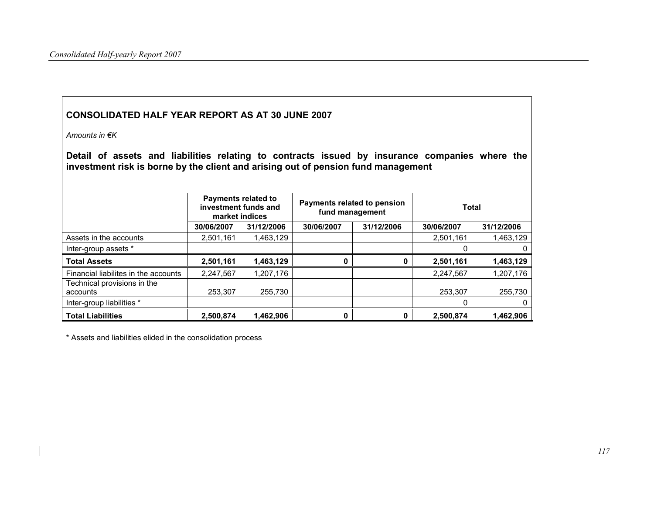Amounts in €K

Detail of assets and liabilities relating to contracts issued by insurance companies where the investment risk is borne by the client and arising out of pension fund management

|                                         | <b>Payments related to</b><br>investment funds and<br>market indices |            | Payments related to pension<br>fund management |            | <b>Total</b> |            |  |
|-----------------------------------------|----------------------------------------------------------------------|------------|------------------------------------------------|------------|--------------|------------|--|
|                                         | 30/06/2007                                                           | 31/12/2006 | 30/06/2007                                     | 31/12/2006 | 30/06/2007   | 31/12/2006 |  |
| Assets in the accounts                  | 2,501,161                                                            | 1.463.129  |                                                |            | 2,501,161    | 1,463,129  |  |
| Inter-group assets *                    |                                                                      |            |                                                |            |              | 0          |  |
| <b>Total Assets</b>                     | 2,501,161                                                            | 1,463,129  |                                                |            | 2,501,161    | 1,463,129  |  |
| Financial liabilites in the accounts    | 2,247,567                                                            | 1,207,176  |                                                |            | 2,247,567    | 1,207,176  |  |
| Technical provisions in the<br>accounts | 253.307                                                              | 255,730    |                                                |            | 253,307      | 255,730    |  |
| Inter-group liabilities *               |                                                                      |            |                                                |            |              | 0          |  |
| <b>Total Liabilities</b>                | 2,500,874                                                            | 1,462,906  |                                                |            | 2,500,874    | 1,462,906  |  |

\* Assets and liabilities elided in the consolidation process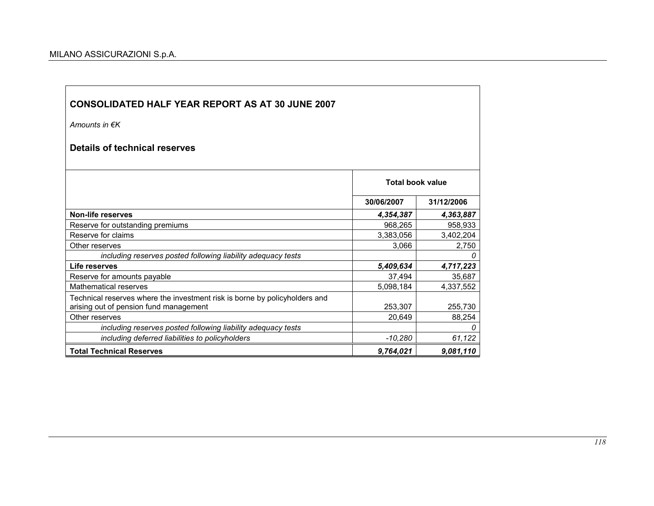Amounts in €K

Details of technical reserves

|                                                                                                                      | <b>Total book value</b> |            |
|----------------------------------------------------------------------------------------------------------------------|-------------------------|------------|
|                                                                                                                      | 30/06/2007              | 31/12/2006 |
| Non-life reserves                                                                                                    | 4,354,387               | 4,363,887  |
| Reserve for outstanding premiums                                                                                     | 968,265                 | 958,933    |
| Reserve for claims                                                                                                   | 3,383,056               | 3,402,204  |
| Other reserves                                                                                                       | 3,066                   | 2,750      |
| including reserves posted following liability adequacy tests                                                         |                         | 0          |
| Life reserves                                                                                                        | 5,409,634               | 4,717,223  |
| Reserve for amounts payable                                                                                          | 37,494                  | 35,687     |
| <b>Mathematical reserves</b>                                                                                         | 5,098,184               | 4,337,552  |
| Technical reserves where the investment risk is borne by policyholders and<br>arising out of pension fund management | 253,307                 | 255,730    |
| Other reserves                                                                                                       | 20,649                  | 88,254     |
| including reserves posted following liability adequacy tests                                                         |                         | 0          |
| including deferred liabilities to policyholders                                                                      | $-10,280$               | 61,122     |
| <b>Total Technical Reserves</b>                                                                                      | 9,764,021               | 9,081,110  |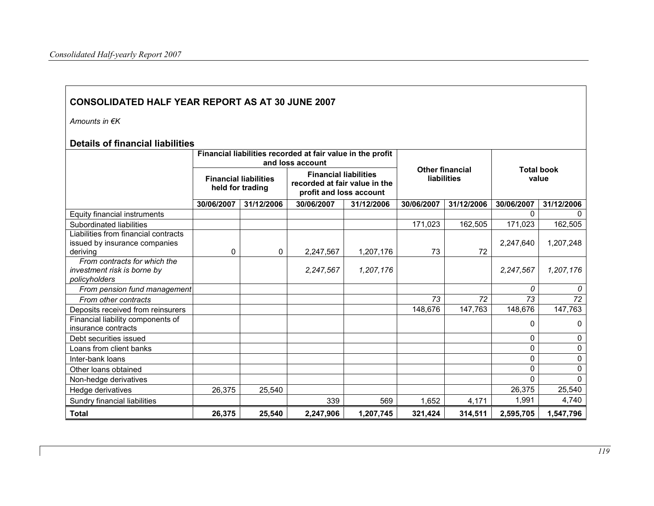Amounts in €K

### Details of financial liabilities

|                                                                                   |            |                                                  | Financial liabilities recorded at fair value in the profit<br>and loss account           |            |            |                                       | <b>Total book</b><br>value |              |  |
|-----------------------------------------------------------------------------------|------------|--------------------------------------------------|------------------------------------------------------------------------------------------|------------|------------|---------------------------------------|----------------------------|--------------|--|
|                                                                                   |            | <b>Financial liabilities</b><br>held for trading | <b>Financial liabilities</b><br>recorded at fair value in the<br>profit and loss account |            |            | <b>Other financial</b><br>liabilities |                            |              |  |
|                                                                                   | 30/06/2007 | 31/12/2006                                       | 30/06/2007                                                                               | 31/12/2006 | 30/06/2007 | 31/12/2006                            | 30/06/2007                 | 31/12/2006   |  |
| Equity financial instruments                                                      |            |                                                  |                                                                                          |            |            |                                       | 0                          |              |  |
| Subordinated liabilities                                                          |            |                                                  |                                                                                          |            | 171,023    | 162,505                               | 171,023                    | 162,505      |  |
| Liabilities from financial contracts<br>issued by insurance companies<br>deriving | 0          | 0                                                | 2,247,567                                                                                | 1,207,176  | 73         | 72                                    | 2,247,640                  | 1,207,248    |  |
| From contracts for which the<br>investment risk is borne by<br>policyholders      |            |                                                  | 2,247,567                                                                                | 1,207,176  |            |                                       | 2,247,567                  | 1,207,176    |  |
| From pension fund management                                                      |            |                                                  |                                                                                          |            |            |                                       | 0                          | 0            |  |
| From other contracts                                                              |            |                                                  |                                                                                          |            | 73         | 72                                    | 73                         | 72           |  |
| Deposits received from reinsurers                                                 |            |                                                  |                                                                                          |            | 148,676    | 147,763                               | 148,676                    | 147,763      |  |
| Financial liability components of<br>insurance contracts                          |            |                                                  |                                                                                          |            |            |                                       | 0                          | 0            |  |
| Debt securities issued                                                            |            |                                                  |                                                                                          |            |            |                                       | 0                          | 0            |  |
| Loans from client banks                                                           |            |                                                  |                                                                                          |            |            |                                       | 0                          | $\Omega$     |  |
| Inter-bank loans                                                                  |            |                                                  |                                                                                          |            |            |                                       | 0                          | $\mathbf{0}$ |  |
| Other loans obtained                                                              |            |                                                  |                                                                                          |            |            |                                       | 0                          | 0            |  |
| Non-hedge derivatives                                                             |            |                                                  |                                                                                          |            |            |                                       | 0                          | $\Omega$     |  |
| Hedge derivatives                                                                 | 26,375     | 25,540                                           |                                                                                          |            |            |                                       | 26,375                     | 25,540       |  |
| Sundry financial liabilities                                                      |            |                                                  | 339                                                                                      | 569        | 1,652      | 4,171                                 | 1,991                      | 4,740        |  |
| <b>Total</b>                                                                      | 26,375     | 25,540                                           | 2,247,906                                                                                | 1,207,745  | 321,424    | 314,511                               | 2,595,705                  | 1,547,796    |  |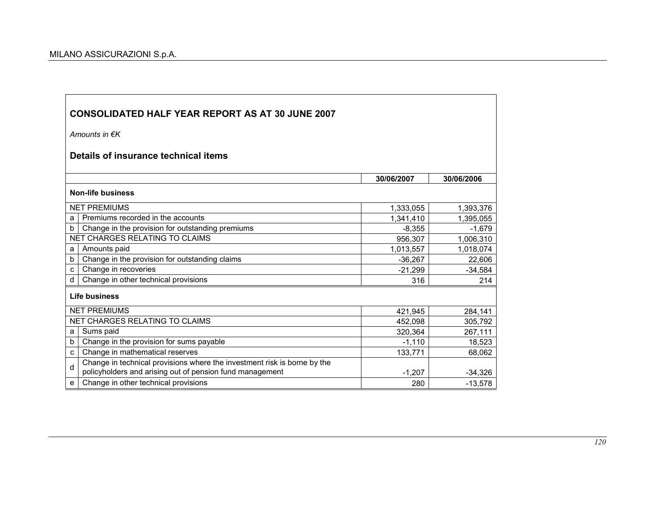Amounts in €K

# Details of insurance technical items

|                          |                                                                                                                                      | 30/06/2007 | 30/06/2006 |  |  |  |  |  |
|--------------------------|--------------------------------------------------------------------------------------------------------------------------------------|------------|------------|--|--|--|--|--|
| <b>Non-life business</b> |                                                                                                                                      |            |            |  |  |  |  |  |
|                          | <b>NET PREMIUMS</b>                                                                                                                  | 1,333,055  | 1,393,376  |  |  |  |  |  |
| a                        | Premiums recorded in the accounts                                                                                                    | 1,341,410  | 1,395,055  |  |  |  |  |  |
| b                        | Change in the provision for outstanding premiums                                                                                     | $-8,355$   | $-1.679$   |  |  |  |  |  |
|                          | NET CHARGES RELATING TO CLAIMS                                                                                                       | 956,307    | 1,006,310  |  |  |  |  |  |
| a                        | Amounts paid                                                                                                                         | 1,013,557  | 1,018,074  |  |  |  |  |  |
| b                        | Change in the provision for outstanding claims                                                                                       | $-36,267$  | 22,606     |  |  |  |  |  |
| c                        | Change in recoveries                                                                                                                 | $-21,299$  | $-34,584$  |  |  |  |  |  |
| d                        | Change in other technical provisions                                                                                                 | 316        | 214        |  |  |  |  |  |
|                          | Life business                                                                                                                        |            |            |  |  |  |  |  |
|                          | <b>NET PREMIUMS</b>                                                                                                                  | 421,945    | 284,141    |  |  |  |  |  |
|                          | NET CHARGES RELATING TO CLAIMS                                                                                                       | 452,098    | 305,792    |  |  |  |  |  |
| a                        | Sums paid                                                                                                                            | 320,364    | 267,111    |  |  |  |  |  |
| b                        | Change in the provision for sums payable                                                                                             | $-1,110$   | 18,523     |  |  |  |  |  |
| c                        | Change in mathematical reserves                                                                                                      | 133,771    | 68,062     |  |  |  |  |  |
| d                        | Change in technical provisions where the investment risk is borne by the<br>policyholders and arising out of pension fund management | $-1,207$   | $-34,326$  |  |  |  |  |  |
| e                        | Change in other technical provisions                                                                                                 | 280        | $-13,578$  |  |  |  |  |  |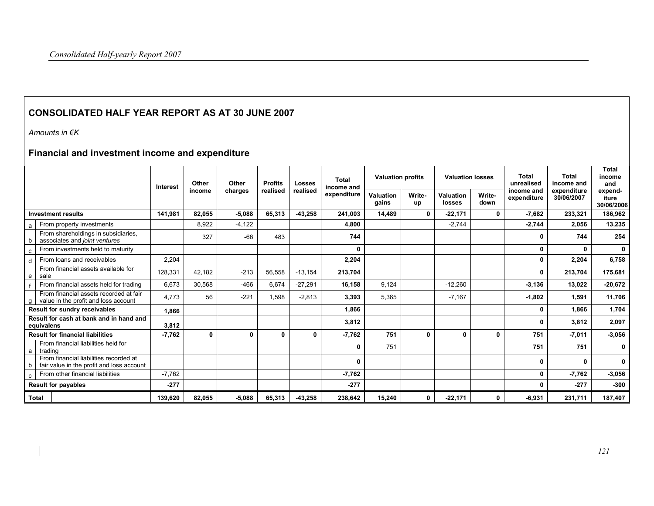Amounts in €K

# Financial and investment income and expenditure

|                                                                                          | <b>Interest</b> | Other        | Other        | <b>Profits</b> | Losses       | Total<br>income and | <b>Valuation profits</b>  |              | <b>Valuation losses</b> |                | Total<br>unrealised       | Total<br>income and       | Total<br>income<br>and         |
|------------------------------------------------------------------------------------------|-----------------|--------------|--------------|----------------|--------------|---------------------|---------------------------|--------------|-------------------------|----------------|---------------------------|---------------------------|--------------------------------|
|                                                                                          |                 | income       | charges      | realised       | realised     | expenditure         | <b>Valuation</b><br>gains | Write-<br>up | Valuation<br>losses     | Write-<br>down | income and<br>expenditure | expenditure<br>30/06/2007 | expend-<br>iture<br>30/06/2006 |
| <b>Investment results</b>                                                                | 141.981         | 82.055       | $-5,088$     | 65.313         | $-43.258$    | 241.003             | 14.489                    | $\mathbf{0}$ | $-22,171$               | $\mathbf{0}$   | $-7.682$                  | 233,321                   | 186,962                        |
| From property investments<br>a                                                           |                 | 8,922        | $-4,122$     |                |              | 4.800               |                           |              | $-2,744$                |                | $-2.744$                  | 2,056                     | 13,235                         |
| From shareholdings in subsidiaries,<br>associates and joint ventures<br>b                |                 | 327          | $-66$        | 483            |              | 744                 |                           |              |                         |                | 0                         | 744                       | 254                            |
| From investments held to maturity<br>c                                                   |                 |              |              |                |              | 0                   |                           |              |                         |                | 0                         | 0                         | 0                              |
| From loans and receivables<br>d                                                          | 2,204           |              |              |                |              | 2,204               |                           |              |                         |                | 0                         | 2,204                     | 6,758                          |
| From financial assets available for<br>sale<br>e                                         | 128,331         | 42,182       | $-213$       | 56,558         | $-13,154$    | 213,704             |                           |              |                         |                | 0                         | 213,704                   | 175,681                        |
| From financial assets held for trading                                                   | 6,673           | 30,568       | $-466$       | 6.674          | $-27.291$    | 16,158              | 9,124                     |              | $-12,260$               |                | $-3,136$                  | 13,022                    | $-20,672$                      |
| From financial assets recorded at fair<br>value in the profit and loss account<br>g I    | 4.773           | 56           | $-221$       | 1.598          | $-2.813$     | 3,393               | 5.365                     |              | $-7.167$                |                | $-1,802$                  | 1,591                     | 11,706                         |
| <b>Result for sundry receivables</b>                                                     | 1.866           |              |              |                |              | 1,866               |                           |              |                         |                | 0                         | 1,866                     | 1,704                          |
| Result for cash at bank and in hand and<br>equivalens                                    | 3,812           |              |              |                |              | 3,812               |                           |              |                         |                | 0                         | 3,812                     | 2,097                          |
| <b>Result for financial liabilities</b>                                                  | $-7,762$        | $\mathbf{0}$ | $\mathbf{0}$ | $\mathbf{0}$   | $\mathbf{0}$ | $-7,762$            | 751                       | $\mathbf{0}$ | $\mathbf{0}$            | $\mathbf{0}$   | 751                       | $-7,011$                  | $-3,056$                       |
| From financial liabilities held for<br>trading<br>a                                      |                 |              |              |                |              | 0                   | 751                       |              |                         |                | 751                       | 751                       | 0                              |
| From financial liabilities recorded at<br>fair value in the profit and loss account<br>b |                 |              |              |                |              | $\Omega$            |                           |              |                         |                | 0                         | 0                         | 0                              |
| From other financial liabilities<br>C                                                    | $-7,762$        |              |              |                |              | $-7,762$            |                           |              |                         |                | 0                         | $-7,762$                  | $-3,056$                       |
| <b>Result for payables</b>                                                               | $-277$          |              |              |                |              | $-277$              |                           |              |                         |                | 0                         | $-277$                    | $-300$                         |
| Total                                                                                    | 139,620         | 82,055       | $-5.088$     | 65,313         | $-43,258$    | 238,642             | 15,240                    | $\mathbf{0}$ | $-22,171$               | 0              | $-6.931$                  | 231,711                   | 187,407                        |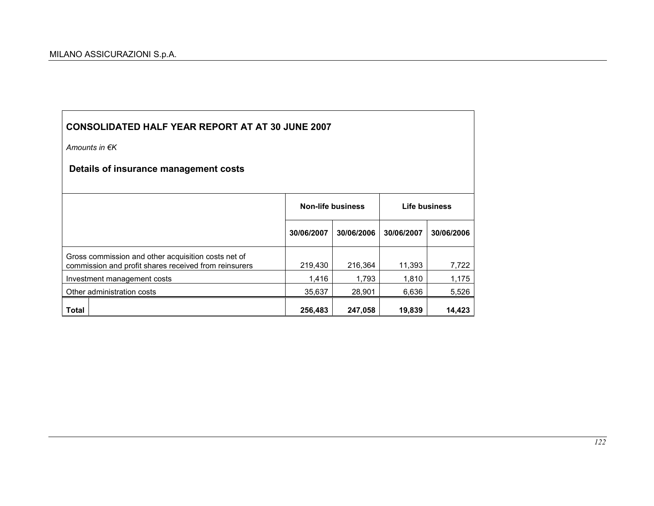$\mathsf{r}$ 

| <b>CONSOLIDATED HALF YEAR REPORT AT AT 30 JUNE 2007</b>                                                      |            |                          |               |            |  |
|--------------------------------------------------------------------------------------------------------------|------------|--------------------------|---------------|------------|--|
| Amounts in $\notin K$                                                                                        |            |                          |               |            |  |
| Details of insurance management costs                                                                        |            |                          |               |            |  |
|                                                                                                              |            |                          |               |            |  |
|                                                                                                              |            | <b>Non-life business</b> | Life business |            |  |
|                                                                                                              | 30/06/2007 | 30/06/2006               | 30/06/2007    | 30/06/2006 |  |
| Gross commission and other acquisition costs net of<br>commission and profit shares received from reinsurers | 219,430    | 216,364                  | 11,393        | 7,722      |  |
| Investment management costs                                                                                  | 1,416      | 1,793                    | 1,810         | 1,175      |  |
| Other administration costs                                                                                   | 35,637     | 28,901                   | 6,636         | 5,526      |  |
| Total                                                                                                        | 256,483    | 247,058                  | 19,839        | 14,423     |  |